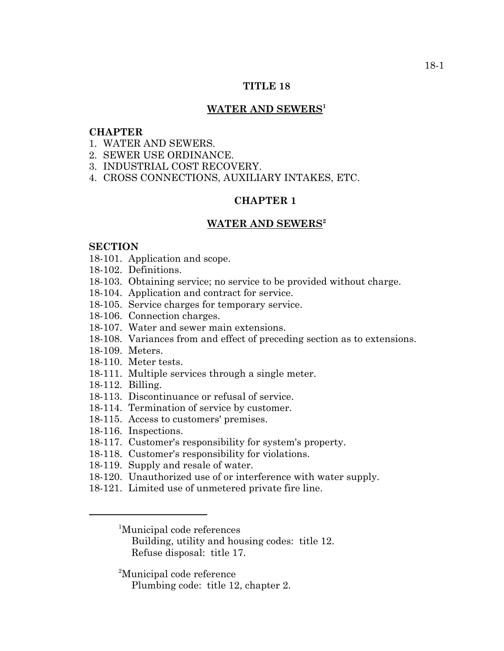# **TITLE 18**

### WATER AND SEWERS<sup>1</sup>

### **CHAPTER**

- 1. WATER AND SEWERS.
- 2. SEWER USE ORDINANCE.
- 3. INDUSTRIAL COST RECOVERY.
- 4. CROSS CONNECTIONS, AUXILIARY INTAKES, ETC.

# **CHAPTER 1**

#### **WATER AND SEWERS2**

## **SECTION**

- 18-101. Application and scope.
- 18-102. Definitions.
- 18-103. Obtaining service; no service to be provided without charge.
- 18-104. Application and contract for service.
- 18-105. Service charges for temporary service.
- 18-106. Connection charges.
- 18-107. Water and sewer main extensions.
- 18-108. Variances from and effect of preceding section as to extensions.
- 18-109. Meters.
- 18-110. Meter tests.
- 18-111. Multiple services through a single meter.
- 18-112. Billing.
- 18-113. Discontinuance or refusal of service.
- 18-114. Termination of service by customer.
- 18-115. Access to customers' premises.
- 18-116. Inspections.
- 18-117. Customer's responsibility for system's property.
- 18-118. Customer's responsibility for violations.
- 18-119. Supply and resale of water.
- 18-120. Unauthorized use of or interference with water supply.
- 18-121. Limited use of unmetered private fire line.

1 Municipal code references

Building, utility and housing codes: title 12. Refuse disposal: title 17.

<sup>2</sup>Municipal code reference

Plumbing code: title 12, chapter 2.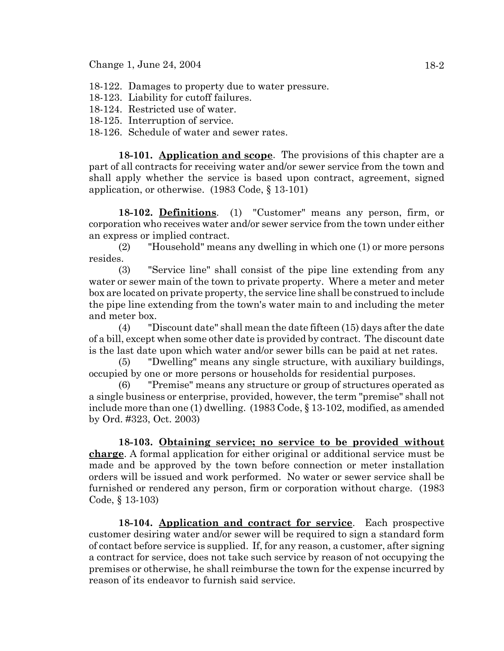- 18-122. Damages to property due to water pressure.
- 18-123. Liability for cutoff failures.
- 18-124. Restricted use of water.
- 18-125. Interruption of service.
- 18-126. Schedule of water and sewer rates.

**18-101. Application and scope**. The provisions of this chapter are a part of all contracts for receiving water and/or sewer service from the town and shall apply whether the service is based upon contract, agreement, signed application, or otherwise. (1983 Code, § 13-101)

**18-102. Definitions**. (1) "Customer" means any person, firm, or corporation who receives water and/or sewer service from the town under either an express or implied contract.

(2) "Household" means any dwelling in which one (1) or more persons resides.

(3) "Service line" shall consist of the pipe line extending from any water or sewer main of the town to private property. Where a meter and meter box are located on private property, the service line shall be construed to include the pipe line extending from the town's water main to and including the meter and meter box.

(4) "Discount date" shall mean the date fifteen (15) days after the date of a bill, except when some other date is provided by contract. The discount date is the last date upon which water and/or sewer bills can be paid at net rates.

(5) "Dwelling" means any single structure, with auxiliary buildings, occupied by one or more persons or households for residential purposes.

(6) "Premise" means any structure or group of structures operated as a single business or enterprise, provided, however, the term "premise" shall not include more than one (1) dwelling. (1983 Code, § 13-102, modified, as amended by Ord. #323, Oct. 2003)

**18-103. Obtaining service; no service to be provided without charge**. A formal application for either original or additional service must be made and be approved by the town before connection or meter installation orders will be issued and work performed. No water or sewer service shall be furnished or rendered any person, firm or corporation without charge. (1983 Code, § 13-103)

**18-104. Application and contract for service**. Each prospective customer desiring water and/or sewer will be required to sign a standard form of contact before service is supplied. If, for any reason, a customer, after signing a contract for service, does not take such service by reason of not occupying the premises or otherwise, he shall reimburse the town for the expense incurred by reason of its endeavor to furnish said service.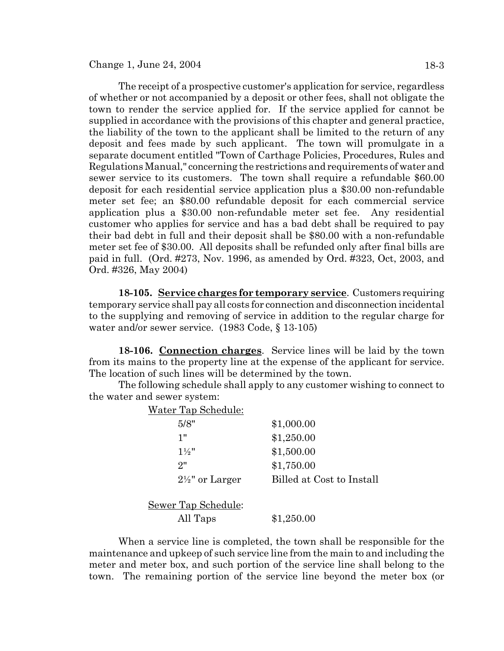The receipt of a prospective customer's application for service, regardless of whether or not accompanied by a deposit or other fees, shall not obligate the town to render the service applied for. If the service applied for cannot be supplied in accordance with the provisions of this chapter and general practice, the liability of the town to the applicant shall be limited to the return of any deposit and fees made by such applicant. The town will promulgate in a separate document entitled "Town of Carthage Policies, Procedures, Rules and Regulations Manual," concerning the restrictions and requirements of water and sewer service to its customers. The town shall require a refundable \$60.00 deposit for each residential service application plus a \$30.00 non-refundable meter set fee; an \$80.00 refundable deposit for each commercial service application plus a \$30.00 non-refundable meter set fee. Any residential customer who applies for service and has a bad debt shall be required to pay their bad debt in full and their deposit shall be \$80.00 with a non-refundable meter set fee of \$30.00. All deposits shall be refunded only after final bills are paid in full. (Ord. #273, Nov. 1996, as amended by Ord. #323, Oct, 2003, and Ord. #326, May 2004)

**18-105. Service charges for temporary service**. Customers requiring temporary service shall pay all costs for connection and disconnection incidental to the supplying and removing of service in addition to the regular charge for water and/or sewer service. (1983 Code, § 13-105)

**18-106. Connection charges**. Service lines will be laid by the town from its mains to the property line at the expense of the applicant for service. The location of such lines will be determined by the town.

The following schedule shall apply to any customer wishing to connect to the water and sewer system:

| Water Tap Schedule:        |                           |
|----------------------------|---------------------------|
| 5/8"                       | \$1,000.00                |
| 1"                         | \$1,250.00                |
| $1\frac{1}{2}$ "           | \$1,500.00                |
| 2"                         | \$1,750.00                |
| $2\frac{1}{2}$ " or Larger | Billed at Cost to Install |
| Sewer Tap Schedule:        |                           |
| All Taps                   | \$1,250.00                |

When a service line is completed, the town shall be responsible for the maintenance and upkeep of such service line from the main to and including the meter and meter box, and such portion of the service line shall belong to the town. The remaining portion of the service line beyond the meter box (or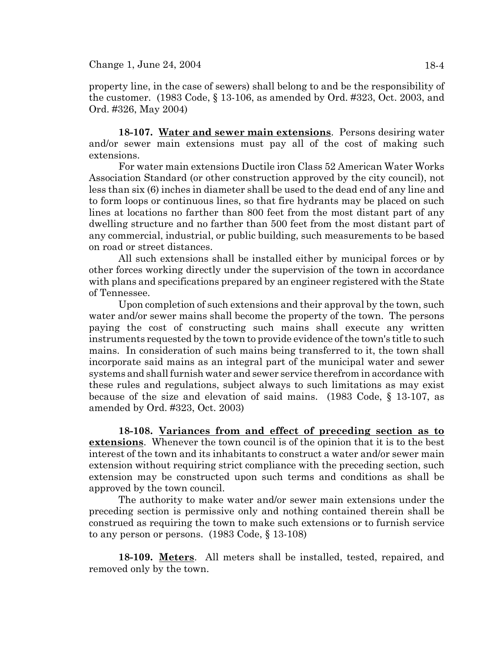property line, in the case of sewers) shall belong to and be the responsibility of the customer. (1983 Code, § 13-106, as amended by Ord. #323, Oct. 2003, and Ord. #326, May 2004)

**18-107. Water and sewer main extensions**. Persons desiring water and/or sewer main extensions must pay all of the cost of making such extensions.

For water main extensions Ductile iron Class 52 American Water Works Association Standard (or other construction approved by the city council), not less than six (6) inches in diameter shall be used to the dead end of any line and to form loops or continuous lines, so that fire hydrants may be placed on such lines at locations no farther than 800 feet from the most distant part of any dwelling structure and no farther than 500 feet from the most distant part of any commercial, industrial, or public building, such measurements to be based on road or street distances.

All such extensions shall be installed either by municipal forces or by other forces working directly under the supervision of the town in accordance with plans and specifications prepared by an engineer registered with the State of Tennessee.

Upon completion of such extensions and their approval by the town, such water and/or sewer mains shall become the property of the town. The persons paying the cost of constructing such mains shall execute any written instruments requested by the town to provide evidence of the town's title to such mains. In consideration of such mains being transferred to it, the town shall incorporate said mains as an integral part of the municipal water and sewer systems and shall furnish water and sewer service therefrom in accordance with these rules and regulations, subject always to such limitations as may exist because of the size and elevation of said mains. (1983 Code, § 13-107, as amended by Ord. #323, Oct. 2003)

**18-108. Variances from and effect of preceding section as to extensions**. Whenever the town council is of the opinion that it is to the best interest of the town and its inhabitants to construct a water and/or sewer main extension without requiring strict compliance with the preceding section, such extension may be constructed upon such terms and conditions as shall be approved by the town council.

The authority to make water and/or sewer main extensions under the preceding section is permissive only and nothing contained therein shall be construed as requiring the town to make such extensions or to furnish service to any person or persons. (1983 Code, § 13-108)

**18-109. Meters**. All meters shall be installed, tested, repaired, and removed only by the town.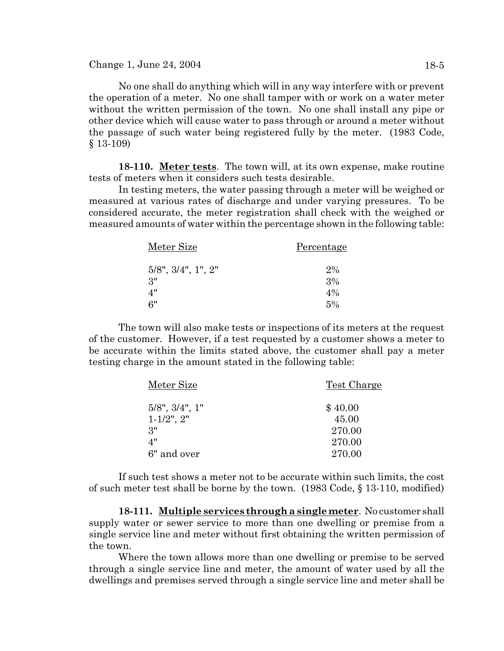$Change 1, June 24, 2004$  18-5

No one shall do anything which will in any way interfere with or prevent the operation of a meter. No one shall tamper with or work on a water meter without the written permission of the town. No one shall install any pipe or other device which will cause water to pass through or around a meter without the passage of such water being registered fully by the meter. (1983 Code, § 13-109)

**18-110. Meter tests**. The town will, at its own expense, make routine tests of meters when it considers such tests desirable.

In testing meters, the water passing through a meter will be weighed or measured at various rates of discharge and under varying pressures. To be considered accurate, the meter registration shall check with the weighed or measured amounts of water within the percentage shown in the following table:

| Meter Size                     | Percentage |
|--------------------------------|------------|
| $5/8$ ", $3/4$ ", $1$ ", $2$ " | $2\%$      |
| 3"                             | 3%         |
| 4"                             | $4\%$      |
| 6"                             | 5%         |

The town will also make tests or inspections of its meters at the request of the customer. However, if a test requested by a customer shows a meter to be accurate within the limits stated above, the customer shall pay a meter testing charge in the amount stated in the following table:

| Meter Size              | <u>Test Charge</u> |  |
|-------------------------|--------------------|--|
| $5/8$ ", $3/4$ ", $1$ " | \$40.00            |  |
| $1 - 1/2$ ", $2$ "      | 45.00              |  |
| 3"                      | 270.00             |  |
| 4"                      | 270.00             |  |
| 6" and over             | 270.00             |  |
|                         |                    |  |

If such test shows a meter not to be accurate within such limits, the cost of such meter test shall be borne by the town. (1983 Code, § 13-110, modified)

**18-111. Multiple services through a single meter**. No customer shall supply water or sewer service to more than one dwelling or premise from a single service line and meter without first obtaining the written permission of the town.

Where the town allows more than one dwelling or premise to be served through a single service line and meter, the amount of water used by all the dwellings and premises served through a single service line and meter shall be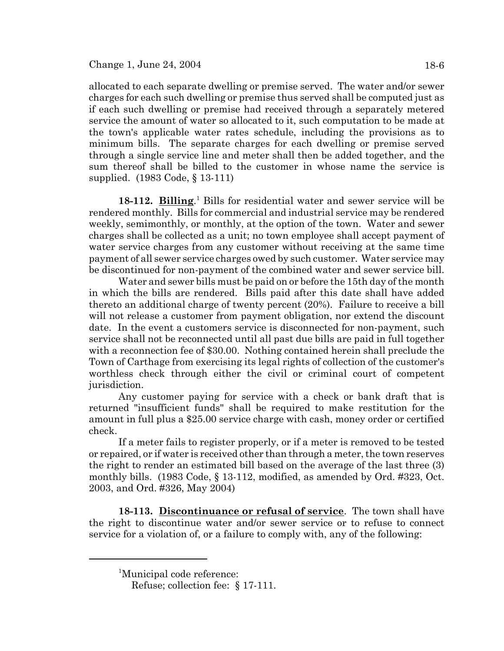allocated to each separate dwelling or premise served. The water and/or sewer charges for each such dwelling or premise thus served shall be computed just as if each such dwelling or premise had received through a separately metered service the amount of water so allocated to it, such computation to be made at the town's applicable water rates schedule, including the provisions as to minimum bills. The separate charges for each dwelling or premise served through a single service line and meter shall then be added together, and the sum thereof shall be billed to the customer in whose name the service is supplied. (1983 Code, § 13-111)

18-112. Billing.<sup>1</sup> Bills for residential water and sewer service will be rendered monthly. Bills for commercial and industrial service may be rendered weekly, semimonthly, or monthly, at the option of the town. Water and sewer charges shall be collected as a unit; no town employee shall accept payment of water service charges from any customer without receiving at the same time payment of all sewer service charges owed by such customer. Water service may be discontinued for non-payment of the combined water and sewer service bill.

Water and sewer bills must be paid on or before the 15th day of the month in which the bills are rendered. Bills paid after this date shall have added thereto an additional charge of twenty percent (20%). Failure to receive a bill will not release a customer from payment obligation, nor extend the discount date. In the event a customers service is disconnected for non-payment, such service shall not be reconnected until all past due bills are paid in full together with a reconnection fee of \$30.00. Nothing contained herein shall preclude the Town of Carthage from exercising its legal rights of collection of the customer's worthless check through either the civil or criminal court of competent jurisdiction.

Any customer paying for service with a check or bank draft that is returned "insufficient funds" shall be required to make restitution for the amount in full plus a \$25.00 service charge with cash, money order or certified check.

If a meter fails to register properly, or if a meter is removed to be tested or repaired, or if water is received other than through a meter, the town reserves the right to render an estimated bill based on the average of the last three (3) monthly bills. (1983 Code, § 13-112, modified, as amended by Ord. #323, Oct. 2003, and Ord. #326, May 2004)

**18-113. Discontinuance or refusal of service**. The town shall have the right to discontinue water and/or sewer service or to refuse to connect service for a violation of, or a failure to comply with, any of the following:

<sup>&</sup>lt;sup>1</sup>Municipal code reference:

Refuse; collection fee: § 17-111.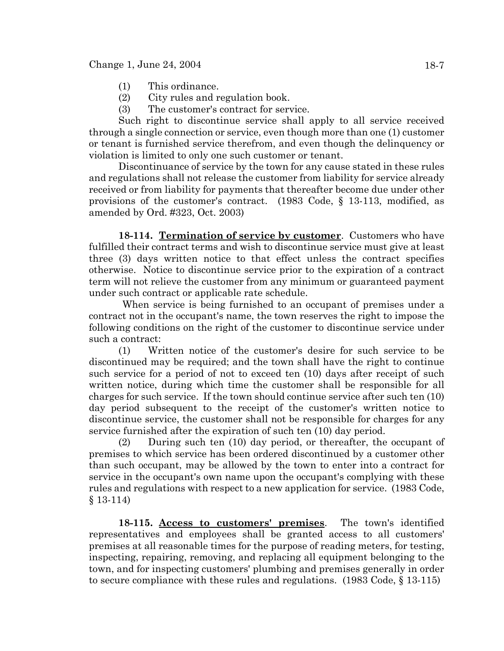- (1) This ordinance.
- (2) City rules and regulation book.
- (3) The customer's contract for service.

Such right to discontinue service shall apply to all service received through a single connection or service, even though more than one (1) customer or tenant is furnished service therefrom, and even though the delinquency or violation is limited to only one such customer or tenant.

Discontinuance of service by the town for any cause stated in these rules and regulations shall not release the customer from liability for service already received or from liability for payments that thereafter become due under other provisions of the customer's contract. (1983 Code, § 13-113, modified, as amended by Ord. #323, Oct. 2003)

**18-114. Termination of service by customer**. Customers who have fulfilled their contract terms and wish to discontinue service must give at least three (3) days written notice to that effect unless the contract specifies otherwise. Notice to discontinue service prior to the expiration of a contract term will not relieve the customer from any minimum or guaranteed payment under such contract or applicable rate schedule.

 When service is being furnished to an occupant of premises under a contract not in the occupant's name, the town reserves the right to impose the following conditions on the right of the customer to discontinue service under such a contract:

(1) Written notice of the customer's desire for such service to be discontinued may be required; and the town shall have the right to continue such service for a period of not to exceed ten (10) days after receipt of such written notice, during which time the customer shall be responsible for all charges for such service. If the town should continue service after such ten (10) day period subsequent to the receipt of the customer's written notice to discontinue service, the customer shall not be responsible for charges for any service furnished after the expiration of such ten (10) day period.

(2) During such ten (10) day period, or thereafter, the occupant of premises to which service has been ordered discontinued by a customer other than such occupant, may be allowed by the town to enter into a contract for service in the occupant's own name upon the occupant's complying with these rules and regulations with respect to a new application for service. (1983 Code, § 13-114)

**18-115. Access to customers' premises**. The town's identified representatives and employees shall be granted access to all customers' premises at all reasonable times for the purpose of reading meters, for testing, inspecting, repairing, removing, and replacing all equipment belonging to the town, and for inspecting customers' plumbing and premises generally in order to secure compliance with these rules and regulations. (1983 Code, § 13-115)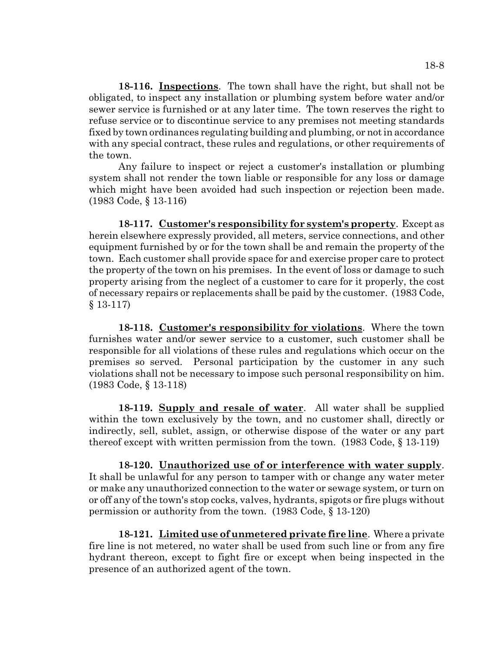**18-116. Inspections**. The town shall have the right, but shall not be obligated, to inspect any installation or plumbing system before water and/or sewer service is furnished or at any later time. The town reserves the right to refuse service or to discontinue service to any premises not meeting standards fixed by town ordinances regulating building and plumbing, or not in accordance with any special contract, these rules and regulations, or other requirements of the town.

Any failure to inspect or reject a customer's installation or plumbing system shall not render the town liable or responsible for any loss or damage which might have been avoided had such inspection or rejection been made. (1983 Code, § 13-116)

**18-117. Customer's responsibility for system's property**. Except as herein elsewhere expressly provided, all meters, service connections, and other equipment furnished by or for the town shall be and remain the property of the town. Each customer shall provide space for and exercise proper care to protect the property of the town on his premises. In the event of loss or damage to such property arising from the neglect of a customer to care for it properly, the cost of necessary repairs or replacements shall be paid by the customer. (1983 Code, § 13-117)

**18-118. Customer's responsibility for violations**. Where the town furnishes water and/or sewer service to a customer, such customer shall be responsible for all violations of these rules and regulations which occur on the premises so served. Personal participation by the customer in any such violations shall not be necessary to impose such personal responsibility on him. (1983 Code, § 13-118)

**18-119. Supply and resale of water**. All water shall be supplied within the town exclusively by the town, and no customer shall, directly or indirectly, sell, sublet, assign, or otherwise dispose of the water or any part thereof except with written permission from the town. (1983 Code, § 13-119)

**18-120. Unauthorized use of or interference with water supply**. It shall be unlawful for any person to tamper with or change any water meter or make any unauthorized connection to the water or sewage system, or turn on or off any of the town's stop cocks, valves, hydrants, spigots or fire plugs without permission or authority from the town. (1983 Code, § 13-120)

**18-121. Limited use of unmetered private fire line**. Where a private fire line is not metered, no water shall be used from such line or from any fire hydrant thereon, except to fight fire or except when being inspected in the presence of an authorized agent of the town.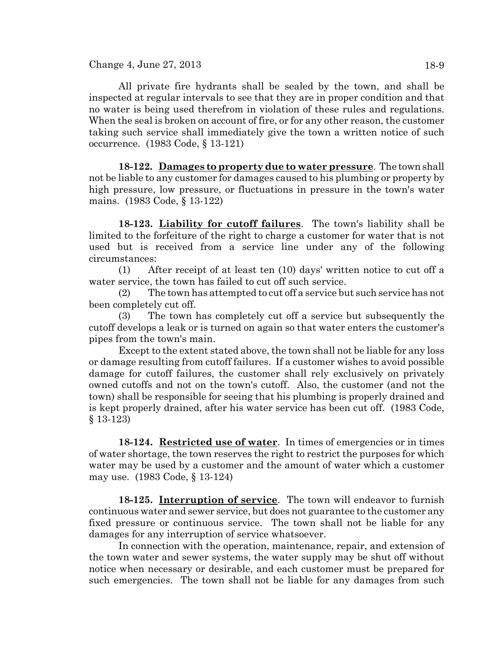Change 4, June 27, 2013 18-9

All private fire hydrants shall be sealed by the town, and shall be inspected at regular intervals to see that they are in proper condition and that no water is being used therefrom in violation of these rules and regulations. When the seal is broken on account of fire, or for any other reason, the customer taking such service shall immediately give the town a written notice of such occurrence. (1983 Code, § 13-121)

**18-122. Damages to property due to water pressure**. The town shall not be liable to any customer for damages caused to his plumbing or property by high pressure, low pressure, or fluctuations in pressure in the town's water mains. (1983 Code, § 13-122)

**18-123. Liability for cutoff failures**. The town's liability shall be limited to the forfeiture of the right to charge a customer for water that is not used but is received from a service line under any of the following circumstances:

(1) After receipt of at least ten (10) days' written notice to cut off a water service, the town has failed to cut off such service.

(2) The town has attempted to cut off a service but such service has not been completely cut off.

(3) The town has completely cut off a service but subsequently the cutoff develops a leak or is turned on again so that water enters the customer's pipes from the town's main.

Except to the extent stated above, the town shall not be liable for any loss or damage resulting from cutoff failures. If a customer wishes to avoid possible damage for cutoff failures, the customer shall rely exclusively on privately owned cutoffs and not on the town's cutoff. Also, the customer (and not the town) shall be responsible for seeing that his plumbing is properly drained and is kept properly drained, after his water service has been cut off. (1983 Code, § 13-123)

**18-124. Restricted use of water**. In times of emergencies or in times of water shortage, the town reserves the right to restrict the purposes for which water may be used by a customer and the amount of water which a customer may use. (1983 Code, § 13-124)

**18-125. Interruption of service**. The town will endeavor to furnish continuous water and sewer service, but does not guarantee to the customer any fixed pressure or continuous service. The town shall not be liable for any damages for any interruption of service whatsoever.

In connection with the operation, maintenance, repair, and extension of the town water and sewer systems, the water supply may be shut off without notice when necessary or desirable, and each customer must be prepared for such emergencies. The town shall not be liable for any damages from such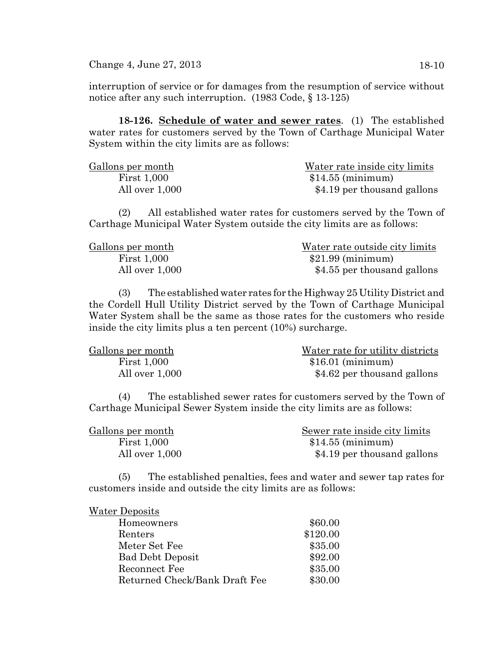Change 4, June 27, 2013 18-10

interruption of service or for damages from the resumption of service without notice after any such interruption. (1983 Code, § 13-125)

**18-126. Schedule of water and sewer rates**. (1) The established water rates for customers served by the Town of Carthage Municipal Water System within the city limits are as follows:

| Gallons per month  | Water rate inside city limits |
|--------------------|-------------------------------|
| <b>First 1,000</b> | $$14.55$ (minimum)            |
| All over 1,000     | \$4.19 per thousand gallons   |

(2) All established water rates for customers served by the Town of Carthage Municipal Water System outside the city limits are as follows:

| Gallons per month  | Water rate outside city limits |
|--------------------|--------------------------------|
| <b>First 1,000</b> | $$21.99$ (minimum)             |
| All over 1,000     | \$4.55 per thousand gallons    |

(3) The established water rates for the Highway 25 Utility District and the Cordell Hull Utility District served by the Town of Carthage Municipal Water System shall be the same as those rates for the customers who reside inside the city limits plus a ten percent (10%) surcharge.

| Gallons per month  | Water rate for utility districts |
|--------------------|----------------------------------|
| <b>First 1,000</b> | $$16.01$ (minimum)               |
| All over 1,000     | \$4.62 per thousand gallons      |

(4) The established sewer rates for customers served by the Town of Carthage Municipal Sewer System inside the city limits are as follows:

| Gallons per month  | Sewer rate inside city limits |
|--------------------|-------------------------------|
| <b>First 1,000</b> | $$14.55$ (minimum)            |
| All over 1,000     | \$4.19 per thousand gallons   |

(5) The established penalties, fees and water and sewer tap rates for customers inside and outside the city limits are as follows:

| <b>Water Deposits</b>         |          |
|-------------------------------|----------|
| Homeowners                    | \$60.00  |
| Renters                       | \$120.00 |
| Meter Set Fee                 | \$35.00  |
| <b>Bad Debt Deposit</b>       | \$92.00  |
| Reconnect Fee                 | \$35.00  |
| Returned Check/Bank Draft Fee | \$30.00  |
|                               |          |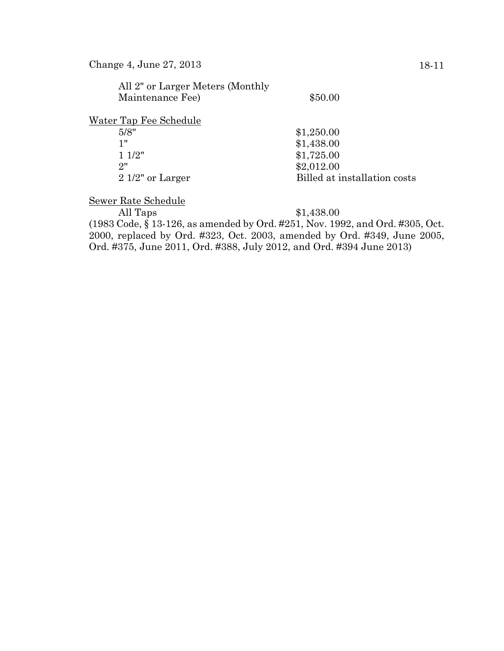| All 2" or Larger Meters (Monthly |                              |
|----------------------------------|------------------------------|
| Maintenance Fee)                 | \$50.00                      |
| Water Tap Fee Schedule           |                              |
| 5/8"                             | \$1,250.00                   |
| 1"                               | \$1,438.00                   |
| 11/2"                            | \$1,725.00                   |
| 2"                               | \$2,012.00                   |
| $21/2$ " or Larger               | Billed at installation costs |
|                                  |                              |

Sewer Rate Schedule

All Taps  $$1,438.00$ 

(1983 Code, § 13-126, as amended by Ord. #251, Nov. 1992, and Ord. #305, Oct. 2000, replaced by Ord. #323, Oct. 2003, amended by Ord. #349, June 2005, Ord. #375, June 2011, Ord. #388, July 2012, and Ord. #394 June 2013)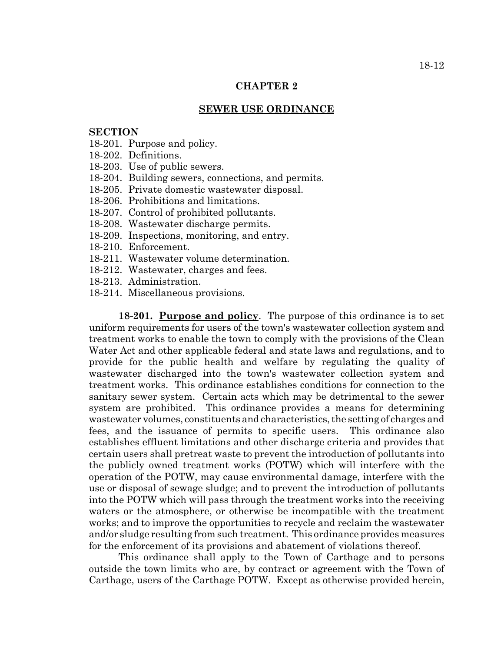# **CHAPTER 2**

#### **SEWER USE ORDINANCE**

### **SECTION**

- 18-201. Purpose and policy.
- 18-202. Definitions.
- 18-203. Use of public sewers.
- 18-204. Building sewers, connections, and permits.
- 18-205. Private domestic wastewater disposal.
- 18-206. Prohibitions and limitations.
- 18-207. Control of prohibited pollutants.
- 18-208. Wastewater discharge permits.
- 18-209. Inspections, monitoring, and entry.
- 18-210. Enforcement.
- 18-211. Wastewater volume determination.
- 18-212. Wastewater, charges and fees.
- 18-213. Administration.
- 18-214. Miscellaneous provisions.

**18-201. Purpose and policy**. The purpose of this ordinance is to set uniform requirements for users of the town's wastewater collection system and treatment works to enable the town to comply with the provisions of the Clean Water Act and other applicable federal and state laws and regulations, and to provide for the public health and welfare by regulating the quality of wastewater discharged into the town's wastewater collection system and treatment works. This ordinance establishes conditions for connection to the sanitary sewer system. Certain acts which may be detrimental to the sewer system are prohibited. This ordinance provides a means for determining wastewater volumes, constituents and characteristics, the setting of charges and fees, and the issuance of permits to specific users. This ordinance also establishes effluent limitations and other discharge criteria and provides that certain users shall pretreat waste to prevent the introduction of pollutants into the publicly owned treatment works (POTW) which will interfere with the operation of the POTW, may cause environmental damage, interfere with the use or disposal of sewage sludge; and to prevent the introduction of pollutants into the POTW which will pass through the treatment works into the receiving waters or the atmosphere, or otherwise be incompatible with the treatment works; and to improve the opportunities to recycle and reclaim the wastewater and/or sludge resulting from such treatment. This ordinance provides measures for the enforcement of its provisions and abatement of violations thereof.

This ordinance shall apply to the Town of Carthage and to persons outside the town limits who are, by contract or agreement with the Town of Carthage, users of the Carthage POTW. Except as otherwise provided herein,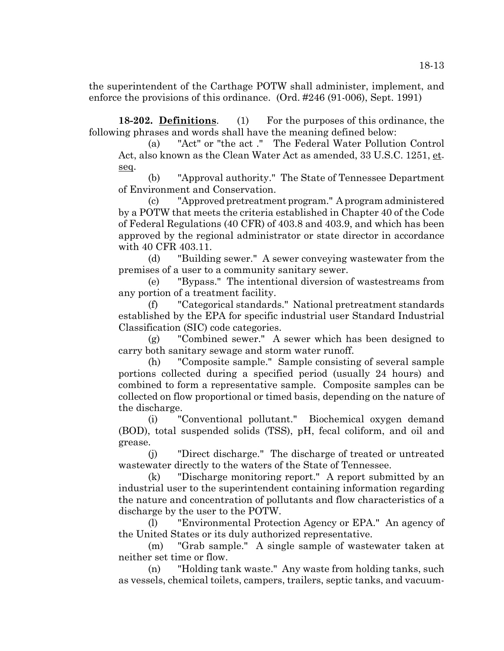the superintendent of the Carthage POTW shall administer, implement, and enforce the provisions of this ordinance. (Ord. #246 (91-006), Sept. 1991)

**18-202. Definitions**. (1) For the purposes of this ordinance, the following phrases and words shall have the meaning defined below:

(a) "Act" or "the act ." The Federal Water Pollution Control Act, also known as the Clean Water Act as amended, 33 U.S.C. 1251, et. seq.

(b) "Approval authority." The State of Tennessee Department of Environment and Conservation.

(c) "Approved pretreatment program." A program administered by a POTW that meets the criteria established in Chapter 40 of the Code of Federal Regulations (40 CFR) of 403.8 and 403.9, and which has been approved by the regional administrator or state director in accordance with 40 CFR 403.11.

(d) "Building sewer." A sewer conveying wastewater from the premises of a user to a community sanitary sewer.

(e) "Bypass." The intentional diversion of wastestreams from any portion of a treatment facility.

(f) "Categorical standards." National pretreatment standards established by the EPA for specific industrial user Standard Industrial Classification (SIC) code categories.

(g) "Combined sewer." A sewer which has been designed to carry both sanitary sewage and storm water runoff.

(h) "Composite sample." Sample consisting of several sample portions collected during a specified period (usually 24 hours) and combined to form a representative sample. Composite samples can be collected on flow proportional or timed basis, depending on the nature of the discharge.

(i) "Conventional pollutant." Biochemical oxygen demand (BOD), total suspended solids (TSS), pH, fecal coliform, and oil and grease.

(j) "Direct discharge." The discharge of treated or untreated wastewater directly to the waters of the State of Tennessee.

(k) "Discharge monitoring report." A report submitted by an industrial user to the superintendent containing information regarding the nature and concentration of pollutants and flow characteristics of a discharge by the user to the POTW.

(l) "Environmental Protection Agency or EPA." An agency of the United States or its duly authorized representative.

(m) "Grab sample." A single sample of wastewater taken at neither set time or flow.

(n) "Holding tank waste." Any waste from holding tanks, such as vessels, chemical toilets, campers, trailers, septic tanks, and vacuum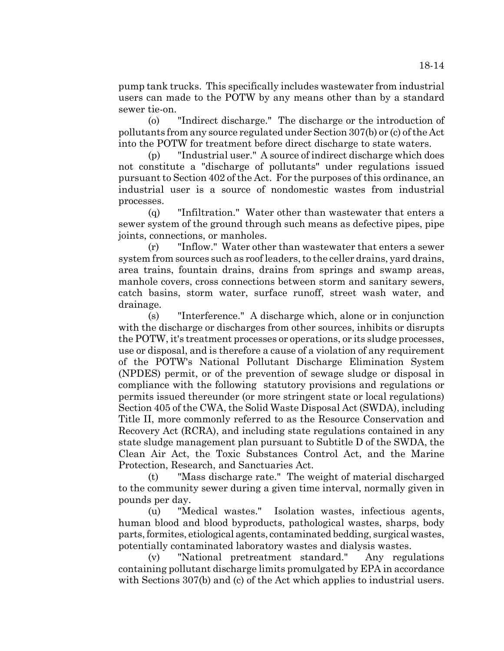pump tank trucks. This specifically includes wastewater from industrial users can made to the POTW by any means other than by a standard sewer tie-on.

(o) "Indirect discharge." The discharge or the introduction of pollutants from any source regulated under Section 307(b) or (c) of the Act into the POTW for treatment before direct discharge to state waters.

(p) "Industrial user." A source of indirect discharge which does not constitute a "discharge of pollutants" under regulations issued pursuant to Section 402 of the Act. For the purposes of this ordinance, an industrial user is a source of nondomestic wastes from industrial processes.

(q) "Infiltration." Water other than wastewater that enters a sewer system of the ground through such means as defective pipes, pipe joints, connections, or manholes.

(r) "Inflow." Water other than wastewater that enters a sewer system from sources such as roof leaders, to the celler drains, yard drains, area trains, fountain drains, drains from springs and swamp areas, manhole covers, cross connections between storm and sanitary sewers, catch basins, storm water, surface runoff, street wash water, and drainage.

(s) "Interference." A discharge which, alone or in conjunction with the discharge or discharges from other sources, inhibits or disrupts the POTW, it's treatment processes or operations, or its sludge processes, use or disposal, and is therefore a cause of a violation of any requirement of the POTW's National Pollutant Discharge Elimination System (NPDES) permit, or of the prevention of sewage sludge or disposal in compliance with the following statutory provisions and regulations or permits issued thereunder (or more stringent state or local regulations) Section 405 of the CWA, the Solid Waste Disposal Act (SWDA), including Title II, more commonly referred to as the Resource Conservation and Recovery Act (RCRA), and including state regulations contained in any state sludge management plan pursuant to Subtitle D of the SWDA, the Clean Air Act, the Toxic Substances Control Act, and the Marine Protection, Research, and Sanctuaries Act.

(t) "Mass discharge rate." The weight of material discharged to the community sewer during a given time interval, normally given in pounds per day.

(u) "Medical wastes." Isolation wastes, infectious agents, human blood and blood byproducts, pathological wastes, sharps, body parts, formites, etiological agents, contaminated bedding, surgical wastes, potentially contaminated laboratory wastes and dialysis wastes.

(v) "National pretreatment standard." Any regulations containing pollutant discharge limits promulgated by EPA in accordance with Sections 307(b) and (c) of the Act which applies to industrial users.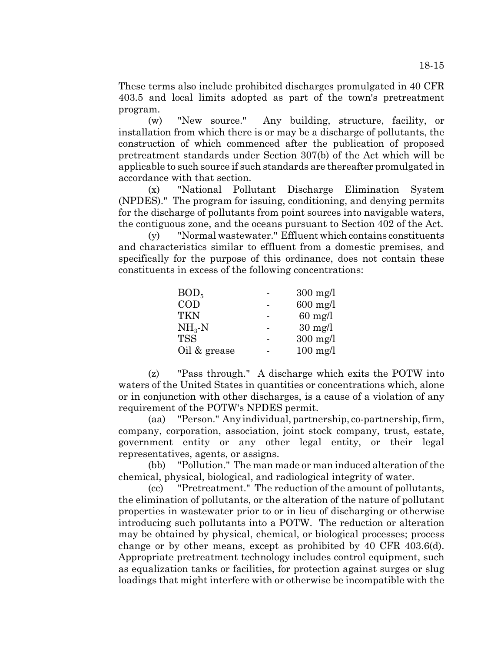These terms also include prohibited discharges promulgated in 40 CFR 403.5 and local limits adopted as part of the town's pretreatment program.

(w) "New source." Any building, structure, facility, or installation from which there is or may be a discharge of pollutants, the construction of which commenced after the publication of proposed pretreatment standards under Section 307(b) of the Act which will be applicable to such source if such standards are thereafter promulgated in accordance with that section.

(x) "National Pollutant Discharge Elimination System (NPDES)." The program for issuing, conditioning, and denying permits for the discharge of pollutants from point sources into navigable waters, the contiguous zone, and the oceans pursuant to Section 402 of the Act.

(y) "Normal wastewater." Effluent which contains constituents and characteristics similar to effluent from a domestic premises, and specifically for the purpose of this ordinance, does not contain these constituents in excess of the following concentrations:

| BOD <sub>5</sub> | $300 \text{ mg/l}$ |
|------------------|--------------------|
| $\rm COD$        | $600$ mg/l         |
| <b>TKN</b>       | $60$ mg/l          |
| $NH_{3}-N$       | $30 \text{ mg}/l$  |
| <b>TSS</b>       | $300 \text{ mg/l}$ |
| Oil & grease     | $100$ mg/l         |

(z) "Pass through." A discharge which exits the POTW into waters of the United States in quantities or concentrations which, alone or in conjunction with other discharges, is a cause of a violation of any requirement of the POTW's NPDES permit.

(aa) "Person." Any individual, partnership, co-partnership, firm, company, corporation, association, joint stock company, trust, estate, government entity or any other legal entity, or their legal representatives, agents, or assigns.

(bb) "Pollution." The man made or man induced alteration of the chemical, physical, biological, and radiological integrity of water.

(cc) "Pretreatment." The reduction of the amount of pollutants, the elimination of pollutants, or the alteration of the nature of pollutant properties in wastewater prior to or in lieu of discharging or otherwise introducing such pollutants into a POTW. The reduction or alteration may be obtained by physical, chemical, or biological processes; process change or by other means, except as prohibited by 40 CFR 403.6(d). Appropriate pretreatment technology includes control equipment, such as equalization tanks or facilities, for protection against surges or slug loadings that might interfere with or otherwise be incompatible with the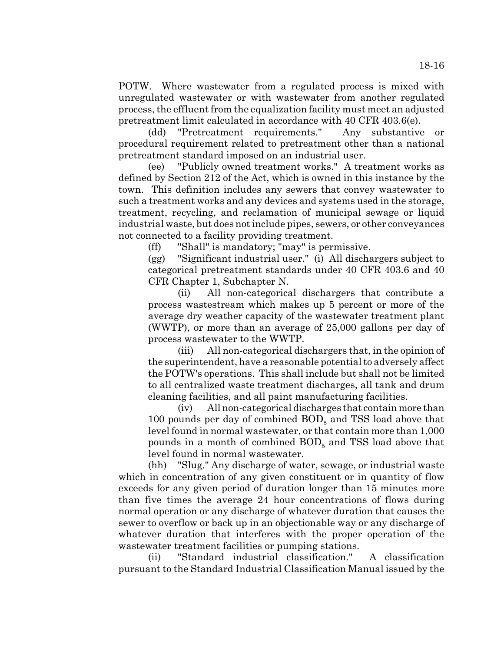POTW. Where wastewater from a regulated process is mixed with unregulated wastewater or with wastewater from another regulated process, the effluent from the equalization facility must meet an adjusted pretreatment limit calculated in accordance with 40 CFR 403.6(e).

(dd) "Pretreatment requirements." Any substantive or procedural requirement related to pretreatment other than a national pretreatment standard imposed on an industrial user.

(ee) "Publicly owned treatment works." A treatment works as defined by Section 212 of the Act, which is owned in this instance by the town. This definition includes any sewers that convey wastewater to such a treatment works and any devices and systems used in the storage, treatment, recycling, and reclamation of municipal sewage or liquid industrial waste, but does not include pipes, sewers, or other conveyances not connected to a facility providing treatment.

(ff) "Shall" is mandatory; "may" is permissive.

(gg) "Significant industrial user." (i) All dischargers subject to categorical pretreatment standards under 40 CFR 403.6 and 40 CFR Chapter 1, Subchapter N.

(ii) All non-categorical dischargers that contribute a process wastestream which makes up 5 percent or more of the average dry weather capacity of the wastewater treatment plant (WWTP), or more than an average of 25,000 gallons per day of process wastewater to the WWTP.

(iii) All non-categorical dischargers that, in the opinion of the superintendent, have a reasonable potential to adversely affect the POTW's operations. This shall include but shall not be limited to all centralized waste treatment discharges, all tank and drum cleaning facilities, and all paint manufacturing facilities.

(iv) All non-categorical discharges that contain more than 100 pounds per day of combined  $BOD<sub>5</sub>$  and TSS load above that level found in normal wastewater, or that contain more than 1,000 pounds in a month of combined  $BOD<sub>5</sub>$  and TSS load above that level found in normal wastewater.

(hh) "Slug." Any discharge of water, sewage, or industrial waste which in concentration of any given constituent or in quantity of flow exceeds for any given period of duration longer than 15 minutes more than five times the average 24 hour concentrations of flows during normal operation or any discharge of whatever duration that causes the sewer to overflow or back up in an objectionable way or any discharge of whatever duration that interferes with the proper operation of the wastewater treatment facilities or pumping stations.

(ii) "Standard industrial classification." A classification pursuant to the Standard Industrial Classification Manual issued by the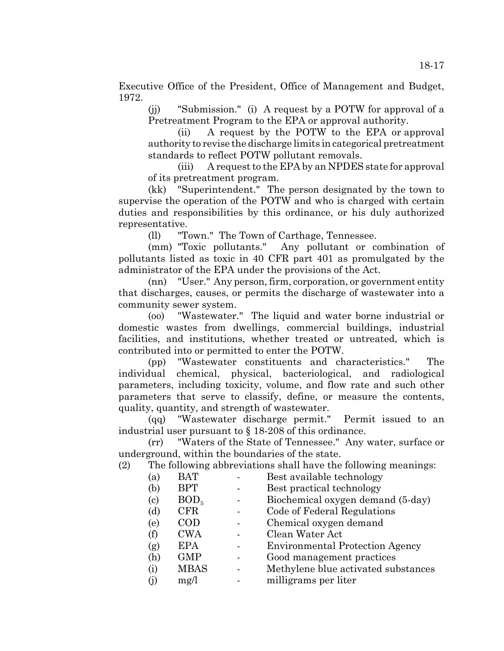Executive Office of the President, Office of Management and Budget, 1972.

(jj) "Submission." (i) A request by a POTW for approval of a Pretreatment Program to the EPA or approval authority.

 (ii) A request by the POTW to the EPA or approval authority to revise the discharge limits in categorical pretreatment standards to reflect POTW pollutant removals.

(iii) A request to the EPA by an NPDES state for approval of its pretreatment program.

(kk) "Superintendent." The person designated by the town to supervise the operation of the POTW and who is charged with certain duties and responsibilities by this ordinance, or his duly authorized representative.

(ll) "Town." The Town of Carthage, Tennessee.

(mm) "Toxic pollutants." Any pollutant or combination of pollutants listed as toxic in 40 CFR part 401 as promulgated by the administrator of the EPA under the provisions of the Act.

(nn) "User." Any person, firm, corporation, or government entity that discharges, causes, or permits the discharge of wastewater into a community sewer system.

(oo) "Wastewater." The liquid and water borne industrial or domestic wastes from dwellings, commercial buildings, industrial facilities, and institutions, whether treated or untreated, which is contributed into or permitted to enter the POTW.

(pp) "Wastewater constituents and characteristics." The individual chemical, physical, bacteriological, and radiological parameters, including toxicity, volume, and flow rate and such other parameters that serve to classify, define, or measure the contents, quality, quantity, and strength of wastewater.

(qq) "Wastewater discharge permit." Permit issued to an industrial user pursuant to § 18-208 of this ordinance.

(rr) "Waters of the State of Tennessee." Any water, surface or underground, within the boundaries of the state.

(2) The following abbreviations shall have the following meanings:

- (a) BAT Best available technology
- (b) BPT Best practical technology
- (c)  $BOD_5$  Biochemical oxygen demand (5-day)<br>
(d)  $CFR$  Code of Federal Regulations
- (d) CFR Code of Federal Regulations
- (e) COD Chemical oxygen demand
- (f) CWA Clean Water Act
- (g) EPA Environmental Protection Agency
- (h) GMP Good management practices
- (i) MBAS Methylene blue activated substances
- (j) mg/l milligrams per liter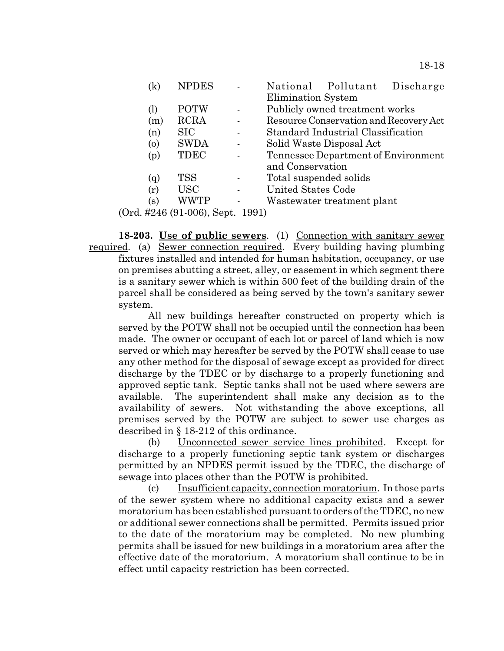|     | <b>NPDES</b>                                 |          | National Pollutant Discharge           |  |
|-----|----------------------------------------------|----------|----------------------------------------|--|
|     |                                              |          | Elimination System                     |  |
| (1) | <b>POTW</b>                                  |          | Publicly owned treatment works         |  |
| (m) | <b>RCRA</b>                                  |          | Resource Conservation and Recovery Act |  |
| (n) | <b>SIC</b>                                   |          | Standard Industrial Classification     |  |
| (o) | <b>SWDA</b>                                  |          | Solid Waste Disposal Act               |  |
| (p) | TDEC                                         |          | Tennessee Department of Environment    |  |
|     |                                              |          | and Conservation                       |  |
| (q) | TSS                                          |          | Total suspended solids                 |  |
| (r) | USC                                          |          | United States Code                     |  |
| (s) | WWTP                                         |          | Wastewater treatment plant             |  |
|     | $HQAG$ (01 00 $\alpha$ )<br>$C_{\alpha n}$ + | 1 QQ 1 \ |                                        |  |

(Ord. #246 (91-006), Sept. 1991)

**18-203. Use of public sewers**. (1) Connection with sanitary sewer required. (a) Sewer connection required. Every building having plumbing fixtures installed and intended for human habitation, occupancy, or use on premises abutting a street, alley, or easement in which segment there is a sanitary sewer which is within 500 feet of the building drain of the parcel shall be considered as being served by the town's sanitary sewer system.

All new buildings hereafter constructed on property which is served by the POTW shall not be occupied until the connection has been made. The owner or occupant of each lot or parcel of land which is now served or which may hereafter be served by the POTW shall cease to use any other method for the disposal of sewage except as provided for direct discharge by the TDEC or by discharge to a properly functioning and approved septic tank. Septic tanks shall not be used where sewers are available. The superintendent shall make any decision as to the availability of sewers. Not withstanding the above exceptions, all premises served by the POTW are subject to sewer use charges as described in § 18-212 of this ordinance.

(b) Unconnected sewer service lines prohibited. Except for discharge to a properly functioning septic tank system or discharges permitted by an NPDES permit issued by the TDEC, the discharge of sewage into places other than the POTW is prohibited.

(c) Insufficient capacity, connection moratorium. In those parts of the sewer system where no additional capacity exists and a sewer moratorium has been established pursuant to orders of the TDEC, no new or additional sewer connections shall be permitted. Permits issued prior to the date of the moratorium may be completed. No new plumbing permits shall be issued for new buildings in a moratorium area after the effective date of the moratorium. A moratorium shall continue to be in effect until capacity restriction has been corrected.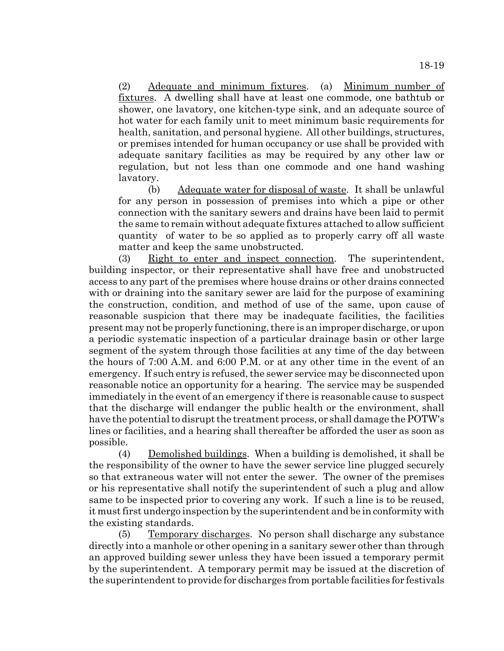(2) Adequate and minimum fixtures. (a) Minimum number of fixtures. A dwelling shall have at least one commode, one bathtub or shower, one lavatory, one kitchen-type sink, and an adequate source of hot water for each family unit to meet minimum basic requirements for health, sanitation, and personal hygiene. All other buildings, structures, or premises intended for human occupancy or use shall be provided with adequate sanitary facilities as may be required by any other law or regulation, but not less than one commode and one hand washing lavatory.

(b) Adequate water for disposal of waste. It shall be unlawful for any person in possession of premises into which a pipe or other connection with the sanitary sewers and drains have been laid to permit the same to remain without adequate fixtures attached to allow sufficient quantity of water to be so applied as to properly carry off all waste matter and keep the same unobstructed.

(3) Right to enter and inspect connection. The superintendent, building inspector, or their representative shall have free and unobstructed access to any part of the premises where house drains or other drains connected with or draining into the sanitary sewer are laid for the purpose of examining the construction, condition, and method of use of the same, upon cause of reasonable suspicion that there may be inadequate facilities, the facilities present may not be properly functioning, there is an improper discharge, or upon a periodic systematic inspection of a particular drainage basin or other large segment of the system through those facilities at any time of the day between the hours of 7:00 A.M. and 6:00 P.M. or at any other time in the event of an emergency. If such entry is refused, the sewer service may be disconnected upon reasonable notice an opportunity for a hearing. The service may be suspended immediately in the event of an emergency if there is reasonable cause to suspect that the discharge will endanger the public health or the environment, shall have the potential to disrupt the treatment process, or shall damage the POTW's lines or facilities, and a hearing shall thereafter be afforded the user as soon as possible.

(4) Demolished buildings. When a building is demolished, it shall be the responsibility of the owner to have the sewer service line plugged securely so that extraneous water will not enter the sewer. The owner of the premises or his representative shall notify the superintendent of such a plug and allow same to be inspected prior to covering any work. If such a line is to be reused, it must first undergo inspection by the superintendent and be in conformity with the existing standards.

(5) Temporary discharges. No person shall discharge any substance directly into a manhole or other opening in a sanitary sewer other than through an approved building sewer unless they have been issued a temporary permit by the superintendent. A temporary permit may be issued at the discretion of the superintendent to provide for discharges from portable facilities for festivals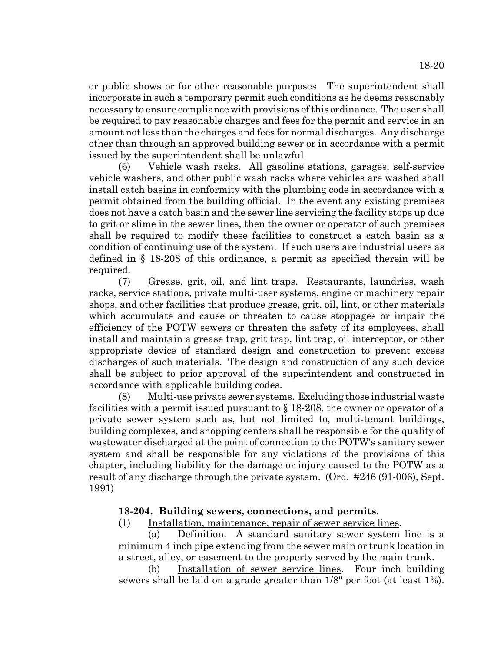or public shows or for other reasonable purposes. The superintendent shall incorporate in such a temporary permit such conditions as he deems reasonably necessary to ensure compliance with provisions of this ordinance. The user shall be required to pay reasonable charges and fees for the permit and service in an amount not less than the charges and fees for normal discharges. Any discharge other than through an approved building sewer or in accordance with a permit issued by the superintendent shall be unlawful.

(6) Vehicle wash racks. All gasoline stations, garages, self-service vehicle washers, and other public wash racks where vehicles are washed shall install catch basins in conformity with the plumbing code in accordance with a permit obtained from the building official. In the event any existing premises does not have a catch basin and the sewer line servicing the facility stops up due to grit or slime in the sewer lines, then the owner or operator of such premises shall be required to modify these facilities to construct a catch basin as a condition of continuing use of the system. If such users are industrial users as defined in § 18-208 of this ordinance, a permit as specified therein will be required.

(7) Grease, grit, oil, and lint traps. Restaurants, laundries, wash racks, service stations, private multi-user systems, engine or machinery repair shops, and other facilities that produce grease, grit, oil, lint, or other materials which accumulate and cause or threaten to cause stoppages or impair the efficiency of the POTW sewers or threaten the safety of its employees, shall install and maintain a grease trap, grit trap, lint trap, oil interceptor, or other appropriate device of standard design and construction to prevent excess discharges of such materials. The design and construction of any such device shall be subject to prior approval of the superintendent and constructed in accordance with applicable building codes.

(8) Multi-use private sewer systems. Excluding those industrial waste facilities with a permit issued pursuant to § 18-208, the owner or operator of a private sewer system such as, but not limited to, multi-tenant buildings, building complexes, and shopping centers shall be responsible for the quality of wastewater discharged at the point of connection to the POTW's sanitary sewer system and shall be responsible for any violations of the provisions of this chapter, including liability for the damage or injury caused to the POTW as a result of any discharge through the private system. (Ord. #246 (91-006), Sept. 1991)

# **18-204. Building sewers, connections, and permits**.

(1) Installation, maintenance, repair of sewer service lines.

(a) Definition. A standard sanitary sewer system line is a minimum 4 inch pipe extending from the sewer main or trunk location in a street, alley, or easement to the property served by the main trunk.

(b) Installation of sewer service lines. Four inch building sewers shall be laid on a grade greater than 1/8" per foot (at least 1%).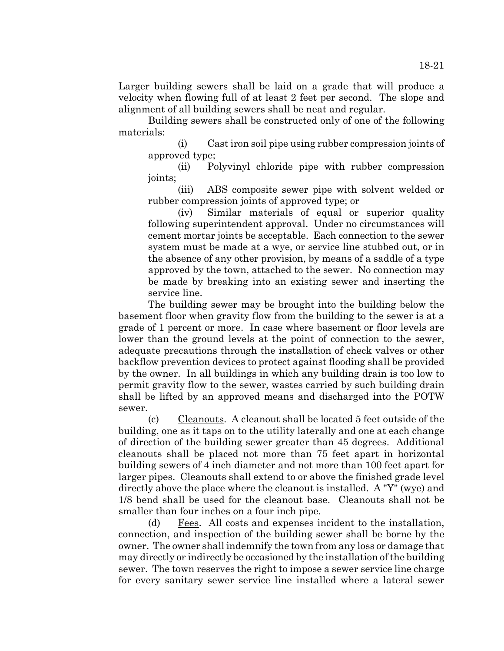Larger building sewers shall be laid on a grade that will produce a velocity when flowing full of at least 2 feet per second. The slope and alignment of all building sewers shall be neat and regular.

Building sewers shall be constructed only of one of the following materials:

(i) Cast iron soil pipe using rubber compression joints of approved type;

(ii) Polyvinyl chloride pipe with rubber compression joints;

(iii) ABS composite sewer pipe with solvent welded or rubber compression joints of approved type; or

(iv) Similar materials of equal or superior quality following superintendent approval. Under no circumstances will cement mortar joints be acceptable. Each connection to the sewer system must be made at a wye, or service line stubbed out, or in the absence of any other provision, by means of a saddle of a type approved by the town, attached to the sewer. No connection may be made by breaking into an existing sewer and inserting the service line.

The building sewer may be brought into the building below the basement floor when gravity flow from the building to the sewer is at a grade of 1 percent or more. In case where basement or floor levels are lower than the ground levels at the point of connection to the sewer, adequate precautions through the installation of check valves or other backflow prevention devices to protect against flooding shall be provided by the owner. In all buildings in which any building drain is too low to permit gravity flow to the sewer, wastes carried by such building drain shall be lifted by an approved means and discharged into the POTW sewer.

(c) Cleanouts. A cleanout shall be located 5 feet outside of the building, one as it taps on to the utility laterally and one at each change of direction of the building sewer greater than 45 degrees. Additional cleanouts shall be placed not more than 75 feet apart in horizontal building sewers of 4 inch diameter and not more than 100 feet apart for larger pipes. Cleanouts shall extend to or above the finished grade level directly above the place where the cleanout is installed. A "Y" (wye) and 1/8 bend shall be used for the cleanout base. Cleanouts shall not be smaller than four inches on a four inch pipe.

(d) Fees. All costs and expenses incident to the installation, connection, and inspection of the building sewer shall be borne by the owner. The owner shall indemnify the town from any loss or damage that may directly or indirectly be occasioned by the installation of the building sewer. The town reserves the right to impose a sewer service line charge for every sanitary sewer service line installed where a lateral sewer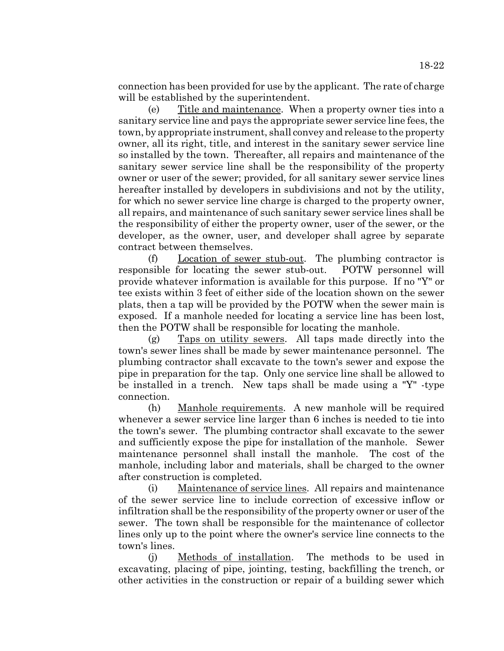connection has been provided for use by the applicant. The rate of charge will be established by the superintendent.

(e) Title and maintenance. When a property owner ties into a sanitary service line and pays the appropriate sewer service line fees, the town, by appropriate instrument, shall convey and release to the property owner, all its right, title, and interest in the sanitary sewer service line so installed by the town. Thereafter, all repairs and maintenance of the sanitary sewer service line shall be the responsibility of the property owner or user of the sewer; provided, for all sanitary sewer service lines hereafter installed by developers in subdivisions and not by the utility, for which no sewer service line charge is charged to the property owner, all repairs, and maintenance of such sanitary sewer service lines shall be the responsibility of either the property owner, user of the sewer, or the developer, as the owner, user, and developer shall agree by separate contract between themselves.

(f) Location of sewer stub-out. The plumbing contractor is responsible for locating the sewer stub-out. POTW personnel will provide whatever information is available for this purpose. If no "Y" or tee exists within 3 feet of either side of the location shown on the sewer plats, then a tap will be provided by the POTW when the sewer main is exposed. If a manhole needed for locating a service line has been lost, then the POTW shall be responsible for locating the manhole.

(g) Taps on utility sewers. All taps made directly into the town's sewer lines shall be made by sewer maintenance personnel. The plumbing contractor shall excavate to the town's sewer and expose the pipe in preparation for the tap. Only one service line shall be allowed to be installed in a trench. New taps shall be made using a "Y" -type connection.

(h) Manhole requirements. A new manhole will be required whenever a sewer service line larger than 6 inches is needed to tie into the town's sewer. The plumbing contractor shall excavate to the sewer and sufficiently expose the pipe for installation of the manhole. Sewer maintenance personnel shall install the manhole. The cost of the manhole, including labor and materials, shall be charged to the owner after construction is completed.

(i) Maintenance of service lines. All repairs and maintenance of the sewer service line to include correction of excessive inflow or infiltration shall be the responsibility of the property owner or user of the sewer. The town shall be responsible for the maintenance of collector lines only up to the point where the owner's service line connects to the town's lines.

(j) Methods of installation. The methods to be used in excavating, placing of pipe, jointing, testing, backfilling the trench, or other activities in the construction or repair of a building sewer which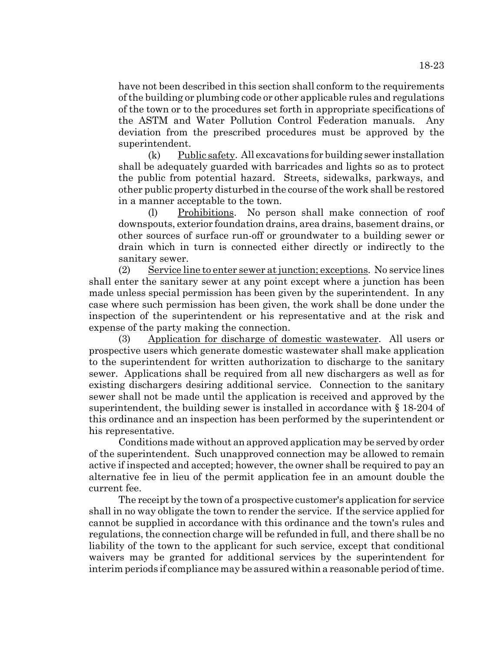have not been described in this section shall conform to the requirements of the building or plumbing code or other applicable rules and regulations of the town or to the procedures set forth in appropriate specifications of the ASTM and Water Pollution Control Federation manuals. Any deviation from the prescribed procedures must be approved by the superintendent.

(k) Public safety. All excavations for building sewer installation shall be adequately guarded with barricades and lights so as to protect the public from potential hazard. Streets, sidewalks, parkways, and other public property disturbed in the course of the work shall be restored in a manner acceptable to the town.

(l) Prohibitions. No person shall make connection of roof downspouts, exterior foundation drains, area drains, basement drains, or other sources of surface run-off or groundwater to a building sewer or drain which in turn is connected either directly or indirectly to the sanitary sewer.

(2) Service line to enter sewer at junction; exceptions. No service lines shall enter the sanitary sewer at any point except where a junction has been made unless special permission has been given by the superintendent. In any case where such permission has been given, the work shall be done under the inspection of the superintendent or his representative and at the risk and expense of the party making the connection.

(3) Application for discharge of domestic wastewater. All users or prospective users which generate domestic wastewater shall make application to the superintendent for written authorization to discharge to the sanitary sewer. Applications shall be required from all new dischargers as well as for existing dischargers desiring additional service. Connection to the sanitary sewer shall not be made until the application is received and approved by the superintendent, the building sewer is installed in accordance with § 18-204 of this ordinance and an inspection has been performed by the superintendent or his representative.

Conditions made without an approved application may be served by order of the superintendent. Such unapproved connection may be allowed to remain active if inspected and accepted; however, the owner shall be required to pay an alternative fee in lieu of the permit application fee in an amount double the current fee.

The receipt by the town of a prospective customer's application for service shall in no way obligate the town to render the service. If the service applied for cannot be supplied in accordance with this ordinance and the town's rules and regulations, the connection charge will be refunded in full, and there shall be no liability of the town to the applicant for such service, except that conditional waivers may be granted for additional services by the superintendent for interim periods if compliance may be assured within a reasonable period of time.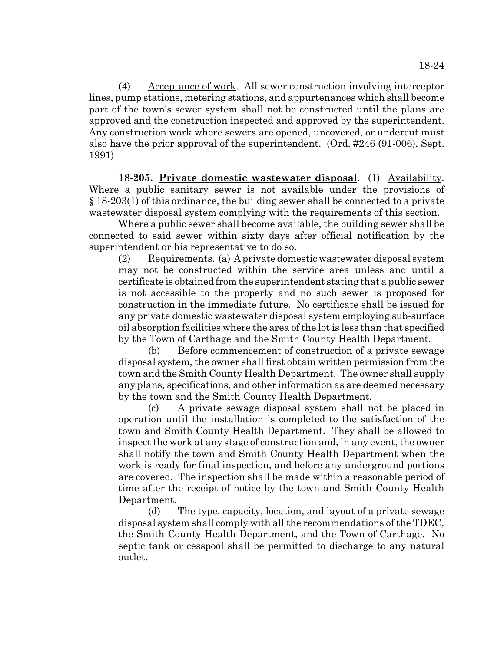(4) Acceptance of work. All sewer construction involving interceptor lines, pump stations, metering stations, and appurtenances which shall become part of the town's sewer system shall not be constructed until the plans are approved and the construction inspected and approved by the superintendent. Any construction work where sewers are opened, uncovered, or undercut must also have the prior approval of the superintendent. (Ord. #246 (91-006), Sept. 1991)

**18-205. Private domestic wastewater disposal**. (1) Availability. Where a public sanitary sewer is not available under the provisions of § 18-203(1) of this ordinance, the building sewer shall be connected to a private wastewater disposal system complying with the requirements of this section.

Where a public sewer shall become available, the building sewer shall be connected to said sewer within sixty days after official notification by the superintendent or his representative to do so.

(2) Requirements. (a) A private domestic wastewater disposal system may not be constructed within the service area unless and until a certificate is obtained from the superintendent stating that a public sewer is not accessible to the property and no such sewer is proposed for construction in the immediate future. No certificate shall be issued for any private domestic wastewater disposal system employing sub-surface oil absorption facilities where the area of the lot is less than that specified by the Town of Carthage and the Smith County Health Department.

(b) Before commencement of construction of a private sewage disposal system, the owner shall first obtain written permission from the town and the Smith County Health Department. The owner shall supply any plans, specifications, and other information as are deemed necessary by the town and the Smith County Health Department.

(c) A private sewage disposal system shall not be placed in operation until the installation is completed to the satisfaction of the town and Smith County Health Department. They shall be allowed to inspect the work at any stage of construction and, in any event, the owner shall notify the town and Smith County Health Department when the work is ready for final inspection, and before any underground portions are covered. The inspection shall be made within a reasonable period of time after the receipt of notice by the town and Smith County Health Department.

(d) The type, capacity, location, and layout of a private sewage disposal system shall comply with all the recommendations of the TDEC, the Smith County Health Department, and the Town of Carthage. No septic tank or cesspool shall be permitted to discharge to any natural outlet.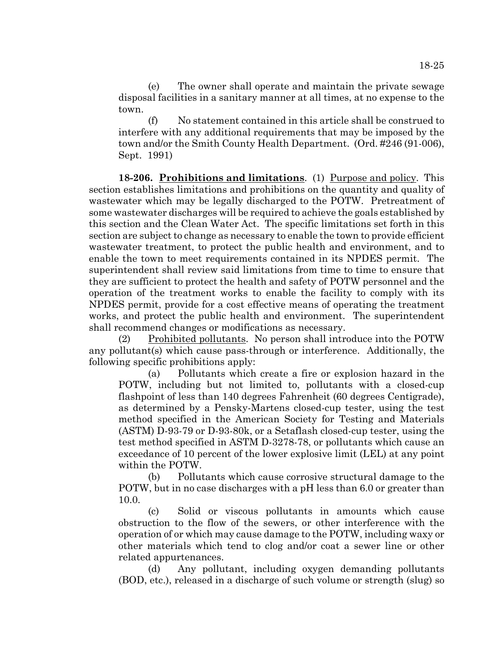(e) The owner shall operate and maintain the private sewage disposal facilities in a sanitary manner at all times, at no expense to the town.

(f) No statement contained in this article shall be construed to interfere with any additional requirements that may be imposed by the town and/or the Smith County Health Department. (Ord. #246 (91-006), Sept. 1991)

**18-206. Prohibitions and limitations**. (1) Purpose and policy. This section establishes limitations and prohibitions on the quantity and quality of wastewater which may be legally discharged to the POTW. Pretreatment of some wastewater discharges will be required to achieve the goals established by this section and the Clean Water Act. The specific limitations set forth in this section are subject to change as necessary to enable the town to provide efficient wastewater treatment, to protect the public health and environment, and to enable the town to meet requirements contained in its NPDES permit. The superintendent shall review said limitations from time to time to ensure that they are sufficient to protect the health and safety of POTW personnel and the operation of the treatment works to enable the facility to comply with its NPDES permit, provide for a cost effective means of operating the treatment works, and protect the public health and environment. The superintendent shall recommend changes or modifications as necessary.

(2) Prohibited pollutants. No person shall introduce into the POTW any pollutant(s) which cause pass-through or interference. Additionally, the following specific prohibitions apply:

(a) Pollutants which create a fire or explosion hazard in the POTW, including but not limited to, pollutants with a closed-cup flashpoint of less than 140 degrees Fahrenheit (60 degrees Centigrade), as determined by a Pensky-Martens closed-cup tester, using the test method specified in the American Society for Testing and Materials (ASTM) D-93-79 or D-93-80k, or a Setaflash closed-cup tester, using the test method specified in ASTM D-3278-78, or pollutants which cause an exceedance of 10 percent of the lower explosive limit (LEL) at any point within the POTW.

(b) Pollutants which cause corrosive structural damage to the POTW, but in no case discharges with a pH less than 6.0 or greater than 10.0.

(c) Solid or viscous pollutants in amounts which cause obstruction to the flow of the sewers, or other interference with the operation of or which may cause damage to the POTW, including waxy or other materials which tend to clog and/or coat a sewer line or other related appurtenances.

(d) Any pollutant, including oxygen demanding pollutants (BOD, etc.), released in a discharge of such volume or strength (slug) so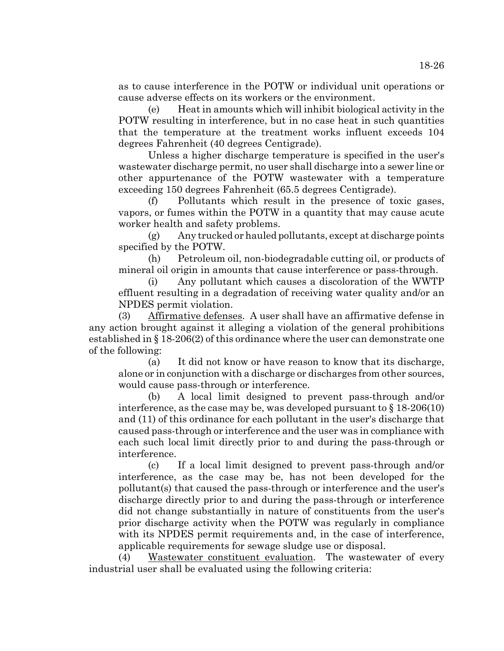as to cause interference in the POTW or individual unit operations or cause adverse effects on its workers or the environment.

(e) Heat in amounts which will inhibit biological activity in the POTW resulting in interference, but in no case heat in such quantities that the temperature at the treatment works influent exceeds 104 degrees Fahrenheit (40 degrees Centigrade).

Unless a higher discharge temperature is specified in the user's wastewater discharge permit, no user shall discharge into a sewer line or other appurtenance of the POTW wastewater with a temperature exceeding 150 degrees Fahrenheit (65.5 degrees Centigrade).

(f) Pollutants which result in the presence of toxic gases, vapors, or fumes within the POTW in a quantity that may cause acute worker health and safety problems.

(g) Any trucked or hauled pollutants, except at discharge points specified by the POTW.

(h) Petroleum oil, non-biodegradable cutting oil, or products of mineral oil origin in amounts that cause interference or pass-through.

(i) Any pollutant which causes a discoloration of the WWTP effluent resulting in a degradation of receiving water quality and/or an NPDES permit violation.

(3) Affirmative defenses. A user shall have an affirmative defense in any action brought against it alleging a violation of the general prohibitions established in § 18-206(2) of this ordinance where the user can demonstrate one of the following:

(a) It did not know or have reason to know that its discharge, alone or in conjunction with a discharge or discharges from other sources, would cause pass-through or interference.

(b) A local limit designed to prevent pass-through and/or interference, as the case may be, was developed pursuant to  $\S 18-206(10)$ and (11) of this ordinance for each pollutant in the user's discharge that caused pass-through or interference and the user was in compliance with each such local limit directly prior to and during the pass-through or interference.

(c) If a local limit designed to prevent pass-through and/or interference, as the case may be, has not been developed for the pollutant(s) that caused the pass-through or interference and the user's discharge directly prior to and during the pass-through or interference did not change substantially in nature of constituents from the user's prior discharge activity when the POTW was regularly in compliance with its NPDES permit requirements and, in the case of interference, applicable requirements for sewage sludge use or disposal.

(4) Wastewater constituent evaluation. The wastewater of every industrial user shall be evaluated using the following criteria: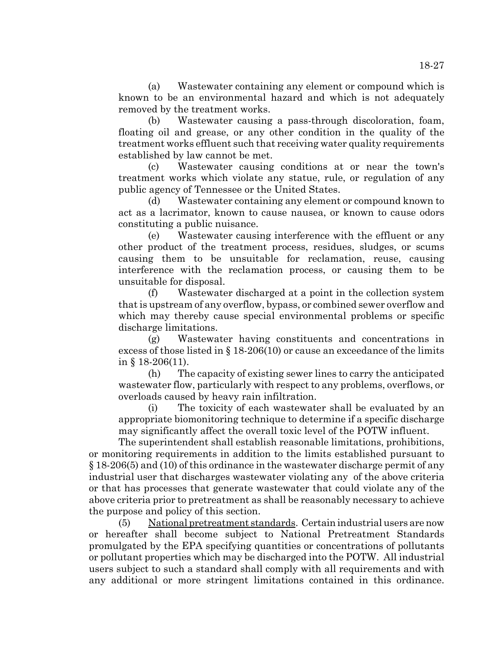(a) Wastewater containing any element or compound which is known to be an environmental hazard and which is not adequately removed by the treatment works.

(b) Wastewater causing a pass-through discoloration, foam, floating oil and grease, or any other condition in the quality of the treatment works effluent such that receiving water quality requirements established by law cannot be met.

(c) Wastewater causing conditions at or near the town's treatment works which violate any statue, rule, or regulation of any public agency of Tennessee or the United States.

(d) Wastewater containing any element or compound known to act as a lacrimator, known to cause nausea, or known to cause odors constituting a public nuisance.

(e) Wastewater causing interference with the effluent or any other product of the treatment process, residues, sludges, or scums causing them to be unsuitable for reclamation, reuse, causing interference with the reclamation process, or causing them to be unsuitable for disposal.

(f) Wastewater discharged at a point in the collection system that is upstream of any overflow, bypass, or combined sewer overflow and which may thereby cause special environmental problems or specific discharge limitations.

(g) Wastewater having constituents and concentrations in excess of those listed in  $\S$  18-206(10) or cause an exceedance of the limits in § 18-206(11).

(h) The capacity of existing sewer lines to carry the anticipated wastewater flow, particularly with respect to any problems, overflows, or overloads caused by heavy rain infiltration.

(i) The toxicity of each wastewater shall be evaluated by an appropriate biomonitoring technique to determine if a specific discharge may significantly affect the overall toxic level of the POTW influent.

The superintendent shall establish reasonable limitations, prohibitions, or monitoring requirements in addition to the limits established pursuant to § 18-206(5) and (10) of this ordinance in the wastewater discharge permit of any industrial user that discharges wastewater violating any of the above criteria or that has processes that generate wastewater that could violate any of the above criteria prior to pretreatment as shall be reasonably necessary to achieve the purpose and policy of this section.

(5) National pretreatment standards. Certain industrial users are now or hereafter shall become subject to National Pretreatment Standards promulgated by the EPA specifying quantities or concentrations of pollutants or pollutant properties which may be discharged into the POTW. All industrial users subject to such a standard shall comply with all requirements and with any additional or more stringent limitations contained in this ordinance.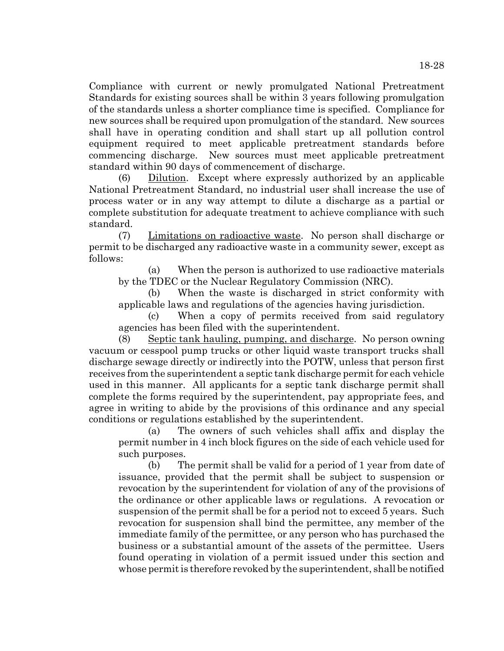Compliance with current or newly promulgated National Pretreatment Standards for existing sources shall be within 3 years following promulgation of the standards unless a shorter compliance time is specified. Compliance for new sources shall be required upon promulgation of the standard. New sources shall have in operating condition and shall start up all pollution control equipment required to meet applicable pretreatment standards before commencing discharge. New sources must meet applicable pretreatment standard within 90 days of commencement of discharge.

(6) Dilution. Except where expressly authorized by an applicable National Pretreatment Standard, no industrial user shall increase the use of process water or in any way attempt to dilute a discharge as a partial or complete substitution for adequate treatment to achieve compliance with such standard.

(7) Limitations on radioactive waste. No person shall discharge or permit to be discharged any radioactive waste in a community sewer, except as follows:

(a) When the person is authorized to use radioactive materials by the TDEC or the Nuclear Regulatory Commission (NRC).

(b) When the waste is discharged in strict conformity with applicable laws and regulations of the agencies having jurisdiction.

(c) When a copy of permits received from said regulatory agencies has been filed with the superintendent.

(8) Septic tank hauling, pumping, and discharge. No person owning vacuum or cesspool pump trucks or other liquid waste transport trucks shall discharge sewage directly or indirectly into the POTW, unless that person first receives from the superintendent a septic tank discharge permit for each vehicle used in this manner. All applicants for a septic tank discharge permit shall complete the forms required by the superintendent, pay appropriate fees, and agree in writing to abide by the provisions of this ordinance and any special conditions or regulations established by the superintendent.

(a) The owners of such vehicles shall affix and display the permit number in 4 inch block figures on the side of each vehicle used for such purposes.

(b) The permit shall be valid for a period of 1 year from date of issuance, provided that the permit shall be subject to suspension or revocation by the superintendent for violation of any of the provisions of the ordinance or other applicable laws or regulations. A revocation or suspension of the permit shall be for a period not to exceed 5 years. Such revocation for suspension shall bind the permittee, any member of the immediate family of the permittee, or any person who has purchased the business or a substantial amount of the assets of the permittee. Users found operating in violation of a permit issued under this section and whose permit is therefore revoked by the superintendent, shall be notified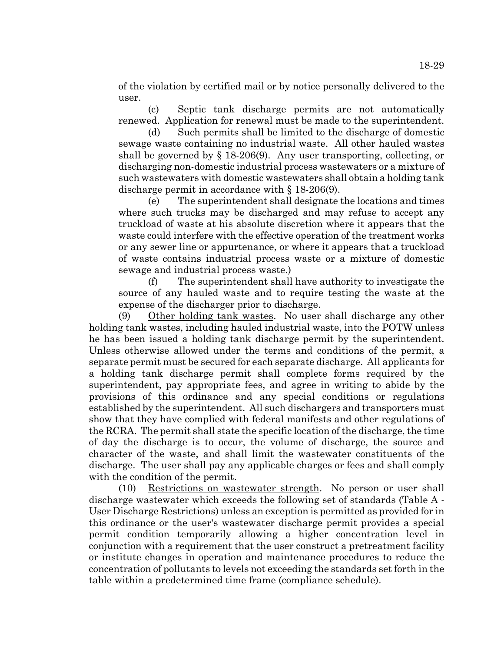of the violation by certified mail or by notice personally delivered to the user.

(c) Septic tank discharge permits are not automatically renewed. Application for renewal must be made to the superintendent.

Such permits shall be limited to the discharge of domestic sewage waste containing no industrial waste. All other hauled wastes shall be governed by  $\S$  18-206(9). Any user transporting, collecting, or discharging non-domestic industrial process wastewaters or a mixture of such wastewaters with domestic wastewaters shall obtain a holding tank discharge permit in accordance with § 18-206(9).

(e) The superintendent shall designate the locations and times where such trucks may be discharged and may refuse to accept any truckload of waste at his absolute discretion where it appears that the waste could interfere with the effective operation of the treatment works or any sewer line or appurtenance, or where it appears that a truckload of waste contains industrial process waste or a mixture of domestic sewage and industrial process waste.)

(f) The superintendent shall have authority to investigate the source of any hauled waste and to require testing the waste at the expense of the discharger prior to discharge.

(9) Other holding tank wastes. No user shall discharge any other holding tank wastes, including hauled industrial waste, into the POTW unless he has been issued a holding tank discharge permit by the superintendent. Unless otherwise allowed under the terms and conditions of the permit, a separate permit must be secured for each separate discharge. All applicants for a holding tank discharge permit shall complete forms required by the superintendent, pay appropriate fees, and agree in writing to abide by the provisions of this ordinance and any special conditions or regulations established by the superintendent. All such dischargers and transporters must show that they have complied with federal manifests and other regulations of the RCRA. The permit shall state the specific location of the discharge, the time of day the discharge is to occur, the volume of discharge, the source and character of the waste, and shall limit the wastewater constituents of the discharge. The user shall pay any applicable charges or fees and shall comply with the condition of the permit.

(10) Restrictions on wastewater strength. No person or user shall discharge wastewater which exceeds the following set of standards (Table A - User Discharge Restrictions) unless an exception is permitted as provided for in this ordinance or the user's wastewater discharge permit provides a special permit condition temporarily allowing a higher concentration level in conjunction with a requirement that the user construct a pretreatment facility or institute changes in operation and maintenance procedures to reduce the concentration of pollutants to levels not exceeding the standards set forth in the table within a predetermined time frame (compliance schedule).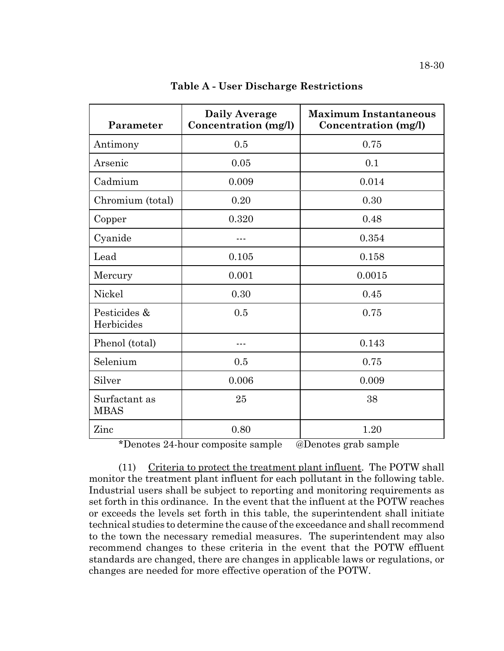| Parameter                    | <b>Daily Average</b><br>Concentration (mg/l) | <b>Maximum Instantaneous</b><br>Concentration (mg/l) |  |
|------------------------------|----------------------------------------------|------------------------------------------------------|--|
| Antimony                     | 0.5                                          | 0.75                                                 |  |
| Arsenic                      | 0.05                                         | 0.1                                                  |  |
| Cadmium                      | 0.009                                        | 0.014                                                |  |
| Chromium (total)             | 0.20                                         | 0.30                                                 |  |
| Copper                       | 0.320<br>0.48                                |                                                      |  |
| Cyanide                      |                                              | 0.354                                                |  |
| Lead                         | 0.105                                        | 0.158                                                |  |
| Mercury                      | 0.001                                        | 0.0015                                               |  |
| Nickel<br>0.30               |                                              | 0.45                                                 |  |
| Pesticides &<br>Herbicides   | 0.5                                          | 0.75                                                 |  |
| Phenol (total)               | ---                                          | 0.143                                                |  |
| Selenium                     | 0.5                                          | 0.75                                                 |  |
| Silver<br>0.006              |                                              | 0.009                                                |  |
| Surfactant as<br><b>MBAS</b> | 25                                           | 38                                                   |  |
| Zinc                         | 0.80                                         | 1.20                                                 |  |

**Table A - User Discharge Restrictions**

\*Denotes 24-hour composite sample @Denotes grab sample

(11) Criteria to protect the treatment plant influent. The POTW shall monitor the treatment plant influent for each pollutant in the following table. Industrial users shall be subject to reporting and monitoring requirements as set forth in this ordinance. In the event that the influent at the POTW reaches or exceeds the levels set forth in this table, the superintendent shall initiate technical studies to determine the cause of the exceedance and shall recommend to the town the necessary remedial measures. The superintendent may also recommend changes to these criteria in the event that the POTW effluent standards are changed, there are changes in applicable laws or regulations, or changes are needed for more effective operation of the POTW.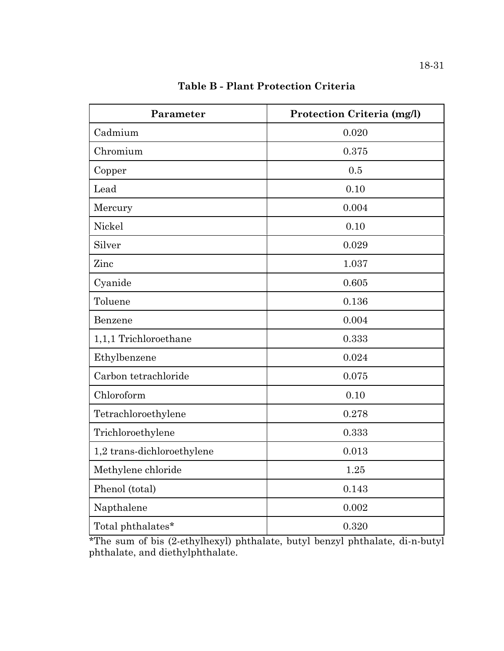| Parameter                  | Protection Criteria (mg/l) |
|----------------------------|----------------------------|
| Cadmium                    | 0.020                      |
| Chromium                   | 0.375                      |
| Copper                     | 0.5                        |
| Lead                       | 0.10                       |
| Mercury                    | 0.004                      |
| Nickel                     | 0.10                       |
| Silver                     | 0.029                      |
| Zinc                       | 1.037                      |
| Cyanide                    | 0.605                      |
| Toluene                    | 0.136                      |
| Benzene                    | 0.004                      |
| 1,1,1 Trichloroethane      | 0.333                      |
| Ethylbenzene               | 0.024                      |
| Carbon tetrachloride       | 0.075                      |
| Chloroform                 | 0.10                       |
| Tetrachloroethylene        | 0.278                      |
| Trichloroethylene          | 0.333                      |
| 1,2 trans-dichloroethylene | 0.013                      |
| Methylene chloride         | 1.25                       |
| Phenol (total)             | 0.143                      |
| Napthalene                 | 0.002                      |
| Total phthalates*          | 0.320                      |

**Table B - Plant Protection Criteria**

\*The sum of bis (2-ethylhexyl) phthalate, butyl benzyl phthalate, di-n-butyl phthalate, and diethylphthalate.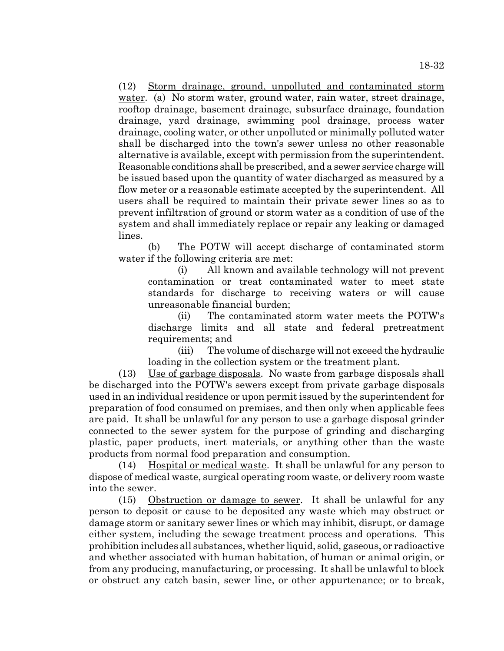(12) Storm drainage, ground, unpolluted and contaminated storm water. (a) No storm water, ground water, rain water, street drainage, rooftop drainage, basement drainage, subsurface drainage, foundation drainage, yard drainage, swimming pool drainage, process water drainage, cooling water, or other unpolluted or minimally polluted water shall be discharged into the town's sewer unless no other reasonable alternative is available, except with permission from the superintendent. Reasonable conditions shall be prescribed, and a sewer service charge will be issued based upon the quantity of water discharged as measured by a flow meter or a reasonable estimate accepted by the superintendent. All users shall be required to maintain their private sewer lines so as to prevent infiltration of ground or storm water as a condition of use of the system and shall immediately replace or repair any leaking or damaged lines.

(b) The POTW will accept discharge of contaminated storm water if the following criteria are met:

(i) All known and available technology will not prevent contamination or treat contaminated water to meet state standards for discharge to receiving waters or will cause unreasonable financial burden;

(ii) The contaminated storm water meets the POTW's discharge limits and all state and federal pretreatment requirements; and

(iii) The volume of discharge will not exceed the hydraulic loading in the collection system or the treatment plant.

(13) Use of garbage disposals. No waste from garbage disposals shall be discharged into the POTW's sewers except from private garbage disposals used in an individual residence or upon permit issued by the superintendent for preparation of food consumed on premises, and then only when applicable fees are paid. It shall be unlawful for any person to use a garbage disposal grinder connected to the sewer system for the purpose of grinding and discharging plastic, paper products, inert materials, or anything other than the waste products from normal food preparation and consumption.

(14) Hospital or medical waste. It shall be unlawful for any person to dispose of medical waste, surgical operating room waste, or delivery room waste into the sewer.

(15) Obstruction or damage to sewer. It shall be unlawful for any person to deposit or cause to be deposited any waste which may obstruct or damage storm or sanitary sewer lines or which may inhibit, disrupt, or damage either system, including the sewage treatment process and operations. This prohibition includes all substances, whether liquid, solid, gaseous, or radioactive and whether associated with human habitation, of human or animal origin, or from any producing, manufacturing, or processing. It shall be unlawful to block or obstruct any catch basin, sewer line, or other appurtenance; or to break,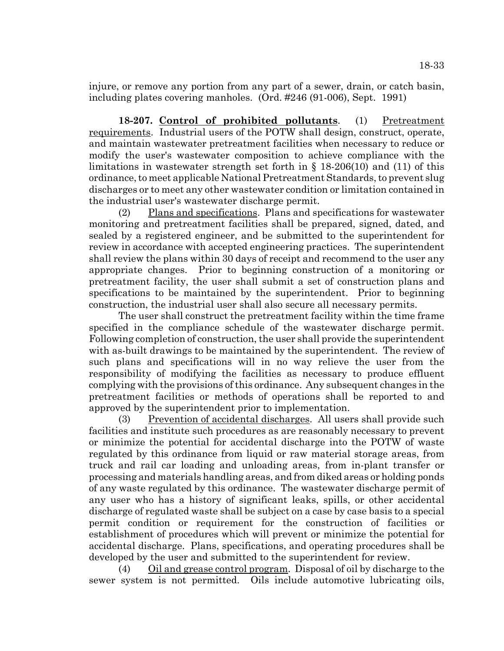injure, or remove any portion from any part of a sewer, drain, or catch basin, including plates covering manholes. (Ord. #246 (91-006), Sept. 1991)

**18-207. Control of prohibited pollutants**. (1) Pretreatment requirements. Industrial users of the POTW shall design, construct, operate, and maintain wastewater pretreatment facilities when necessary to reduce or modify the user's wastewater composition to achieve compliance with the limitations in wastewater strength set forth in § 18-206(10) and (11) of this ordinance, to meet applicable National Pretreatment Standards, to prevent slug discharges or to meet any other wastewater condition or limitation contained in the industrial user's wastewater discharge permit.

(2) Plans and specifications. Plans and specifications for wastewater monitoring and pretreatment facilities shall be prepared, signed, dated, and sealed by a registered engineer, and be submitted to the superintendent for review in accordance with accepted engineering practices. The superintendent shall review the plans within 30 days of receipt and recommend to the user any appropriate changes. Prior to beginning construction of a monitoring or pretreatment facility, the user shall submit a set of construction plans and specifications to be maintained by the superintendent. Prior to beginning construction, the industrial user shall also secure all necessary permits.

The user shall construct the pretreatment facility within the time frame specified in the compliance schedule of the wastewater discharge permit. Following completion of construction, the user shall provide the superintendent with as-built drawings to be maintained by the superintendent. The review of such plans and specifications will in no way relieve the user from the responsibility of modifying the facilities as necessary to produce effluent complying with the provisions of this ordinance. Any subsequent changes in the pretreatment facilities or methods of operations shall be reported to and approved by the superintendent prior to implementation.

(3) Prevention of accidental discharges. All users shall provide such facilities and institute such procedures as are reasonably necessary to prevent or minimize the potential for accidental discharge into the POTW of waste regulated by this ordinance from liquid or raw material storage areas, from truck and rail car loading and unloading areas, from in-plant transfer or processing and materials handling areas, and from diked areas or holding ponds of any waste regulated by this ordinance. The wastewater discharge permit of any user who has a history of significant leaks, spills, or other accidental discharge of regulated waste shall be subject on a case by case basis to a special permit condition or requirement for the construction of facilities or establishment of procedures which will prevent or minimize the potential for accidental discharge. Plans, specifications, and operating procedures shall be developed by the user and submitted to the superintendent for review.

(4) Oil and grease control program. Disposal of oil by discharge to the sewer system is not permitted. Oils include automotive lubricating oils,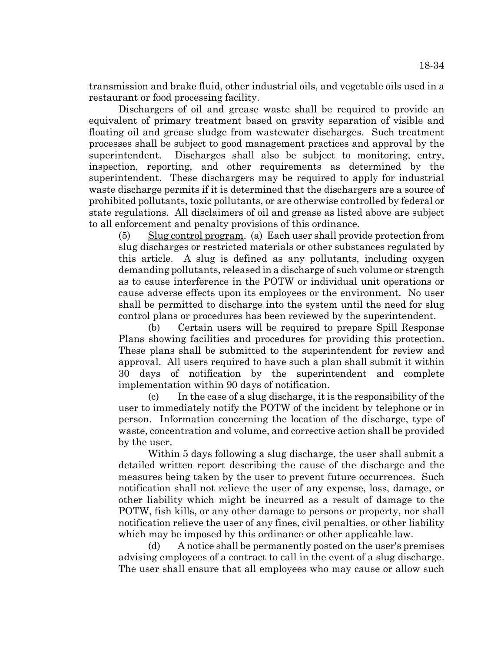18-34

transmission and brake fluid, other industrial oils, and vegetable oils used in a restaurant or food processing facility.

Dischargers of oil and grease waste shall be required to provide an equivalent of primary treatment based on gravity separation of visible and floating oil and grease sludge from wastewater discharges. Such treatment processes shall be subject to good management practices and approval by the superintendent. Discharges shall also be subject to monitoring, entry, inspection, reporting, and other requirements as determined by the superintendent. These dischargers may be required to apply for industrial waste discharge permits if it is determined that the dischargers are a source of prohibited pollutants, toxic pollutants, or are otherwise controlled by federal or state regulations. All disclaimers of oil and grease as listed above are subject to all enforcement and penalty provisions of this ordinance.

(5) Slug control program. (a) Each user shall provide protection from slug discharges or restricted materials or other substances regulated by this article. A slug is defined as any pollutants, including oxygen demanding pollutants, released in a discharge of such volume or strength as to cause interference in the POTW or individual unit operations or cause adverse effects upon its employees or the environment. No user shall be permitted to discharge into the system until the need for slug control plans or procedures has been reviewed by the superintendent.

(b) Certain users will be required to prepare Spill Response Plans showing facilities and procedures for providing this protection. These plans shall be submitted to the superintendent for review and approval. All users required to have such a plan shall submit it within 30 days of notification by the superintendent and complete implementation within 90 days of notification.

(c) In the case of a slug discharge, it is the responsibility of the user to immediately notify the POTW of the incident by telephone or in person. Information concerning the location of the discharge, type of waste, concentration and volume, and corrective action shall be provided by the user.

Within 5 days following a slug discharge, the user shall submit a detailed written report describing the cause of the discharge and the measures being taken by the user to prevent future occurrences. Such notification shall not relieve the user of any expense, loss, damage, or other liability which might be incurred as a result of damage to the POTW, fish kills, or any other damage to persons or property, nor shall notification relieve the user of any fines, civil penalties, or other liability which may be imposed by this ordinance or other applicable law.

(d) A notice shall be permanently posted on the user's premises advising employees of a contract to call in the event of a slug discharge. The user shall ensure that all employees who may cause or allow such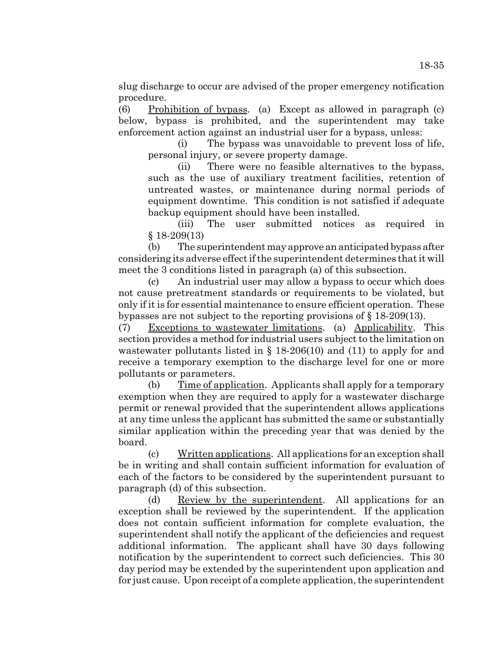slug discharge to occur are advised of the proper emergency notification procedure.

(6) Prohibition of bypass. (a) Except as allowed in paragraph (c) below, bypass is prohibited, and the superintendent may take enforcement action against an industrial user for a bypass, unless:

(i) The bypass was unavoidable to prevent loss of life, personal injury, or severe property damage.

(ii) There were no feasible alternatives to the bypass, such as the use of auxiliary treatment facilities, retention of untreated wastes, or maintenance during normal periods of equipment downtime. This condition is not satisfied if adequate backup equipment should have been installed.

(iii) The user submitted notices as required in § 18-209(13)

(b) The superintendent may approve an anticipated bypass after considering its adverse effect if the superintendent determines that it will meet the 3 conditions listed in paragraph (a) of this subsection.

(c) An industrial user may allow a bypass to occur which does not cause pretreatment standards or requirements to be violated, but only if it is for essential maintenance to ensure efficient operation. These bypasses are not subject to the reporting provisions of § 18-209(13).

(7) Exceptions to wastewater limitations. (a) Applicability. This section provides a method for industrial users subject to the limitation on wastewater pollutants listed in  $\S$  18-206(10) and (11) to apply for and receive a temporary exemption to the discharge level for one or more pollutants or parameters.

(b) Time of application. Applicants shall apply for a temporary exemption when they are required to apply for a wastewater discharge permit or renewal provided that the superintendent allows applications at any time unless the applicant has submitted the same or substantially similar application within the preceding year that was denied by the board.

(c) Written applications. All applications for an exception shall be in writing and shall contain sufficient information for evaluation of each of the factors to be considered by the superintendent pursuant to paragraph (d) of this subsection.

(d) Review by the superintendent. All applications for an exception shall be reviewed by the superintendent. If the application does not contain sufficient information for complete evaluation, the superintendent shall notify the applicant of the deficiencies and request additional information. The applicant shall have 30 days following notification by the superintendent to correct such deficiencies. This 30 day period may be extended by the superintendent upon application and for just cause. Upon receipt of a complete application, the superintendent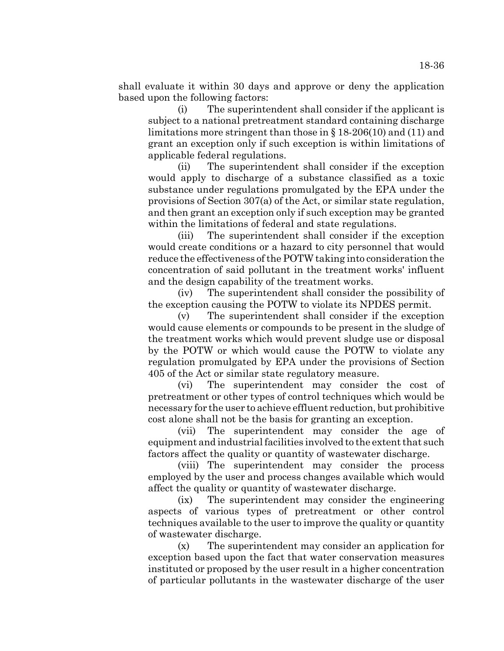shall evaluate it within 30 days and approve or deny the application based upon the following factors:

(i) The superintendent shall consider if the applicant is subject to a national pretreatment standard containing discharge limitations more stringent than those in § 18-206(10) and (11) and grant an exception only if such exception is within limitations of applicable federal regulations.

(ii) The superintendent shall consider if the exception would apply to discharge of a substance classified as a toxic substance under regulations promulgated by the EPA under the provisions of Section 307(a) of the Act, or similar state regulation, and then grant an exception only if such exception may be granted within the limitations of federal and state regulations.

(iii) The superintendent shall consider if the exception would create conditions or a hazard to city personnel that would reduce the effectiveness of the POTW taking into consideration the concentration of said pollutant in the treatment works' influent and the design capability of the treatment works.

(iv) The superintendent shall consider the possibility of the exception causing the POTW to violate its NPDES permit.

(v) The superintendent shall consider if the exception would cause elements or compounds to be present in the sludge of the treatment works which would prevent sludge use or disposal by the POTW or which would cause the POTW to violate any regulation promulgated by EPA under the provisions of Section 405 of the Act or similar state regulatory measure.

(vi) The superintendent may consider the cost of pretreatment or other types of control techniques which would be necessary for the user to achieve effluent reduction, but prohibitive cost alone shall not be the basis for granting an exception.

(vii) The superintendent may consider the age of equipment and industrial facilities involved to the extent that such factors affect the quality or quantity of wastewater discharge.

(viii) The superintendent may consider the process employed by the user and process changes available which would affect the quality or quantity of wastewater discharge.

(ix) The superintendent may consider the engineering aspects of various types of pretreatment or other control techniques available to the user to improve the quality or quantity of wastewater discharge.

(x) The superintendent may consider an application for exception based upon the fact that water conservation measures instituted or proposed by the user result in a higher concentration of particular pollutants in the wastewater discharge of the user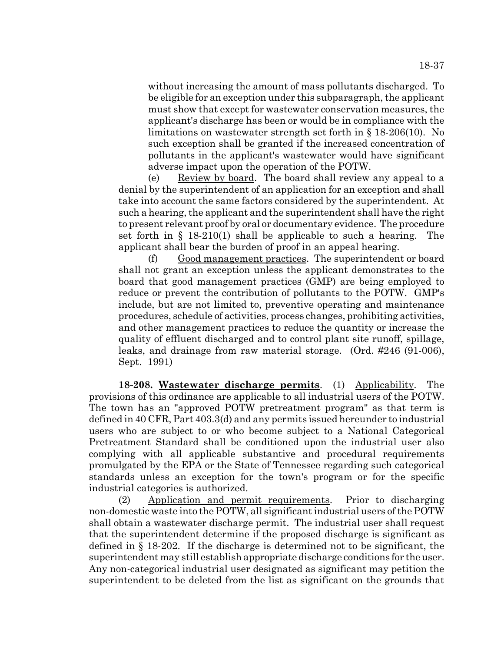without increasing the amount of mass pollutants discharged. To be eligible for an exception under this subparagraph, the applicant must show that except for wastewater conservation measures, the applicant's discharge has been or would be in compliance with the limitations on wastewater strength set forth in § 18-206(10). No such exception shall be granted if the increased concentration of pollutants in the applicant's wastewater would have significant adverse impact upon the operation of the POTW.

(e) Review by board. The board shall review any appeal to a denial by the superintendent of an application for an exception and shall take into account the same factors considered by the superintendent. At such a hearing, the applicant and the superintendent shall have the right to present relevant proof by oral or documentary evidence. The procedure set forth in  $\S$  18-210(1) shall be applicable to such a hearing. The applicant shall bear the burden of proof in an appeal hearing.

(f) Good management practices. The superintendent or board shall not grant an exception unless the applicant demonstrates to the board that good management practices (GMP) are being employed to reduce or prevent the contribution of pollutants to the POTW. GMP's include, but are not limited to, preventive operating and maintenance procedures, schedule of activities, process changes, prohibiting activities, and other management practices to reduce the quantity or increase the quality of effluent discharged and to control plant site runoff, spillage, leaks, and drainage from raw material storage. (Ord. #246 (91-006), Sept. 1991)

**18-208. Wastewater discharge permits**. (1) Applicability. The provisions of this ordinance are applicable to all industrial users of the POTW. The town has an "approved POTW pretreatment program" as that term is defined in 40 CFR, Part 403.3(d) and any permits issued hereunder to industrial users who are subject to or who become subject to a National Categorical Pretreatment Standard shall be conditioned upon the industrial user also complying with all applicable substantive and procedural requirements promulgated by the EPA or the State of Tennessee regarding such categorical standards unless an exception for the town's program or for the specific industrial categories is authorized.

(2) Application and permit requirements. Prior to discharging non-domestic waste into the POTW, all significant industrial users of the POTW shall obtain a wastewater discharge permit. The industrial user shall request that the superintendent determine if the proposed discharge is significant as defined in § 18-202. If the discharge is determined not to be significant, the superintendent may still establish appropriate discharge conditions for the user. Any non-categorical industrial user designated as significant may petition the superintendent to be deleted from the list as significant on the grounds that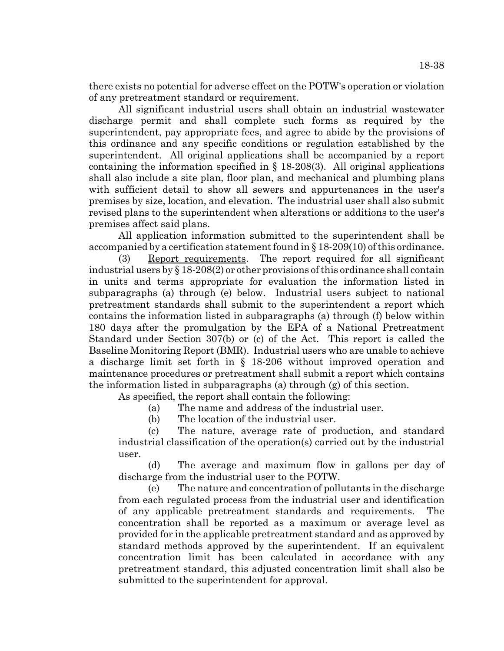there exists no potential for adverse effect on the POTW's operation or violation of any pretreatment standard or requirement.

All significant industrial users shall obtain an industrial wastewater discharge permit and shall complete such forms as required by the superintendent, pay appropriate fees, and agree to abide by the provisions of this ordinance and any specific conditions or regulation established by the superintendent. All original applications shall be accompanied by a report containing the information specified in  $\S$  18-208(3). All original applications shall also include a site plan, floor plan, and mechanical and plumbing plans with sufficient detail to show all sewers and appurtenances in the user's premises by size, location, and elevation. The industrial user shall also submit revised plans to the superintendent when alterations or additions to the user's premises affect said plans.

All application information submitted to the superintendent shall be accompanied by a certification statement found in § 18-209(10) of this ordinance.

(3) Report requirements. The report required for all significant industrial users by § 18-208(2) or other provisions of this ordinance shall contain in units and terms appropriate for evaluation the information listed in subparagraphs (a) through (e) below. Industrial users subject to national pretreatment standards shall submit to the superintendent a report which contains the information listed in subparagraphs (a) through (f) below within 180 days after the promulgation by the EPA of a National Pretreatment Standard under Section 307(b) or (c) of the Act. This report is called the Baseline Monitoring Report (BMR). Industrial users who are unable to achieve a discharge limit set forth in § 18-206 without improved operation and maintenance procedures or pretreatment shall submit a report which contains the information listed in subparagraphs (a) through (g) of this section.

As specified, the report shall contain the following:

(a) The name and address of the industrial user.

(b) The location of the industrial user.

(c) The nature, average rate of production, and standard industrial classification of the operation(s) carried out by the industrial user.

(d) The average and maximum flow in gallons per day of discharge from the industrial user to the POTW.

(e) The nature and concentration of pollutants in the discharge from each regulated process from the industrial user and identification of any applicable pretreatment standards and requirements. The concentration shall be reported as a maximum or average level as provided for in the applicable pretreatment standard and as approved by standard methods approved by the superintendent. If an equivalent concentration limit has been calculated in accordance with any pretreatment standard, this adjusted concentration limit shall also be submitted to the superintendent for approval.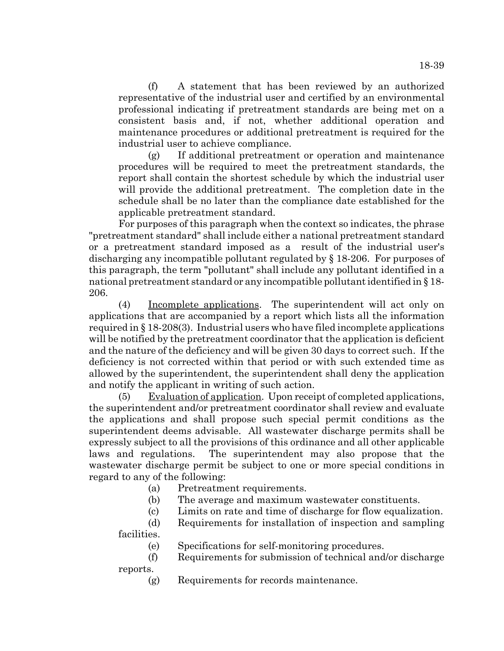(f) A statement that has been reviewed by an authorized representative of the industrial user and certified by an environmental professional indicating if pretreatment standards are being met on a consistent basis and, if not, whether additional operation and maintenance procedures or additional pretreatment is required for the industrial user to achieve compliance.

(g) If additional pretreatment or operation and maintenance procedures will be required to meet the pretreatment standards, the report shall contain the shortest schedule by which the industrial user will provide the additional pretreatment. The completion date in the schedule shall be no later than the compliance date established for the applicable pretreatment standard.

For purposes of this paragraph when the context so indicates, the phrase "pretreatment standard" shall include either a national pretreatment standard or a pretreatment standard imposed as a result of the industrial user's discharging any incompatible pollutant regulated by § 18-206. For purposes of this paragraph, the term "pollutant" shall include any pollutant identified in a national pretreatment standard or any incompatible pollutant identified in § 18- 206.

(4) Incomplete applications. The superintendent will act only on applications that are accompanied by a report which lists all the information required in § 18-208(3). Industrial users who have filed incomplete applications will be notified by the pretreatment coordinator that the application is deficient and the nature of the deficiency and will be given 30 days to correct such. If the deficiency is not corrected within that period or with such extended time as allowed by the superintendent, the superintendent shall deny the application and notify the applicant in writing of such action.

(5) Evaluation of application. Upon receipt of completed applications, the superintendent and/or pretreatment coordinator shall review and evaluate the applications and shall propose such special permit conditions as the superintendent deems advisable. All wastewater discharge permits shall be expressly subject to all the provisions of this ordinance and all other applicable laws and regulations. The superintendent may also propose that the wastewater discharge permit be subject to one or more special conditions in regard to any of the following:

(a) Pretreatment requirements.

(b) The average and maximum wastewater constituents.

(c) Limits on rate and time of discharge for flow equalization.

(d) Requirements for installation of inspection and sampling

facilities.

(e) Specifications for self-monitoring procedures.

(f) Requirements for submission of technical and/or discharge

reports.

(g) Requirements for records maintenance.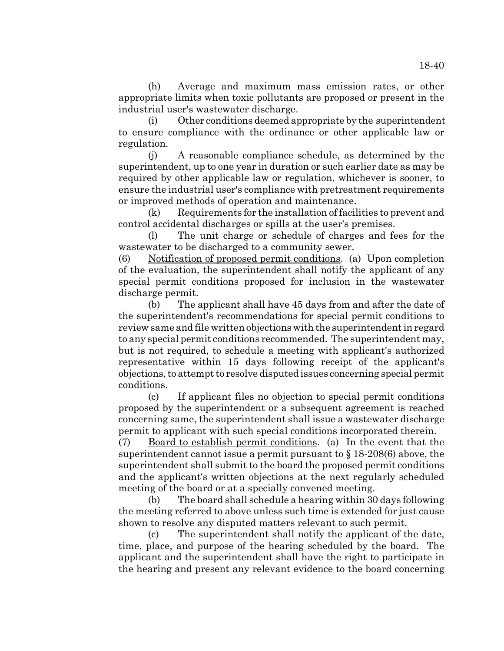(h) Average and maximum mass emission rates, or other appropriate limits when toxic pollutants are proposed or present in the industrial user's wastewater discharge.

 (i) Other conditions deemed appropriate by the superintendent to ensure compliance with the ordinance or other applicable law or regulation.

(j) A reasonable compliance schedule, as determined by the superintendent, up to one year in duration or such earlier date as may be required by other applicable law or regulation, whichever is sooner, to ensure the industrial user's compliance with pretreatment requirements or improved methods of operation and maintenance.

(k) Requirements for the installation of facilities to prevent and control accidental discharges or spills at the user's premises.

(l) The unit charge or schedule of charges and fees for the wastewater to be discharged to a community sewer.

(6) Notification of proposed permit conditions. (a) Upon completion of the evaluation, the superintendent shall notify the applicant of any special permit conditions proposed for inclusion in the wastewater discharge permit.

(b) The applicant shall have 45 days from and after the date of the superintendent's recommendations for special permit conditions to review same and file written objections with the superintendent in regard to any special permit conditions recommended. The superintendent may, but is not required, to schedule a meeting with applicant's authorized representative within 15 days following receipt of the applicant's objections, to attempt to resolve disputed issues concerning special permit conditions.

(c) If applicant files no objection to special permit conditions proposed by the superintendent or a subsequent agreement is reached concerning same, the superintendent shall issue a wastewater discharge permit to applicant with such special conditions incorporated therein.

(7) Board to establish permit conditions. (a) In the event that the superintendent cannot issue a permit pursuant to  $\S 18-208(6)$  above, the superintendent shall submit to the board the proposed permit conditions and the applicant's written objections at the next regularly scheduled meeting of the board or at a specially convened meeting.

(b) The board shall schedule a hearing within 30 days following the meeting referred to above unless such time is extended for just cause shown to resolve any disputed matters relevant to such permit.

(c) The superintendent shall notify the applicant of the date, time, place, and purpose of the hearing scheduled by the board. The applicant and the superintendent shall have the right to participate in the hearing and present any relevant evidence to the board concerning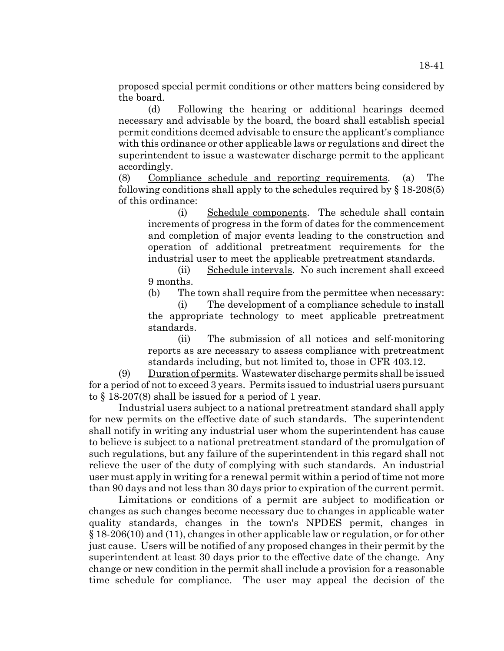proposed special permit conditions or other matters being considered by the board.

(d) Following the hearing or additional hearings deemed necessary and advisable by the board, the board shall establish special permit conditions deemed advisable to ensure the applicant's compliance with this ordinance or other applicable laws or regulations and direct the superintendent to issue a wastewater discharge permit to the applicant accordingly.

(8) Compliance schedule and reporting requirements. (a) The following conditions shall apply to the schedules required by  $\S 18-208(5)$ of this ordinance:

(i) Schedule components. The schedule shall contain increments of progress in the form of dates for the commencement and completion of major events leading to the construction and operation of additional pretreatment requirements for the industrial user to meet the applicable pretreatment standards.

(ii) Schedule intervals. No such increment shall exceed 9 months.

(b) The town shall require from the permittee when necessary:

(i) The development of a compliance schedule to install the appropriate technology to meet applicable pretreatment standards.

(ii) The submission of all notices and self-monitoring reports as are necessary to assess compliance with pretreatment standards including, but not limited to, those in CFR 403.12.

(9) Duration of permits. Wastewater discharge permits shall be issued for a period of not to exceed 3 years. Permits issued to industrial users pursuant to § 18-207(8) shall be issued for a period of 1 year.

Industrial users subject to a national pretreatment standard shall apply for new permits on the effective date of such standards. The superintendent shall notify in writing any industrial user whom the superintendent has cause to believe is subject to a national pretreatment standard of the promulgation of such regulations, but any failure of the superintendent in this regard shall not relieve the user of the duty of complying with such standards. An industrial user must apply in writing for a renewal permit within a period of time not more than 90 days and not less than 30 days prior to expiration of the current permit.

Limitations or conditions of a permit are subject to modification or changes as such changes become necessary due to changes in applicable water quality standards, changes in the town's NPDES permit, changes in § 18-206(10) and (11), changes in other applicable law or regulation, or for other just cause. Users will be notified of any proposed changes in their permit by the superintendent at least 30 days prior to the effective date of the change. Any change or new condition in the permit shall include a provision for a reasonable time schedule for compliance. The user may appeal the decision of the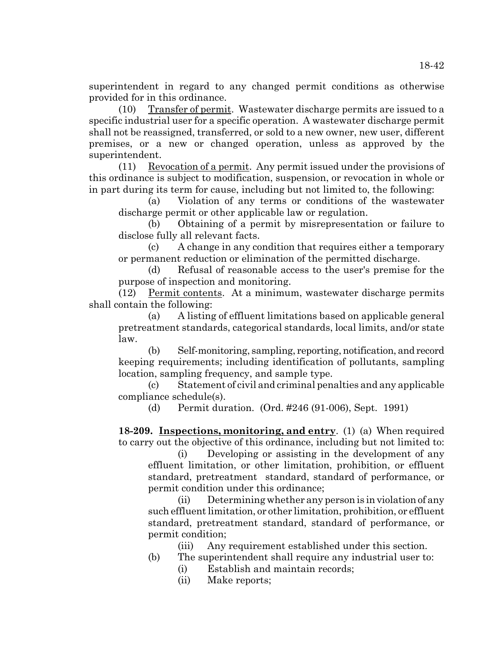superintendent in regard to any changed permit conditions as otherwise provided for in this ordinance.

(10) Transfer of permit. Wastewater discharge permits are issued to a specific industrial user for a specific operation. A wastewater discharge permit shall not be reassigned, transferred, or sold to a new owner, new user, different premises, or a new or changed operation, unless as approved by the superintendent.

(11) Revocation of a permit. Any permit issued under the provisions of this ordinance is subject to modification, suspension, or revocation in whole or in part during its term for cause, including but not limited to, the following:

(a) Violation of any terms or conditions of the wastewater discharge permit or other applicable law or regulation.

(b) Obtaining of a permit by misrepresentation or failure to disclose fully all relevant facts.

(c) A change in any condition that requires either a temporary or permanent reduction or elimination of the permitted discharge.

(d) Refusal of reasonable access to the user's premise for the purpose of inspection and monitoring.

(12) Permit contents. At a minimum, wastewater discharge permits shall contain the following:

(a) A listing of effluent limitations based on applicable general pretreatment standards, categorical standards, local limits, and/or state law.

(b) Self-monitoring, sampling, reporting, notification, and record keeping requirements; including identification of pollutants, sampling location, sampling frequency, and sample type.

(c) Statement of civil and criminal penalties and any applicable compliance schedule(s).

(d) Permit duration. (Ord. #246 (91-006), Sept. 1991)

**18-209. Inspections, monitoring, and entry**. (1) (a) When required to carry out the objective of this ordinance, including but not limited to:

(i) Developing or assisting in the development of any effluent limitation, or other limitation, prohibition, or effluent standard, pretreatment standard, standard of performance, or permit condition under this ordinance;

(ii) Determining whether any person is in violation of any such effluent limitation, or other limitation, prohibition, or effluent standard, pretreatment standard, standard of performance, or permit condition;

(iii) Any requirement established under this section.

- (b) The superintendent shall require any industrial user to:
	- (i) Establish and maintain records;
	- (ii) Make reports;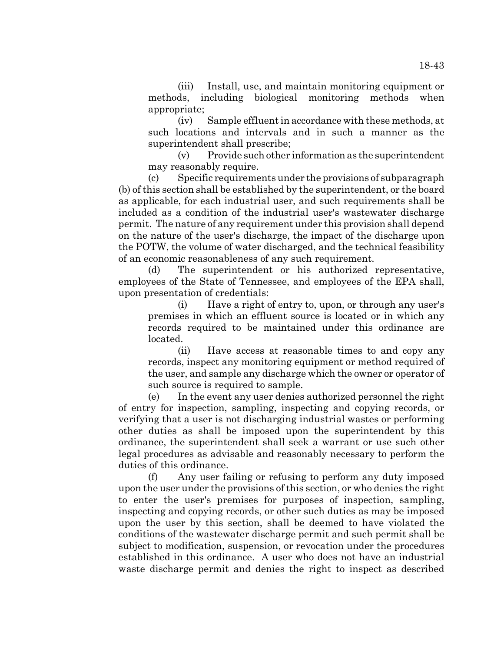(iii) Install, use, and maintain monitoring equipment or methods, including biological monitoring methods when appropriate;

(iv) Sample effluent in accordance with these methods, at such locations and intervals and in such a manner as the superintendent shall prescribe;

(v) Provide such other information as the superintendent may reasonably require.

(c) Specific requirements under the provisions of subparagraph (b) of this section shall be established by the superintendent, or the board as applicable, for each industrial user, and such requirements shall be included as a condition of the industrial user's wastewater discharge permit. The nature of any requirement under this provision shall depend on the nature of the user's discharge, the impact of the discharge upon the POTW, the volume of water discharged, and the technical feasibility of an economic reasonableness of any such requirement.

(d) The superintendent or his authorized representative, employees of the State of Tennessee, and employees of the EPA shall, upon presentation of credentials:

(i) Have a right of entry to, upon, or through any user's premises in which an effluent source is located or in which any records required to be maintained under this ordinance are located.

(ii) Have access at reasonable times to and copy any records, inspect any monitoring equipment or method required of the user, and sample any discharge which the owner or operator of such source is required to sample.

(e) In the event any user denies authorized personnel the right of entry for inspection, sampling, inspecting and copying records, or verifying that a user is not discharging industrial wastes or performing other duties as shall be imposed upon the superintendent by this ordinance, the superintendent shall seek a warrant or use such other legal procedures as advisable and reasonably necessary to perform the duties of this ordinance.

(f) Any user failing or refusing to perform any duty imposed upon the user under the provisions of this section, or who denies the right to enter the user's premises for purposes of inspection, sampling, inspecting and copying records, or other such duties as may be imposed upon the user by this section, shall be deemed to have violated the conditions of the wastewater discharge permit and such permit shall be subject to modification, suspension, or revocation under the procedures established in this ordinance. A user who does not have an industrial waste discharge permit and denies the right to inspect as described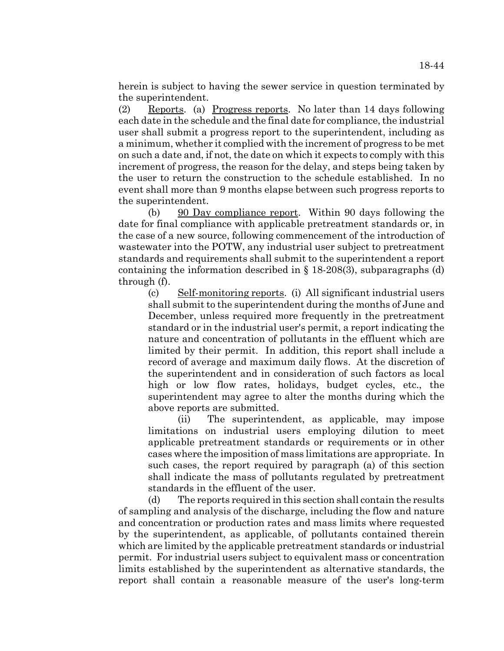herein is subject to having the sewer service in question terminated by the superintendent.

(2) Reports. (a) Progress reports. No later than 14 days following each date in the schedule and the final date for compliance, the industrial user shall submit a progress report to the superintendent, including as a minimum, whether it complied with the increment of progress to be met on such a date and, if not, the date on which it expects to comply with this increment of progress, the reason for the delay, and steps being taken by the user to return the construction to the schedule established. In no event shall more than 9 months elapse between such progress reports to the superintendent.

(b) 90 Day compliance report. Within 90 days following the date for final compliance with applicable pretreatment standards or, in the case of a new source, following commencement of the introduction of wastewater into the POTW, any industrial user subject to pretreatment standards and requirements shall submit to the superintendent a report containing the information described in  $\S$  18-208(3), subparagraphs (d) through (f).

(c) Self-monitoring reports. (i) All significant industrial users shall submit to the superintendent during the months of June and December, unless required more frequently in the pretreatment standard or in the industrial user's permit, a report indicating the nature and concentration of pollutants in the effluent which are limited by their permit. In addition, this report shall include a record of average and maximum daily flows. At the discretion of the superintendent and in consideration of such factors as local high or low flow rates, holidays, budget cycles, etc., the superintendent may agree to alter the months during which the above reports are submitted.

(ii) The superintendent, as applicable, may impose limitations on industrial users employing dilution to meet applicable pretreatment standards or requirements or in other cases where the imposition of mass limitations are appropriate. In such cases, the report required by paragraph (a) of this section shall indicate the mass of pollutants regulated by pretreatment standards in the effluent of the user.

(d) The reports required in this section shall contain the results of sampling and analysis of the discharge, including the flow and nature and concentration or production rates and mass limits where requested by the superintendent, as applicable, of pollutants contained therein which are limited by the applicable pretreatment standards or industrial permit. For industrial users subject to equivalent mass or concentration limits established by the superintendent as alternative standards, the report shall contain a reasonable measure of the user's long-term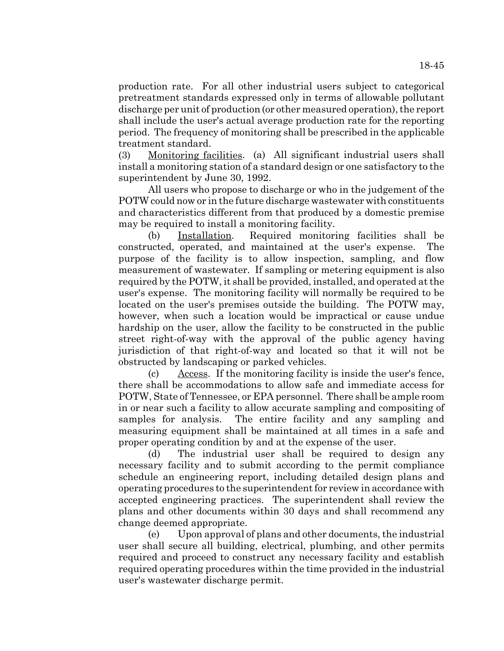production rate. For all other industrial users subject to categorical pretreatment standards expressed only in terms of allowable pollutant discharge per unit of production (or other measured operation), the report shall include the user's actual average production rate for the reporting period. The frequency of monitoring shall be prescribed in the applicable treatment standard.

(3) Monitoring facilities. (a) All significant industrial users shall install a monitoring station of a standard design or one satisfactory to the superintendent by June 30, 1992.

All users who propose to discharge or who in the judgement of the POTW could now or in the future discharge wastewater with constituents and characteristics different from that produced by a domestic premise may be required to install a monitoring facility.

(b) Installation. Required monitoring facilities shall be constructed, operated, and maintained at the user's expense. The purpose of the facility is to allow inspection, sampling, and flow measurement of wastewater. If sampling or metering equipment is also required by the POTW, it shall be provided, installed, and operated at the user's expense. The monitoring facility will normally be required to be located on the user's premises outside the building. The POTW may, however, when such a location would be impractical or cause undue hardship on the user, allow the facility to be constructed in the public street right-of-way with the approval of the public agency having jurisdiction of that right-of-way and located so that it will not be obstructed by landscaping or parked vehicles.

(c) Access. If the monitoring facility is inside the user's fence, there shall be accommodations to allow safe and immediate access for POTW, State of Tennessee, or EPA personnel. There shall be ample room in or near such a facility to allow accurate sampling and compositing of samples for analysis. The entire facility and any sampling and measuring equipment shall be maintained at all times in a safe and proper operating condition by and at the expense of the user.

(d) The industrial user shall be required to design any necessary facility and to submit according to the permit compliance schedule an engineering report, including detailed design plans and operating procedures to the superintendent for review in accordance with accepted engineering practices. The superintendent shall review the plans and other documents within 30 days and shall recommend any change deemed appropriate.

(e) Upon approval of plans and other documents, the industrial user shall secure all building, electrical, plumbing, and other permits required and proceed to construct any necessary facility and establish required operating procedures within the time provided in the industrial user's wastewater discharge permit.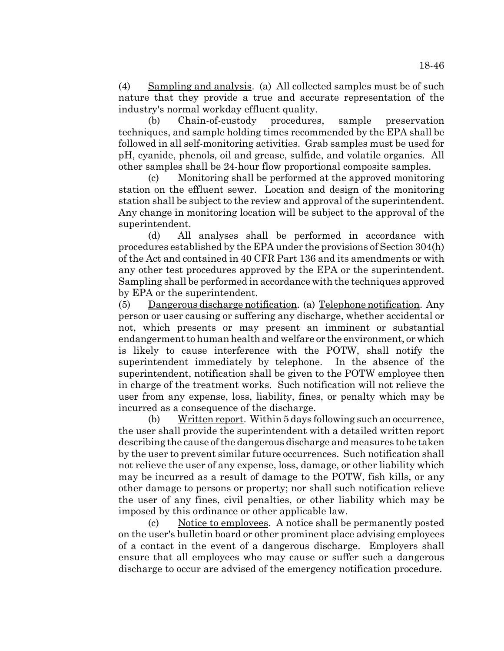(4) Sampling and analysis. (a) All collected samples must be of such nature that they provide a true and accurate representation of the industry's normal workday effluent quality.

(b) Chain-of-custody procedures, sample preservation techniques, and sample holding times recommended by the EPA shall be followed in all self-monitoring activities. Grab samples must be used for pH, cyanide, phenols, oil and grease, sulfide, and volatile organics. All other samples shall be 24-hour flow proportional composite samples.

(c) Monitoring shall be performed at the approved monitoring station on the effluent sewer. Location and design of the monitoring station shall be subject to the review and approval of the superintendent. Any change in monitoring location will be subject to the approval of the superintendent.

(d) All analyses shall be performed in accordance with procedures established by the EPA under the provisions of Section 304(h) of the Act and contained in 40 CFR Part 136 and its amendments or with any other test procedures approved by the EPA or the superintendent. Sampling shall be performed in accordance with the techniques approved by EPA or the superintendent.

(5) Dangerous discharge notification. (a) Telephone notification. Any person or user causing or suffering any discharge, whether accidental or not, which presents or may present an imminent or substantial endangerment to human health and welfare or the environment, or which is likely to cause interference with the POTW, shall notify the superintendent immediately by telephone. In the absence of the superintendent, notification shall be given to the POTW employee then in charge of the treatment works. Such notification will not relieve the user from any expense, loss, liability, fines, or penalty which may be incurred as a consequence of the discharge.

(b) Written report. Within 5 days following such an occurrence, the user shall provide the superintendent with a detailed written report describing the cause of the dangerous discharge and measures to be taken by the user to prevent similar future occurrences. Such notification shall not relieve the user of any expense, loss, damage, or other liability which may be incurred as a result of damage to the POTW, fish kills, or any other damage to persons or property; nor shall such notification relieve the user of any fines, civil penalties, or other liability which may be imposed by this ordinance or other applicable law.

(c) Notice to employees. A notice shall be permanently posted on the user's bulletin board or other prominent place advising employees of a contact in the event of a dangerous discharge. Employers shall ensure that all employees who may cause or suffer such a dangerous discharge to occur are advised of the emergency notification procedure.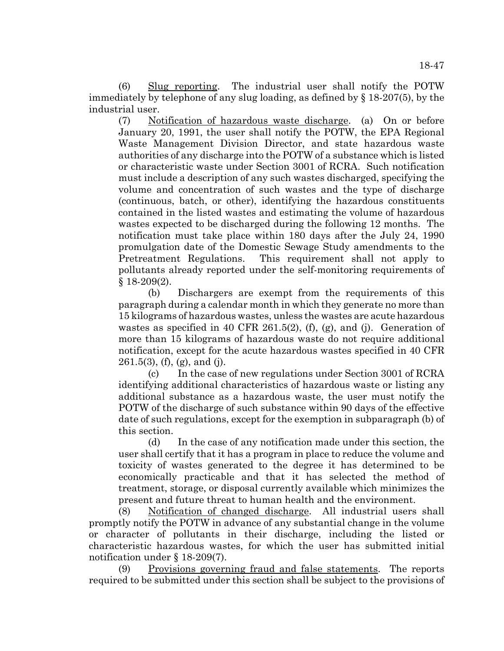(6) Slug reporting. The industrial user shall notify the POTW immediately by telephone of any slug loading, as defined by § 18-207(5), by the industrial user.

(7) Notification of hazardous waste discharge. (a) On or before January 20, 1991, the user shall notify the POTW, the EPA Regional Waste Management Division Director, and state hazardous waste authorities of any discharge into the POTW of a substance which is listed or characteristic waste under Section 3001 of RCRA. Such notification must include a description of any such wastes discharged, specifying the volume and concentration of such wastes and the type of discharge (continuous, batch, or other), identifying the hazardous constituents contained in the listed wastes and estimating the volume of hazardous wastes expected to be discharged during the following 12 months. The notification must take place within 180 days after the July 24, 1990 promulgation date of the Domestic Sewage Study amendments to the Pretreatment Regulations. This requirement shall not apply to pollutants already reported under the self-monitoring requirements of § 18-209(2).

(b) Dischargers are exempt from the requirements of this paragraph during a calendar month in which they generate no more than 15 kilograms of hazardous wastes, unless the wastes are acute hazardous wastes as specified in 40 CFR 261.5(2), (f), (g), and (j). Generation of more than 15 kilograms of hazardous waste do not require additional notification, except for the acute hazardous wastes specified in 40 CFR  $261.5(3)$ , (f), (g), and (j).

(c) In the case of new regulations under Section 3001 of RCRA identifying additional characteristics of hazardous waste or listing any additional substance as a hazardous waste, the user must notify the POTW of the discharge of such substance within 90 days of the effective date of such regulations, except for the exemption in subparagraph (b) of this section.

(d) In the case of any notification made under this section, the user shall certify that it has a program in place to reduce the volume and toxicity of wastes generated to the degree it has determined to be economically practicable and that it has selected the method of treatment, storage, or disposal currently available which minimizes the present and future threat to human health and the environment.

(8) Notification of changed discharge. All industrial users shall promptly notify the POTW in advance of any substantial change in the volume or character of pollutants in their discharge, including the listed or characteristic hazardous wastes, for which the user has submitted initial notification under § 18-209(7).

(9) Provisions governing fraud and false statements. The reports required to be submitted under this section shall be subject to the provisions of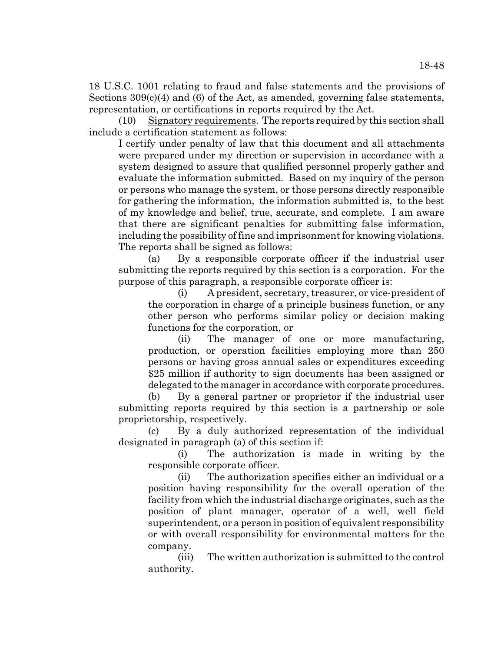18 U.S.C. 1001 relating to fraud and false statements and the provisions of Sections  $309(c)(4)$  and (6) of the Act, as amended, governing false statements, representation, or certifications in reports required by the Act.

(10) Signatory requirements. The reports required by this section shall include a certification statement as follows:

I certify under penalty of law that this document and all attachments were prepared under my direction or supervision in accordance with a system designed to assure that qualified personnel properly gather and evaluate the information submitted. Based on my inquiry of the person or persons who manage the system, or those persons directly responsible for gathering the information, the information submitted is, to the best of my knowledge and belief, true, accurate, and complete. I am aware that there are significant penalties for submitting false information, including the possibility of fine and imprisonment for knowing violations. The reports shall be signed as follows:

(a) By a responsible corporate officer if the industrial user submitting the reports required by this section is a corporation. For the purpose of this paragraph, a responsible corporate officer is:

(i) A president, secretary, treasurer, or vice-president of the corporation in charge of a principle business function, or any other person who performs similar policy or decision making functions for the corporation, or

(ii) The manager of one or more manufacturing, production, or operation facilities employing more than 250 persons or having gross annual sales or expenditures exceeding \$25 million if authority to sign documents has been assigned or delegated to the manager in accordance with corporate procedures.

(b) By a general partner or proprietor if the industrial user submitting reports required by this section is a partnership or sole proprietorship, respectively.

(c) By a duly authorized representation of the individual designated in paragraph (a) of this section if:

(i) The authorization is made in writing by the responsible corporate officer.

(ii) The authorization specifies either an individual or a position having responsibility for the overall operation of the facility from which the industrial discharge originates, such as the position of plant manager, operator of a well, well field superintendent, or a person in position of equivalent responsibility or with overall responsibility for environmental matters for the company.

(iii) The written authorization is submitted to the control authority.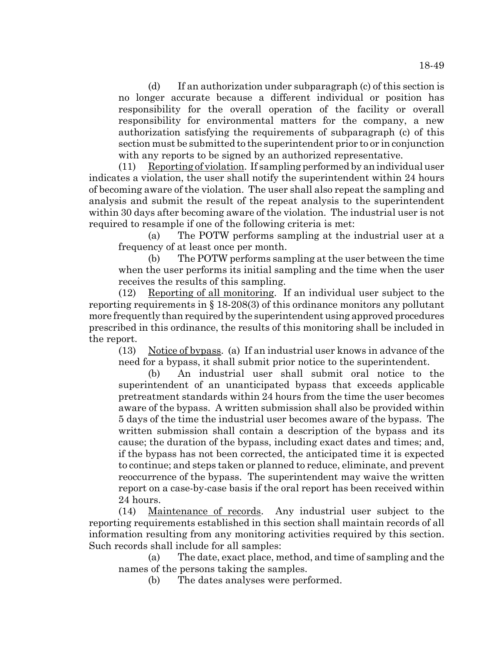(d) If an authorization under subparagraph (c) of this section is no longer accurate because a different individual or position has responsibility for the overall operation of the facility or overall responsibility for environmental matters for the company, a new authorization satisfying the requirements of subparagraph (c) of this section must be submitted to the superintendent prior to or in conjunction with any reports to be signed by an authorized representative.

(11) Reporting of violation. If sampling performed by an individual user indicates a violation, the user shall notify the superintendent within 24 hours of becoming aware of the violation. The user shall also repeat the sampling and analysis and submit the result of the repeat analysis to the superintendent within 30 days after becoming aware of the violation. The industrial user is not required to resample if one of the following criteria is met:

(a) The POTW performs sampling at the industrial user at a frequency of at least once per month.

(b) The POTW performs sampling at the user between the time when the user performs its initial sampling and the time when the user receives the results of this sampling.

(12) Reporting of all monitoring. If an individual user subject to the reporting requirements in § 18-208(3) of this ordinance monitors any pollutant more frequently than required by the superintendent using approved procedures prescribed in this ordinance, the results of this monitoring shall be included in the report.

(13) Notice of bypass. (a) If an industrial user knows in advance of the need for a bypass, it shall submit prior notice to the superintendent.

(b) An industrial user shall submit oral notice to the superintendent of an unanticipated bypass that exceeds applicable pretreatment standards within 24 hours from the time the user becomes aware of the bypass. A written submission shall also be provided within 5 days of the time the industrial user becomes aware of the bypass. The written submission shall contain a description of the bypass and its cause; the duration of the bypass, including exact dates and times; and, if the bypass has not been corrected, the anticipated time it is expected to continue; and steps taken or planned to reduce, eliminate, and prevent reoccurrence of the bypass. The superintendent may waive the written report on a case-by-case basis if the oral report has been received within 24 hours.

(14) Maintenance of records. Any industrial user subject to the reporting requirements established in this section shall maintain records of all information resulting from any monitoring activities required by this section. Such records shall include for all samples:

(a) The date, exact place, method, and time of sampling and the names of the persons taking the samples.

(b) The dates analyses were performed.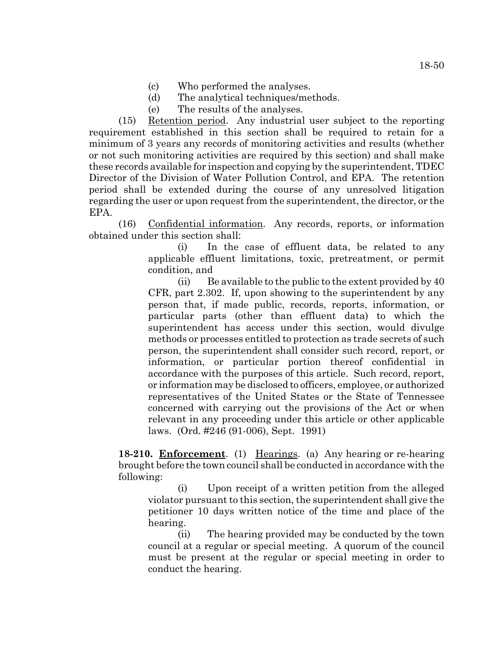- (c) Who performed the analyses.
- (d) The analytical techniques/methods.
- (e) The results of the analyses.

(15) Retention period. Any industrial user subject to the reporting requirement established in this section shall be required to retain for a minimum of 3 years any records of monitoring activities and results (whether or not such monitoring activities are required by this section) and shall make these records available for inspection and copying by the superintendent, TDEC Director of the Division of Water Pollution Control, and EPA. The retention period shall be extended during the course of any unresolved litigation regarding the user or upon request from the superintendent, the director, or the EPA.

(16) Confidential information. Any records, reports, or information obtained under this section shall:

> (i) In the case of effluent data, be related to any applicable effluent limitations, toxic, pretreatment, or permit condition, and

> $(i)$  Be available to the public to the extent provided by 40 CFR, part 2.302. If, upon showing to the superintendent by any person that, if made public, records, reports, information, or particular parts (other than effluent data) to which the superintendent has access under this section, would divulge methods or processes entitled to protection as trade secrets of such person, the superintendent shall consider such record, report, or information, or particular portion thereof confidential in accordance with the purposes of this article. Such record, report, or information may be disclosed to officers, employee, or authorized representatives of the United States or the State of Tennessee concerned with carrying out the provisions of the Act or when relevant in any proceeding under this article or other applicable laws. (Ord. #246 (91-006), Sept. 1991)

**18-210. Enforcement**. (1) Hearings. (a) Any hearing or re-hearing brought before the town council shall be conducted in accordance with the following:

(i) Upon receipt of a written petition from the alleged violator pursuant to this section, the superintendent shall give the petitioner 10 days written notice of the time and place of the hearing.

(ii) The hearing provided may be conducted by the town council at a regular or special meeting. A quorum of the council must be present at the regular or special meeting in order to conduct the hearing.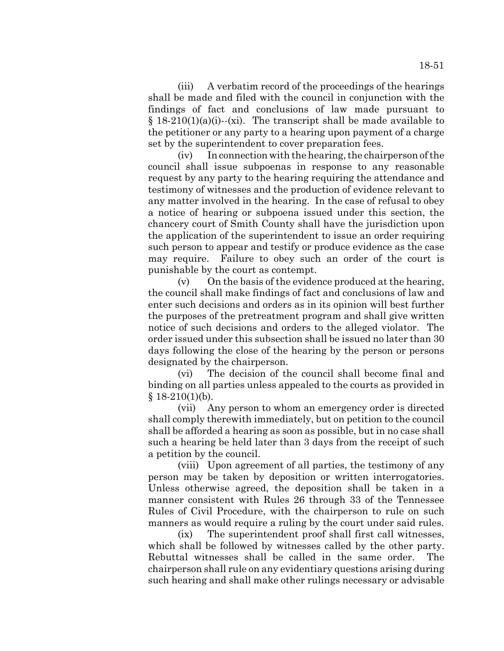(iii) A verbatim record of the proceedings of the hearings shall be made and filed with the council in conjunction with the findings of fact and conclusions of law made pursuant to  $§$  18-210(1)(a)(i)--(xi). The transcript shall be made available to the petitioner or any party to a hearing upon payment of a charge set by the superintendent to cover preparation fees.

(iv) In connection with the hearing, the chairperson of the council shall issue subpoenas in response to any reasonable request by any party to the hearing requiring the attendance and testimony of witnesses and the production of evidence relevant to any matter involved in the hearing. In the case of refusal to obey a notice of hearing or subpoena issued under this section, the chancery court of Smith County shall have the jurisdiction upon the application of the superintendent to issue an order requiring such person to appear and testify or produce evidence as the case may require. Failure to obey such an order of the court is punishable by the court as contempt.

(v) On the basis of the evidence produced at the hearing, the council shall make findings of fact and conclusions of law and enter such decisions and orders as in its opinion will best further the purposes of the pretreatment program and shall give written notice of such decisions and orders to the alleged violator. The order issued under this subsection shall be issued no later than 30 days following the close of the hearing by the person or persons designated by the chairperson.

(vi) The decision of the council shall become final and binding on all parties unless appealed to the courts as provided in  $§$  18-210(1)(b).

(vii) Any person to whom an emergency order is directed shall comply therewith immediately, but on petition to the council shall be afforded a hearing as soon as possible, but in no case shall such a hearing be held later than 3 days from the receipt of such a petition by the council.

(viii) Upon agreement of all parties, the testimony of any person may be taken by deposition or written interrogatories. Unless otherwise agreed, the deposition shall be taken in a manner consistent with Rules 26 through 33 of the Tennessee Rules of Civil Procedure, with the chairperson to rule on such manners as would require a ruling by the court under said rules.

(ix) The superintendent proof shall first call witnesses, which shall be followed by witnesses called by the other party. Rebuttal witnesses shall be called in the same order. The chairperson shall rule on any evidentiary questions arising during such hearing and shall make other rulings necessary or advisable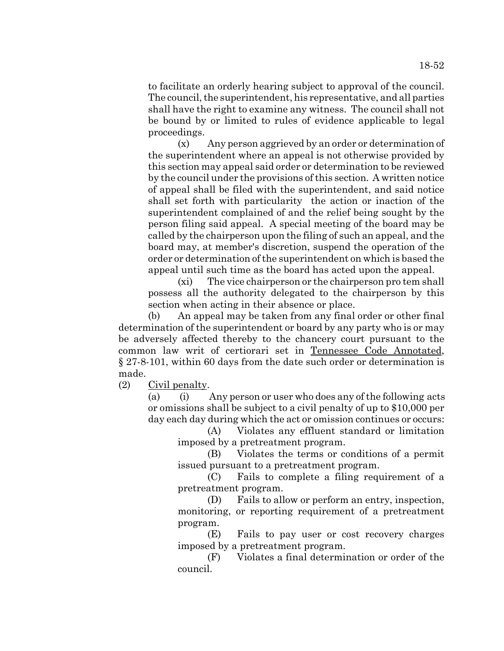to facilitate an orderly hearing subject to approval of the council. The council, the superintendent, his representative, and all parties shall have the right to examine any witness. The council shall not be bound by or limited to rules of evidence applicable to legal proceedings.

(x) Any person aggrieved by an order or determination of the superintendent where an appeal is not otherwise provided by this section may appeal said order or determination to be reviewed by the council under the provisions of this section. A written notice of appeal shall be filed with the superintendent, and said notice shall set forth with particularity the action or inaction of the superintendent complained of and the relief being sought by the person filing said appeal. A special meeting of the board may be called by the chairperson upon the filing of such an appeal, and the board may, at member's discretion, suspend the operation of the order or determination of the superintendent on which is based the appeal until such time as the board has acted upon the appeal.

(xi) The vice chairperson or the chairperson pro tem shall possess all the authority delegated to the chairperson by this section when acting in their absence or place.

(b) An appeal may be taken from any final order or other final determination of the superintendent or board by any party who is or may be adversely affected thereby to the chancery court pursuant to the common law writ of certiorari set in Tennessee Code Annotated, § 27-8-101, within 60 days from the date such order or determination is made.

(2) Civil penalty.

(a) (i) Any person or user who does any of the following acts or omissions shall be subject to a civil penalty of up to \$10,000 per day each day during which the act or omission continues or occurs:

(A) Violates any effluent standard or limitation imposed by a pretreatment program.

(B) Violates the terms or conditions of a permit issued pursuant to a pretreatment program.

(C) Fails to complete a filing requirement of a pretreatment program.

(D) Fails to allow or perform an entry, inspection, monitoring, or reporting requirement of a pretreatment program.

(E) Fails to pay user or cost recovery charges imposed by a pretreatment program.

(F) Violates a final determination or order of the council.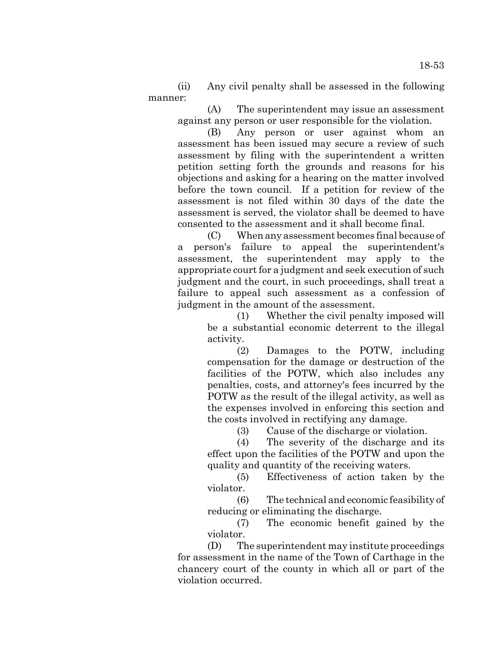(ii) Any civil penalty shall be assessed in the following manner:

(A) The superintendent may issue an assessment against any person or user responsible for the violation.

(B) Any person or user against whom an assessment has been issued may secure a review of such assessment by filing with the superintendent a written petition setting forth the grounds and reasons for his objections and asking for a hearing on the matter involved before the town council. If a petition for review of the assessment is not filed within 30 days of the date the assessment is served, the violator shall be deemed to have consented to the assessment and it shall become final.

(C) When any assessment becomes final because of a person's failure to appeal the superintendent's assessment, the superintendent may apply to the appropriate court for a judgment and seek execution of such judgment and the court, in such proceedings, shall treat a failure to appeal such assessment as a confession of judgment in the amount of the assessment.

(1) Whether the civil penalty imposed will be a substantial economic deterrent to the illegal activity.

(2) Damages to the POTW, including compensation for the damage or destruction of the facilities of the POTW, which also includes any penalties, costs, and attorney's fees incurred by the POTW as the result of the illegal activity, as well as the expenses involved in enforcing this section and the costs involved in rectifying any damage.

(3) Cause of the discharge or violation.

(4) The severity of the discharge and its effect upon the facilities of the POTW and upon the quality and quantity of the receiving waters.

(5) Effectiveness of action taken by the violator.

(6) The technical and economic feasibility of reducing or eliminating the discharge.

(7) The economic benefit gained by the violator.

(D) The superintendent may institute proceedings for assessment in the name of the Town of Carthage in the chancery court of the county in which all or part of the violation occurred.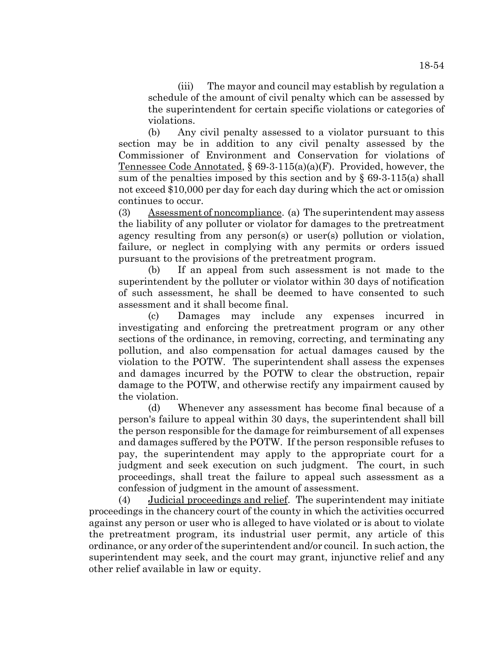18-54

(iii) The mayor and council may establish by regulation a schedule of the amount of civil penalty which can be assessed by the superintendent for certain specific violations or categories of violations.

(b) Any civil penalty assessed to a violator pursuant to this section may be in addition to any civil penalty assessed by the Commissioner of Environment and Conservation for violations of Tennessee Code Annotated,  $\S 69-3-115(a)(a)(F)$ . Provided, however, the sum of the penalties imposed by this section and by  $\S$  69-3-115(a) shall not exceed \$10,000 per day for each day during which the act or omission continues to occur.

(3) Assessment of noncompliance. (a) The superintendent may assess the liability of any polluter or violator for damages to the pretreatment agency resulting from any person(s) or user(s) pollution or violation, failure, or neglect in complying with any permits or orders issued pursuant to the provisions of the pretreatment program.

(b) If an appeal from such assessment is not made to the superintendent by the polluter or violator within 30 days of notification of such assessment, he shall be deemed to have consented to such assessment and it shall become final.

(c) Damages may include any expenses incurred in investigating and enforcing the pretreatment program or any other sections of the ordinance, in removing, correcting, and terminating any pollution, and also compensation for actual damages caused by the violation to the POTW. The superintendent shall assess the expenses and damages incurred by the POTW to clear the obstruction, repair damage to the POTW, and otherwise rectify any impairment caused by the violation.

(d) Whenever any assessment has become final because of a person's failure to appeal within 30 days, the superintendent shall bill the person responsible for the damage for reimbursement of all expenses and damages suffered by the POTW. If the person responsible refuses to pay, the superintendent may apply to the appropriate court for a judgment and seek execution on such judgment. The court, in such proceedings, shall treat the failure to appeal such assessment as a confession of judgment in the amount of assessment.

(4) Judicial proceedings and relief. The superintendent may initiate proceedings in the chancery court of the county in which the activities occurred against any person or user who is alleged to have violated or is about to violate the pretreatment program, its industrial user permit, any article of this ordinance, or any order of the superintendent and/or council. In such action, the superintendent may seek, and the court may grant, injunctive relief and any other relief available in law or equity.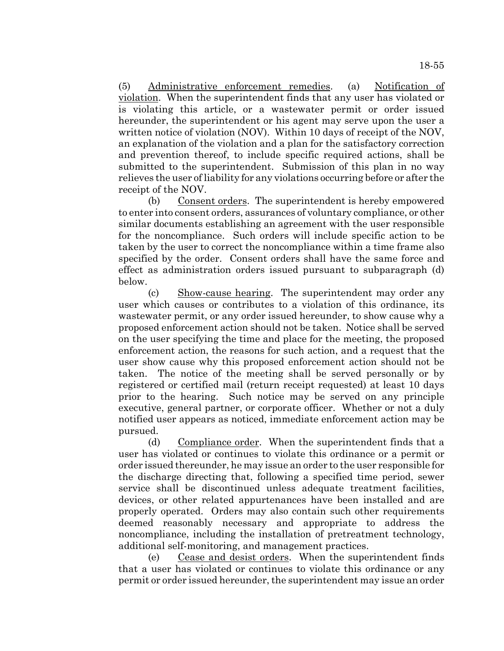(5) Administrative enforcement remedies. (a) Notification of violation. When the superintendent finds that any user has violated or is violating this article, or a wastewater permit or order issued hereunder, the superintendent or his agent may serve upon the user a written notice of violation (NOV). Within 10 days of receipt of the NOV, an explanation of the violation and a plan for the satisfactory correction and prevention thereof, to include specific required actions, shall be submitted to the superintendent. Submission of this plan in no way relieves the user of liability for any violations occurring before or after the receipt of the NOV.

(b) Consent orders. The superintendent is hereby empowered to enter into consent orders, assurances of voluntary compliance, or other similar documents establishing an agreement with the user responsible for the noncompliance. Such orders will include specific action to be taken by the user to correct the noncompliance within a time frame also specified by the order. Consent orders shall have the same force and effect as administration orders issued pursuant to subparagraph (d) below.

(c) Show-cause hearing. The superintendent may order any user which causes or contributes to a violation of this ordinance, its wastewater permit, or any order issued hereunder, to show cause why a proposed enforcement action should not be taken. Notice shall be served on the user specifying the time and place for the meeting, the proposed enforcement action, the reasons for such action, and a request that the user show cause why this proposed enforcement action should not be taken. The notice of the meeting shall be served personally or by registered or certified mail (return receipt requested) at least 10 days prior to the hearing. Such notice may be served on any principle executive, general partner, or corporate officer. Whether or not a duly notified user appears as noticed, immediate enforcement action may be pursued.

(d) Compliance order. When the superintendent finds that a user has violated or continues to violate this ordinance or a permit or order issued thereunder, he may issue an order to the user responsible for the discharge directing that, following a specified time period, sewer service shall be discontinued unless adequate treatment facilities, devices, or other related appurtenances have been installed and are properly operated. Orders may also contain such other requirements deemed reasonably necessary and appropriate to address the noncompliance, including the installation of pretreatment technology, additional self-monitoring, and management practices.

(e) Cease and desist orders. When the superintendent finds that a user has violated or continues to violate this ordinance or any permit or order issued hereunder, the superintendent may issue an order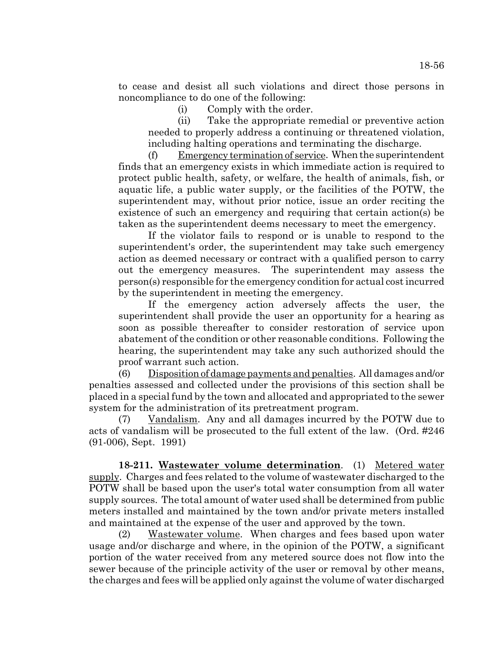to cease and desist all such violations and direct those persons in noncompliance to do one of the following:

(i) Comply with the order.

(ii) Take the appropriate remedial or preventive action needed to properly address a continuing or threatened violation, including halting operations and terminating the discharge.

(f) Emergency termination of service. When the superintendent finds that an emergency exists in which immediate action is required to protect public health, safety, or welfare, the health of animals, fish, or aquatic life, a public water supply, or the facilities of the POTW, the superintendent may, without prior notice, issue an order reciting the existence of such an emergency and requiring that certain action(s) be taken as the superintendent deems necessary to meet the emergency.

If the violator fails to respond or is unable to respond to the superintendent's order, the superintendent may take such emergency action as deemed necessary or contract with a qualified person to carry out the emergency measures. The superintendent may assess the person(s) responsible for the emergency condition for actual cost incurred by the superintendent in meeting the emergency.

If the emergency action adversely affects the user, the superintendent shall provide the user an opportunity for a hearing as soon as possible thereafter to consider restoration of service upon abatement of the condition or other reasonable conditions. Following the hearing, the superintendent may take any such authorized should the proof warrant such action.

(6) Disposition of damage payments and penalties. All damages and/or penalties assessed and collected under the provisions of this section shall be placed in a special fund by the town and allocated and appropriated to the sewer system for the administration of its pretreatment program.

(7) Vandalism. Any and all damages incurred by the POTW due to acts of vandalism will be prosecuted to the full extent of the law. (Ord. #246 (91-006), Sept. 1991)

**18-211. Wastewater volume determination**. (1) Metered water supply. Charges and fees related to the volume of wastewater discharged to the POTW shall be based upon the user's total water consumption from all water supply sources. The total amount of water used shall be determined from public meters installed and maintained by the town and/or private meters installed and maintained at the expense of the user and approved by the town.

(2) Wastewater volume. When charges and fees based upon water usage and/or discharge and where, in the opinion of the POTW, a significant portion of the water received from any metered source does not flow into the sewer because of the principle activity of the user or removal by other means, the charges and fees will be applied only against the volume of water discharged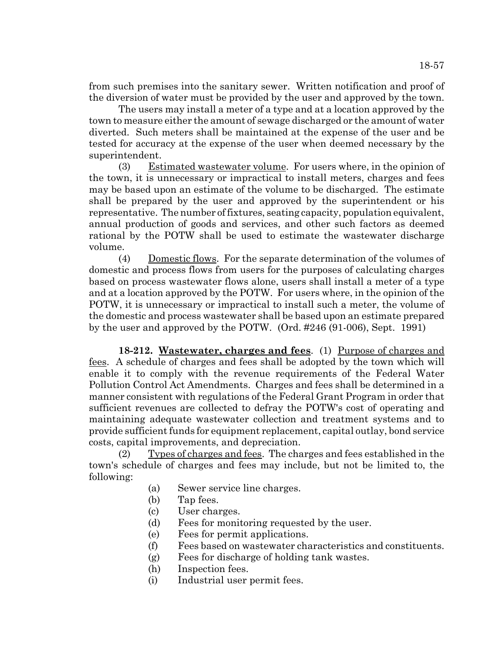from such premises into the sanitary sewer. Written notification and proof of the diversion of water must be provided by the user and approved by the town.

The users may install a meter of a type and at a location approved by the town to measure either the amount of sewage discharged or the amount of water diverted. Such meters shall be maintained at the expense of the user and be tested for accuracy at the expense of the user when deemed necessary by the superintendent.

(3) Estimated wastewater volume. For users where, in the opinion of the town, it is unnecessary or impractical to install meters, charges and fees may be based upon an estimate of the volume to be discharged. The estimate shall be prepared by the user and approved by the superintendent or his representative. The number of fixtures, seating capacity, population equivalent, annual production of goods and services, and other such factors as deemed rational by the POTW shall be used to estimate the wastewater discharge volume.

(4) Domestic flows. For the separate determination of the volumes of domestic and process flows from users for the purposes of calculating charges based on process wastewater flows alone, users shall install a meter of a type and at a location approved by the POTW. For users where, in the opinion of the POTW, it is unnecessary or impractical to install such a meter, the volume of the domestic and process wastewater shall be based upon an estimate prepared by the user and approved by the POTW. (Ord. #246 (91-006), Sept. 1991)

**18-212. Wastewater, charges and fees**. (1) Purpose of charges and fees. A schedule of charges and fees shall be adopted by the town which will enable it to comply with the revenue requirements of the Federal Water Pollution Control Act Amendments. Charges and fees shall be determined in a manner consistent with regulations of the Federal Grant Program in order that sufficient revenues are collected to defray the POTW's cost of operating and maintaining adequate wastewater collection and treatment systems and to provide sufficient funds for equipment replacement, capital outlay, bond service costs, capital improvements, and depreciation.

(2) Types of charges and fees. The charges and fees established in the town's schedule of charges and fees may include, but not be limited to, the following:

- (a) Sewer service line charges.
- (b) Tap fees.
- (c) User charges.
- (d) Fees for monitoring requested by the user.
- (e) Fees for permit applications.
- (f) Fees based on wastewater characteristics and constituents.
- (g) Fees for discharge of holding tank wastes.
- (h) Inspection fees.
- (i) Industrial user permit fees.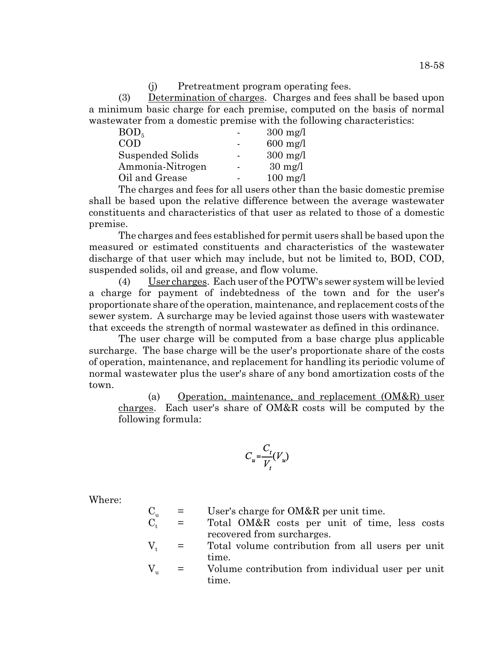(j) Pretreatment program operating fees.

(3) Determination of charges. Charges and fees shall be based upon a minimum basic charge for each premise, computed on the basis of normal wastewater from a domestic premise with the following characteristics:

| $300 \text{ mg/l}$ |
|--------------------|
| $600$ mg/l         |
| $300 \text{ mg/l}$ |
| $30 \text{ mg/l}$  |
| $100$ mg/l         |
|                    |

The charges and fees for all users other than the basic domestic premise shall be based upon the relative difference between the average wastewater constituents and characteristics of that user as related to those of a domestic premise.

The charges and fees established for permit users shall be based upon the measured or estimated constituents and characteristics of the wastewater discharge of that user which may include, but not be limited to, BOD, COD, suspended solids, oil and grease, and flow volume.

(4) User charges. Each user of the POTW's sewer system will be levied a charge for payment of indebtedness of the town and for the user's proportionate share of the operation, maintenance, and replacement costs of the sewer system. A surcharge may be levied against those users with wastewater that exceeds the strength of normal wastewater as defined in this ordinance.

The user charge will be computed from a base charge plus applicable surcharge. The base charge will be the user's proportionate share of the costs of operation, maintenance, and replacement for handling its periodic volume of normal wastewater plus the user's share of any bond amortization costs of the town.

(a) Operation, maintenance, and replacement  $(OM&R)$  user charges. Each user's share of OM&R costs will be computed by the following formula:

$$
C_u = \frac{C_t}{V_t}(V_u)
$$

Where:

- $C_u$  = User's charge for OM&R per unit time.<br>  $C_t$  = Total OM&R costs per unit of time  $\epsilon$  Total OM&R costs per unit of time, less costs recovered from surcharges.
- $V_t$  = Total volume contribution from all users per unit time.
- $V_{\nu}$  = Volume contribution from individual user per unit time.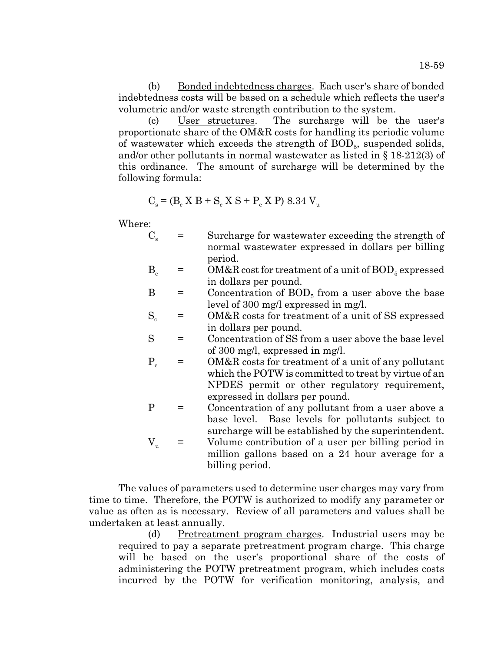(b) Bonded indebtedness charges. Each user's share of bonded indebtedness costs will be based on a schedule which reflects the user's volumetric and/or waste strength contribution to the system.

(c) User structures. The surcharge will be the user's proportionate share of the OM&R costs for handling its periodic volume of wastewater which exceeds the strength of  $BOD<sub>5</sub>$ , suspended solids, and/or other pollutants in normal wastewater as listed in § 18-212(3) of this ordinance. The amount of surcharge will be determined by the following formula:

$$
C_s = (B_c X B + S_c X S + P_c X P) 8.34 V_u
$$

Where:

- $C_s$  = Surcharge for wastewater exceeding the strength of normal wastewater expressed in dollars per billing period.
- $B<sub>c</sub>$  = OM&R cost for treatment of a unit of BOD<sub>5</sub> expressed in dollars per pound.
- $B =$  Concentration of  $BOD<sub>5</sub>$  from a user above the base level of 300 mg/l expressed in mg/l.
- $S_c$  = OM&R costs for treatment of a unit of SS expressed in dollars per pound.
- S = Concentration of SS from a user above the base level of 300 mg/l, expressed in mg/l.
- $P_c$  = OM&R costs for treatment of a unit of any pollutant which the POTW is committed to treat by virtue of an NPDES permit or other regulatory requirement, expressed in dollars per pound.
- P = Concentration of any pollutant from a user above a base level. Base levels for pollutants subject to surcharge will be established by the superintendent.
- $V_{u}$  = Volume contribution of a user per billing period in million gallons based on a 24 hour average for a billing period.

The values of parameters used to determine user charges may vary from time to time. Therefore, the POTW is authorized to modify any parameter or value as often as is necessary. Review of all parameters and values shall be undertaken at least annually.

(d) Pretreatment program charges. Industrial users may be required to pay a separate pretreatment program charge. This charge will be based on the user's proportional share of the costs of administering the POTW pretreatment program, which includes costs incurred by the POTW for verification monitoring, analysis, and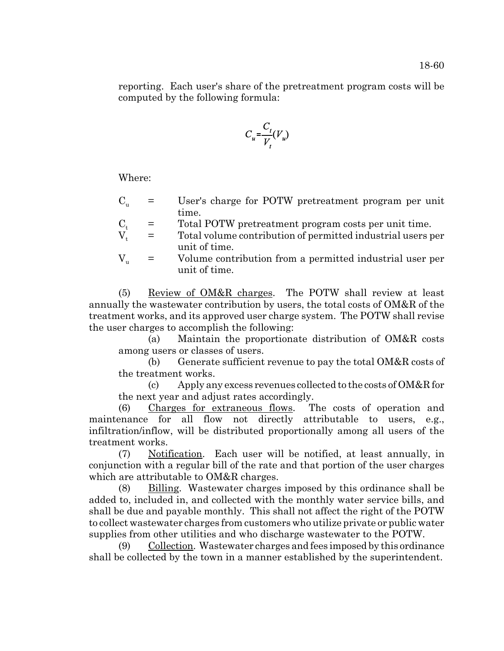reporting. Each user's share of the pretreatment program costs will be computed by the following formula:

$$
C_u = \frac{C_t}{V_t}(V_u)
$$

Where:

- $C_{u}$  = User's charge for POTW pretreatment program per unit time.
- $C_t$  = Total POTW pretreatment program costs per unit time.<br>  $V_t$  = Total volume contribution of permitted industrial users p
- Total volume contribution of permitted industrial users per unit of time.
- $V_{\nu}$  = Volume contribution from a permitted industrial user per unit of time.

(5) Review of OM&R charges. The POTW shall review at least annually the wastewater contribution by users, the total costs of OM&R of the treatment works, and its approved user charge system. The POTW shall revise the user charges to accomplish the following:

(a) Maintain the proportionate distribution of OM&R costs among users or classes of users.

(b) Generate sufficient revenue to pay the total OM&R costs of the treatment works.

(c) Apply any excess revenues collected to the costs of OM&R for the next year and adjust rates accordingly.

(6) Charges for extraneous flows. The costs of operation and maintenance for all flow not directly attributable to users, e.g., infiltration/inflow, will be distributed proportionally among all users of the treatment works.

(7) Notification. Each user will be notified, at least annually, in conjunction with a regular bill of the rate and that portion of the user charges which are attributable to OM&R charges.

(8) Billing. Wastewater charges imposed by this ordinance shall be added to, included in, and collected with the monthly water service bills, and shall be due and payable monthly. This shall not affect the right of the POTW to collect wastewater charges from customers who utilize private or public water supplies from other utilities and who discharge wastewater to the POTW.

(9) Collection. Wastewater charges and fees imposed by this ordinance shall be collected by the town in a manner established by the superintendent.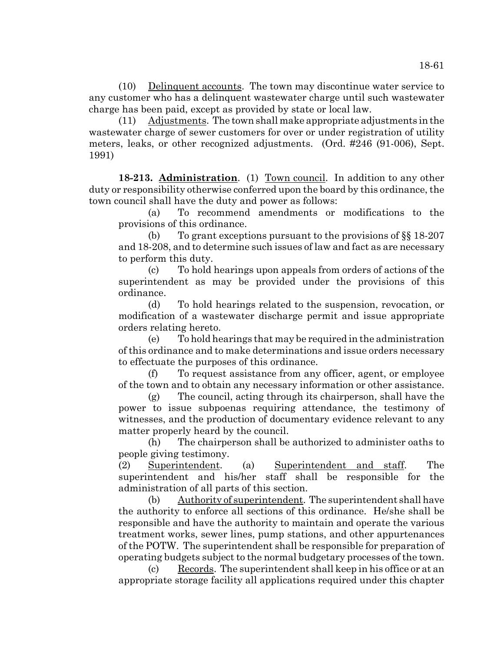(10) Delinquent accounts. The town may discontinue water service to any customer who has a delinquent wastewater charge until such wastewater charge has been paid, except as provided by state or local law.

(11) Adjustments. The town shall make appropriate adjustments in the wastewater charge of sewer customers for over or under registration of utility meters, leaks, or other recognized adjustments. (Ord. #246 (91-006), Sept. 1991)

**18-213. Administration**. (1) Town council. In addition to any other duty or responsibility otherwise conferred upon the board by this ordinance, the town council shall have the duty and power as follows:

(a) To recommend amendments or modifications to the provisions of this ordinance.

(b) To grant exceptions pursuant to the provisions of §§ 18-207 and 18-208, and to determine such issues of law and fact as are necessary to perform this duty.

(c) To hold hearings upon appeals from orders of actions of the superintendent as may be provided under the provisions of this ordinance.

(d) To hold hearings related to the suspension, revocation, or modification of a wastewater discharge permit and issue appropriate orders relating hereto.

(e) To hold hearings that may be required in the administration of this ordinance and to make determinations and issue orders necessary to effectuate the purposes of this ordinance.

(f) To request assistance from any officer, agent, or employee of the town and to obtain any necessary information or other assistance.

(g) The council, acting through its chairperson, shall have the power to issue subpoenas requiring attendance, the testimony of witnesses, and the production of documentary evidence relevant to any matter properly heard by the council.

(h) The chairperson shall be authorized to administer oaths to people giving testimony.

(2) Superintendent. (a) Superintendent and staff. The superintendent and his/her staff shall be responsible for the administration of all parts of this section.

(b)  $\Delta$ uthority of superintendent. The superintendent shall have the authority to enforce all sections of this ordinance. He/she shall be responsible and have the authority to maintain and operate the various treatment works, sewer lines, pump stations, and other appurtenances of the POTW. The superintendent shall be responsible for preparation of operating budgets subject to the normal budgetary processes of the town.

 $\chi$  (c) Records. The superintendent shall keep in his office or at an appropriate storage facility all applications required under this chapter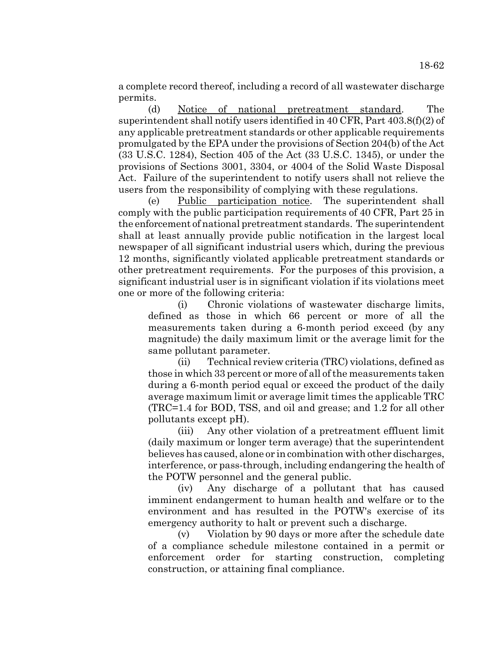a complete record thereof, including a record of all wastewater discharge permits.

(d) Notice of national pretreatment standard. The superintendent shall notify users identified in 40 CFR, Part 403.8(f)(2) of any applicable pretreatment standards or other applicable requirements promulgated by the EPA under the provisions of Section 204(b) of the Act (33 U.S.C. 1284), Section 405 of the Act (33 U.S.C. 1345), or under the provisions of Sections 3001, 3304, or 4004 of the Solid Waste Disposal Act. Failure of the superintendent to notify users shall not relieve the users from the responsibility of complying with these regulations.

(e) Public participation notice. The superintendent shall comply with the public participation requirements of 40 CFR, Part 25 in the enforcement of national pretreatment standards. The superintendent shall at least annually provide public notification in the largest local newspaper of all significant industrial users which, during the previous 12 months, significantly violated applicable pretreatment standards or other pretreatment requirements. For the purposes of this provision, a significant industrial user is in significant violation if its violations meet one or more of the following criteria:

(i) Chronic violations of wastewater discharge limits, defined as those in which 66 percent or more of all the measurements taken during a 6-month period exceed (by any magnitude) the daily maximum limit or the average limit for the same pollutant parameter.

(ii) Technical review criteria (TRC) violations, defined as those in which 33 percent or more of all of the measurements taken during a 6-month period equal or exceed the product of the daily average maximum limit or average limit times the applicable TRC (TRC=1.4 for BOD, TSS, and oil and grease; and 1.2 for all other pollutants except pH).

(iii) Any other violation of a pretreatment effluent limit (daily maximum or longer term average) that the superintendent believes has caused, alone or in combination with other discharges, interference, or pass-through, including endangering the health of the POTW personnel and the general public.

(iv) Any discharge of a pollutant that has caused imminent endangerment to human health and welfare or to the environment and has resulted in the POTW's exercise of its emergency authority to halt or prevent such a discharge.

(v) Violation by 90 days or more after the schedule date of a compliance schedule milestone contained in a permit or enforcement order for starting construction, completing construction, or attaining final compliance.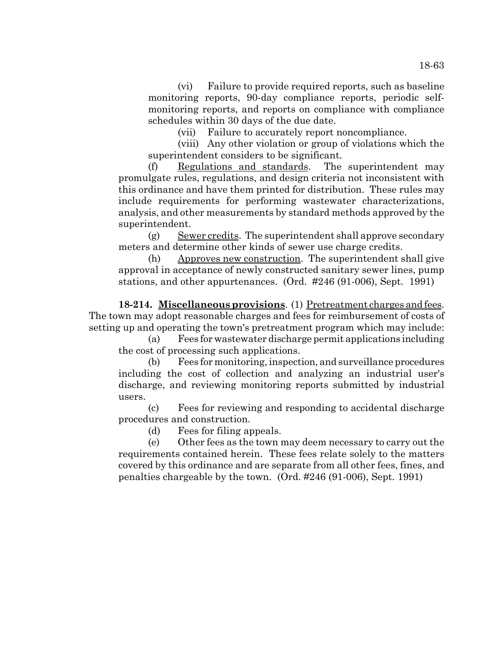monitoring reports, and reports on compliance with compliance schedules within 30 days of the due date.

(vii) Failure to accurately report noncompliance.

(viii) Any other violation or group of violations which the superintendent considers to be significant.

(f) Regulations and standards. The superintendent may promulgate rules, regulations, and design criteria not inconsistent with this ordinance and have them printed for distribution. These rules may include requirements for performing wastewater characterizations, analysis, and other measurements by standard methods approved by the superintendent.

(g) Sewer credits. The superintendent shall approve secondary meters and determine other kinds of sewer use charge credits.

(h) Approves new construction. The superintendent shall give approval in acceptance of newly constructed sanitary sewer lines, pump stations, and other appurtenances. (Ord. #246 (91-006), Sept. 1991)

**18-214. Miscellaneous provisions**. (1) Pretreatment charges and fees. The town may adopt reasonable charges and fees for reimbursement of costs of setting up and operating the town's pretreatment program which may include:

(a) Fees for wastewater discharge permit applications including the cost of processing such applications.

(b) Fees for monitoring, inspection, and surveillance procedures including the cost of collection and analyzing an industrial user's discharge, and reviewing monitoring reports submitted by industrial users.

(c) Fees for reviewing and responding to accidental discharge procedures and construction.

(d) Fees for filing appeals.

(e) Other fees as the town may deem necessary to carry out the requirements contained herein. These fees relate solely to the matters covered by this ordinance and are separate from all other fees, fines, and penalties chargeable by the town. (Ord. #246 (91-006), Sept. 1991)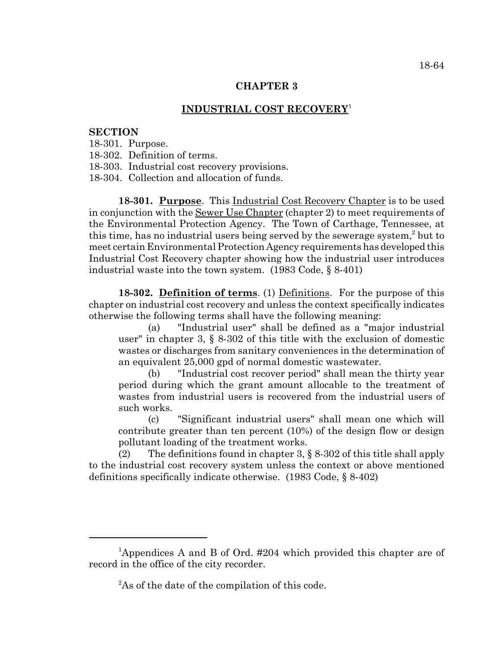## **CHAPTER 3**

## **INDUSTRIAL COST RECOVERY**<sup>1</sup>

### **SECTION**

- 18-301. Purpose.
- 18-302. Definition of terms.
- 18-303. Industrial cost recovery provisions.
- 18-304. Collection and allocation of funds.

**18-301. Purpose**. This Industrial Cost Recovery Chapter is to be used in conjunction with the Sewer Use Chapter (chapter 2) to meet requirements of the Environmental Protection Agency. The Town of Carthage, Tennessee, at this time, has no industrial users being served by the sewerage system,<sup>2</sup> but to meet certain Environmental Protection Agency requirements has developed this Industrial Cost Recovery chapter showing how the industrial user introduces industrial waste into the town system. (1983 Code, § 8-401)

**18-302. Definition of terms**. (1) Definitions. For the purpose of this chapter on industrial cost recovery and unless the context specifically indicates otherwise the following terms shall have the following meaning:

(a) "Industrial user" shall be defined as a "major industrial user" in chapter 3, § 8-302 of this title with the exclusion of domestic wastes or discharges from sanitary conveniences in the determination of an equivalent 25,000 gpd of normal domestic wastewater.

(b) "Industrial cost recover period" shall mean the thirty year period during which the grant amount allocable to the treatment of wastes from industrial users is recovered from the industrial users of such works.

(c) "Significant industrial users" shall mean one which will contribute greater than ten percent (10%) of the design flow or design pollutant loading of the treatment works.

(2) The definitions found in chapter 3,  $\S$  8-302 of this title shall apply to the industrial cost recovery system unless the context or above mentioned definitions specifically indicate otherwise. (1983 Code, § 8-402)

<sup>&</sup>lt;sup>1</sup>Appendices A and B of Ord. #204 which provided this chapter are of record in the office of the city recorder.

 ${}^{2}$ As of the date of the compilation of this code.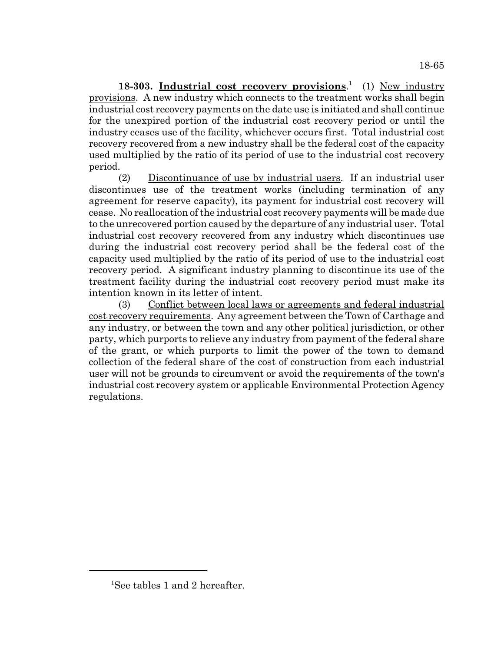18-303. Industrial cost recovery provisions.<sup>1</sup> (1) New industry provisions. A new industry which connects to the treatment works shall begin industrial cost recovery payments on the date use is initiated and shall continue for the unexpired portion of the industrial cost recovery period or until the industry ceases use of the facility, whichever occurs first. Total industrial cost recovery recovered from a new industry shall be the federal cost of the capacity used multiplied by the ratio of its period of use to the industrial cost recovery period.

(2) Discontinuance of use by industrial users. If an industrial user discontinues use of the treatment works (including termination of any agreement for reserve capacity), its payment for industrial cost recovery will cease. No reallocation of the industrial cost recovery payments will be made due to the unrecovered portion caused by the departure of any industrial user. Total industrial cost recovery recovered from any industry which discontinues use during the industrial cost recovery period shall be the federal cost of the capacity used multiplied by the ratio of its period of use to the industrial cost recovery period. A significant industry planning to discontinue its use of the treatment facility during the industrial cost recovery period must make its intention known in its letter of intent.

(3) Conflict between local laws or agreements and federal industrial cost recovery requirements. Any agreement between the Town of Carthage and any industry, or between the town and any other political jurisdiction, or other party, which purports to relieve any industry from payment of the federal share of the grant, or which purports to limit the power of the town to demand collection of the federal share of the cost of construction from each industrial user will not be grounds to circumvent or avoid the requirements of the town's industrial cost recovery system or applicable Environmental Protection Agency regulations.

<sup>&</sup>lt;sup>1</sup>See tables 1 and 2 hereafter.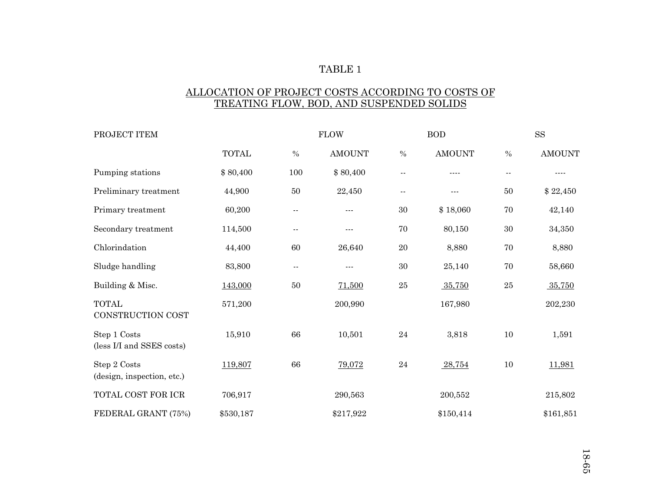### TABLE 1

# ALLOCATION OF PROJECT COSTS ACCORDING TO COSTS OF TREATING FLOW, BOD, AND SUSPENDED SOLIDS

| PROJECT ITEM                               |              | <b>FLOW</b>   |               |            | <b>BOD</b>                                                                                                                                                                                                                                                                                                                                                                                   |                          | ${\rm SS}$    |  |
|--------------------------------------------|--------------|---------------|---------------|------------|----------------------------------------------------------------------------------------------------------------------------------------------------------------------------------------------------------------------------------------------------------------------------------------------------------------------------------------------------------------------------------------------|--------------------------|---------------|--|
|                                            | <b>TOTAL</b> | $\%$          | <b>AMOUNT</b> | $\%$       | <b>AMOUNT</b>                                                                                                                                                                                                                                                                                                                                                                                | $\%$                     | <b>AMOUNT</b> |  |
| Pumping stations                           | \$80,400     | 100           | \$80,400      | $\sim$ $-$ | $\frac{1}{2}$                                                                                                                                                                                                                                                                                                                                                                                | $\overline{\phantom{a}}$ | $- - - -$     |  |
| Preliminary treatment                      | 44,900       | 50            | 22,450        | $\sim$ $-$ | $\frac{1}{2} \frac{1}{2} \frac{1}{2} \frac{1}{2} \frac{1}{2} \frac{1}{2} \frac{1}{2} \frac{1}{2} \frac{1}{2} \frac{1}{2} \frac{1}{2} \frac{1}{2} \frac{1}{2} \frac{1}{2} \frac{1}{2} \frac{1}{2} \frac{1}{2} \frac{1}{2} \frac{1}{2} \frac{1}{2} \frac{1}{2} \frac{1}{2} \frac{1}{2} \frac{1}{2} \frac{1}{2} \frac{1}{2} \frac{1}{2} \frac{1}{2} \frac{1}{2} \frac{1}{2} \frac{1}{2} \frac{$ | 50                       | \$22,450      |  |
| Primary treatment                          | 60,200       | $\sim$ $-$    | $- - -$       | $30\,$     | \$18,060                                                                                                                                                                                                                                                                                                                                                                                     | $70\,$                   | 42,140        |  |
| Secondary treatment                        | 114,500      | $\sim$ $-$    | $\frac{1}{2}$ | 70         | 80,150                                                                                                                                                                                                                                                                                                                                                                                       | 30                       | 34,350        |  |
| Chlorindation                              | 44,400       | 60            | 26,640        | 20         | 8,880                                                                                                                                                                                                                                                                                                                                                                                        | 70                       | 8,880         |  |
| Sludge handling                            | 83,800       | $\sim$ $\sim$ | $--$          | 30         | 25,140                                                                                                                                                                                                                                                                                                                                                                                       | 70                       | 58,660        |  |
| Building & Misc.                           | 143,000      | $50\,$        | 71,500        | $\rm 25$   | 35,750                                                                                                                                                                                                                                                                                                                                                                                       | $25\,$                   | 35,750        |  |
| <b>TOTAL</b><br>CONSTRUCTION COST          | 571,200      |               | 200,990       |            | 167,980                                                                                                                                                                                                                                                                                                                                                                                      |                          | 202,230       |  |
| Step 1 Costs<br>(less I/I and SSES costs)  | 15,910       | 66            | 10,501        | 24         | 3,818                                                                                                                                                                                                                                                                                                                                                                                        | 10                       | 1,591         |  |
| Step 2 Costs<br>(design, inspection, etc.) | 119,807      | 66            | 79,072        | $\bf 24$   | 28,754                                                                                                                                                                                                                                                                                                                                                                                       | 10                       | 11,981        |  |
| TOTAL COST FOR ICR                         | 706,917      |               | 290,563       |            | 200,552                                                                                                                                                                                                                                                                                                                                                                                      |                          | 215,802       |  |
| FEDERAL GRANT (75%)                        | \$530,187    |               | \$217,922     |            | \$150,414                                                                                                                                                                                                                                                                                                                                                                                    |                          | \$161,851     |  |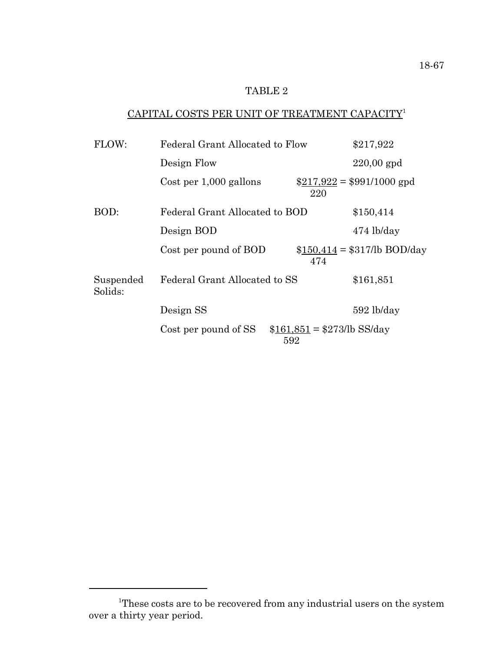# TABLE 2

# CAPITAL COSTS PER UNIT OF TREATMENT CAPACITY<sup>1</sup>

|                        | \$217,922 |                                                                                                                                  |  |
|------------------------|-----------|----------------------------------------------------------------------------------------------------------------------------------|--|
| Design Flow            |           | $220,00$ gpd                                                                                                                     |  |
| Cost per 1,000 gallons | 220       | $$217,922 = $991/1000$ gpd                                                                                                       |  |
|                        |           | \$150,414                                                                                                                        |  |
| Design BOD             |           | $474$ lb/day                                                                                                                     |  |
| Cost per pound of BOD  | 474       | $$150,414 = $317/b$ BOD/day                                                                                                      |  |
|                        |           | \$161,851                                                                                                                        |  |
| Design SS              |           | $592$ lb/day                                                                                                                     |  |
| Cost per pound of SS   | 592       |                                                                                                                                  |  |
|                        |           | Federal Grant Allocated to Flow<br>Federal Grant Allocated to BOD<br>Federal Grant Allocated to SS<br>$$161,851 = $273/b$ SS/day |  |

<sup>&</sup>lt;sup>1</sup>These costs are to be recovered from any industrial users on the system over a thirty year period.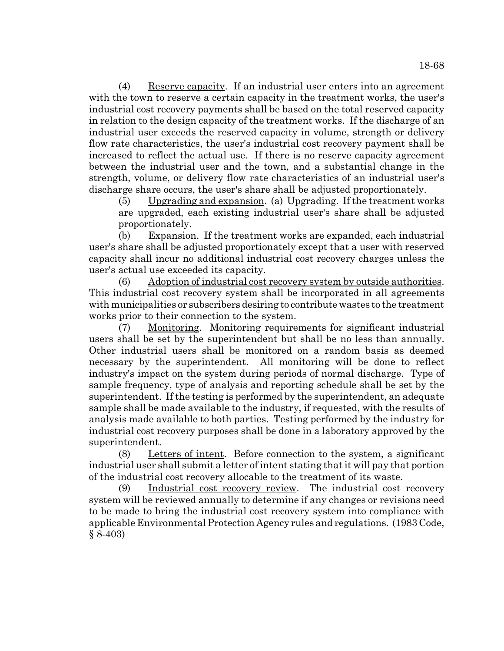(4) Reserve capacity. If an industrial user enters into an agreement with the town to reserve a certain capacity in the treatment works, the user's industrial cost recovery payments shall be based on the total reserved capacity in relation to the design capacity of the treatment works. If the discharge of an industrial user exceeds the reserved capacity in volume, strength or delivery flow rate characteristics, the user's industrial cost recovery payment shall be increased to reflect the actual use. If there is no reserve capacity agreement between the industrial user and the town, and a substantial change in the strength, volume, or delivery flow rate characteristics of an industrial user's discharge share occurs, the user's share shall be adjusted proportionately.

(5) Upgrading and expansion. (a) Upgrading. If the treatment works are upgraded, each existing industrial user's share shall be adjusted proportionately.

(b) Expansion. If the treatment works are expanded, each industrial user's share shall be adjusted proportionately except that a user with reserved capacity shall incur no additional industrial cost recovery charges unless the user's actual use exceeded its capacity.

(6) Adoption of industrial cost recovery system by outside authorities. This industrial cost recovery system shall be incorporated in all agreements with municipalities or subscribers desiring to contribute wastes to the treatment works prior to their connection to the system.

(7) Monitoring. Monitoring requirements for significant industrial users shall be set by the superintendent but shall be no less than annually. Other industrial users shall be monitored on a random basis as deemed necessary by the superintendent. All monitoring will be done to reflect industry's impact on the system during periods of normal discharge. Type of sample frequency, type of analysis and reporting schedule shall be set by the superintendent. If the testing is performed by the superintendent, an adequate sample shall be made available to the industry, if requested, with the results of analysis made available to both parties. Testing performed by the industry for industrial cost recovery purposes shall be done in a laboratory approved by the superintendent.

(8) Letters of intent. Before connection to the system, a significant industrial user shall submit a letter of intent stating that it will pay that portion of the industrial cost recovery allocable to the treatment of its waste.

(9) Industrial cost recovery review. The industrial cost recovery system will be reviewed annually to determine if any changes or revisions need to be made to bring the industrial cost recovery system into compliance with applicable Environmental Protection Agency rules and regulations. (1983 Code, § 8-403)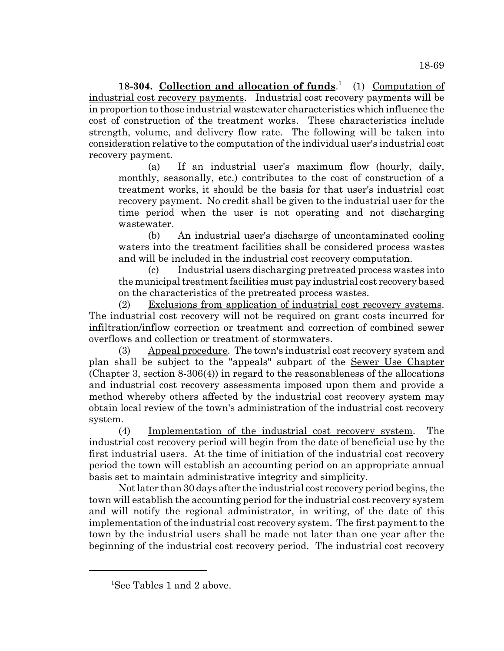**18-304. Collection and allocation of funds**. 1 (1) Computation of industrial cost recovery payments. Industrial cost recovery payments will be in proportion to those industrial wastewater characteristics which influence the cost of construction of the treatment works. These characteristics include strength, volume, and delivery flow rate. The following will be taken into consideration relative to the computation of the individual user's industrial cost recovery payment.

(a) If an industrial user's maximum flow (hourly, daily, monthly, seasonally, etc.) contributes to the cost of construction of a treatment works, it should be the basis for that user's industrial cost recovery payment. No credit shall be given to the industrial user for the time period when the user is not operating and not discharging wastewater.

(b) An industrial user's discharge of uncontaminated cooling waters into the treatment facilities shall be considered process wastes and will be included in the industrial cost recovery computation.

(c) Industrial users discharging pretreated process wastes into the municipal treatment facilities must pay industrial cost recovery based on the characteristics of the pretreated process wastes.

(2) Exclusions from application of industrial cost recovery systems. The industrial cost recovery will not be required on grant costs incurred for infiltration/inflow correction or treatment and correction of combined sewer overflows and collection or treatment of stormwaters.

(3) Appeal procedure. The town's industrial cost recovery system and plan shall be subject to the "appeals" subpart of the Sewer Use Chapter (Chapter 3, section 8-306(4)) in regard to the reasonableness of the allocations and industrial cost recovery assessments imposed upon them and provide a method whereby others affected by the industrial cost recovery system may obtain local review of the town's administration of the industrial cost recovery system.

(4) Implementation of the industrial cost recovery system. The industrial cost recovery period will begin from the date of beneficial use by the first industrial users. At the time of initiation of the industrial cost recovery period the town will establish an accounting period on an appropriate annual basis set to maintain administrative integrity and simplicity.

Not later than 30 days after the industrial cost recovery period begins, the town will establish the accounting period for the industrial cost recovery system and will notify the regional administrator, in writing, of the date of this implementation of the industrial cost recovery system. The first payment to the town by the industrial users shall be made not later than one year after the beginning of the industrial cost recovery period. The industrial cost recovery

<sup>1</sup> See Tables 1 and 2 above.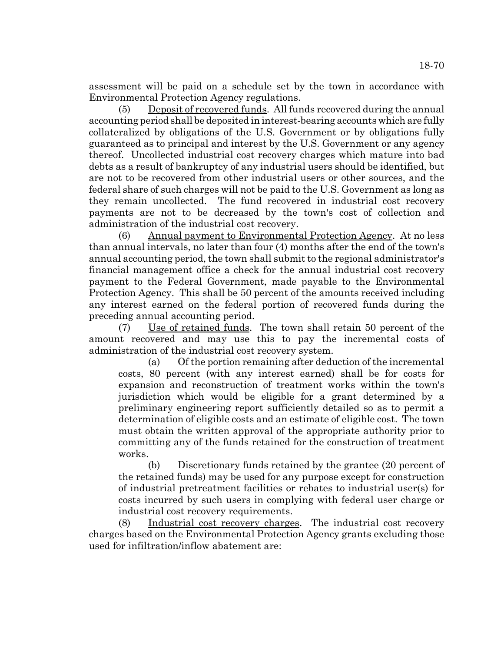assessment will be paid on a schedule set by the town in accordance with Environmental Protection Agency regulations.

(5) Deposit of recovered funds. All funds recovered during the annual accounting period shall be deposited in interest-bearing accounts which are fully collateralized by obligations of the U.S. Government or by obligations fully guaranteed as to principal and interest by the U.S. Government or any agency thereof. Uncollected industrial cost recovery charges which mature into bad debts as a result of bankruptcy of any industrial users should be identified, but are not to be recovered from other industrial users or other sources, and the federal share of such charges will not be paid to the U.S. Government as long as they remain uncollected. The fund recovered in industrial cost recovery payments are not to be decreased by the town's cost of collection and administration of the industrial cost recovery.

(6) Annual payment to Environmental Protection Agency. At no less than annual intervals, no later than four (4) months after the end of the town's annual accounting period, the town shall submit to the regional administrator's financial management office a check for the annual industrial cost recovery payment to the Federal Government, made payable to the Environmental Protection Agency. This shall be 50 percent of the amounts received including any interest earned on the federal portion of recovered funds during the preceding annual accounting period.

(7) Use of retained funds. The town shall retain 50 percent of the amount recovered and may use this to pay the incremental costs of administration of the industrial cost recovery system.

(a) Of the portion remaining after deduction of the incremental costs, 80 percent (with any interest earned) shall be for costs for expansion and reconstruction of treatment works within the town's jurisdiction which would be eligible for a grant determined by a preliminary engineering report sufficiently detailed so as to permit a determination of eligible costs and an estimate of eligible cost. The town must obtain the written approval of the appropriate authority prior to committing any of the funds retained for the construction of treatment works.

(b) Discretionary funds retained by the grantee (20 percent of the retained funds) may be used for any purpose except for construction of industrial pretreatment facilities or rebates to industrial user(s) for costs incurred by such users in complying with federal user charge or industrial cost recovery requirements.

(8) Industrial cost recovery charges. The industrial cost recovery charges based on the Environmental Protection Agency grants excluding those used for infiltration/inflow abatement are: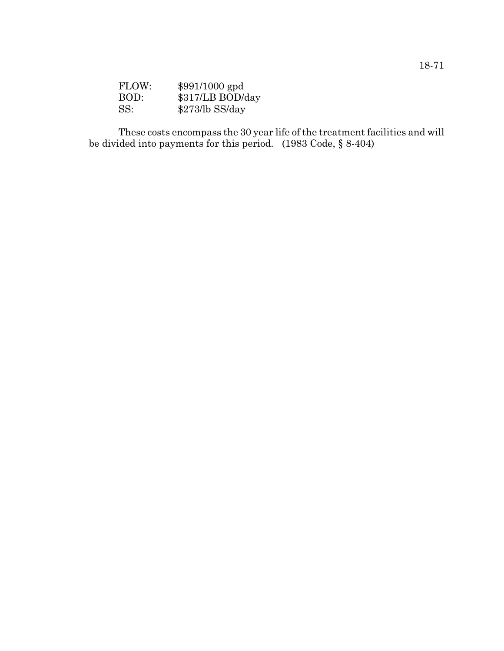| FLOW: | $$991/1000$ gpd  |
|-------|------------------|
| BOD:  | \$317/LB BOD/day |
| SS:   | $$273/b$ SS/day  |

These costs encompass the 30 year life of the treatment facilities and will be divided into payments for this period. (1983 Code, § 8-404)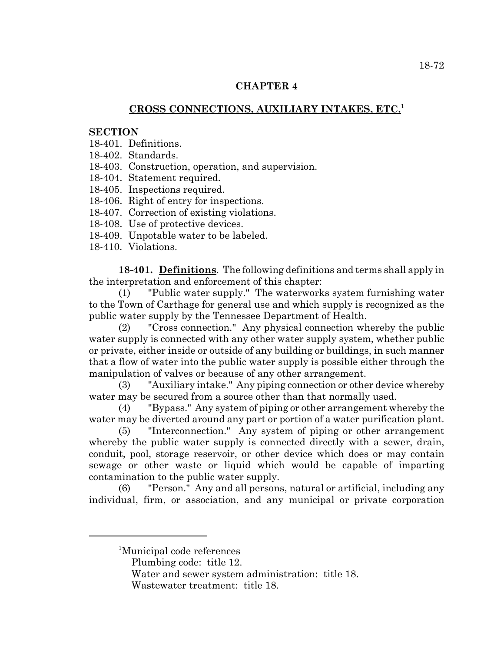## **CHAPTER 4**

## **CROSS CONNECTIONS, AUXILIARY INTAKES, ETC.<sup>1</sup>**

#### **SECTION**

- 18-401. Definitions.
- 18-402. Standards.
- 18-403. Construction, operation, and supervision.
- 18-404. Statement required.
- 18-405. Inspections required.
- 18-406. Right of entry for inspections.
- 18-407. Correction of existing violations.
- 18-408. Use of protective devices.
- 18-409. Unpotable water to be labeled.
- 18-410. Violations.

**18-401. Definitions**. The following definitions and terms shall apply in the interpretation and enforcement of this chapter:

(1) "Public water supply." The waterworks system furnishing water to the Town of Carthage for general use and which supply is recognized as the public water supply by the Tennessee Department of Health.

(2) "Cross connection." Any physical connection whereby the public water supply is connected with any other water supply system, whether public or private, either inside or outside of any building or buildings, in such manner that a flow of water into the public water supply is possible either through the manipulation of valves or because of any other arrangement.

(3) "Auxiliary intake." Any piping connection or other device whereby water may be secured from a source other than that normally used.

(4) "Bypass." Any system of piping or other arrangement whereby the water may be diverted around any part or portion of a water purification plant.

(5) "Interconnection." Any system of piping or other arrangement whereby the public water supply is connected directly with a sewer, drain, conduit, pool, storage reservoir, or other device which does or may contain sewage or other waste or liquid which would be capable of imparting contamination to the public water supply.

(6) "Person." Any and all persons, natural or artificial, including any individual, firm, or association, and any municipal or private corporation

<sup>1</sup> Municipal code references

Plumbing code: title 12.

Water and sewer system administration: title 18.

Wastewater treatment: title 18.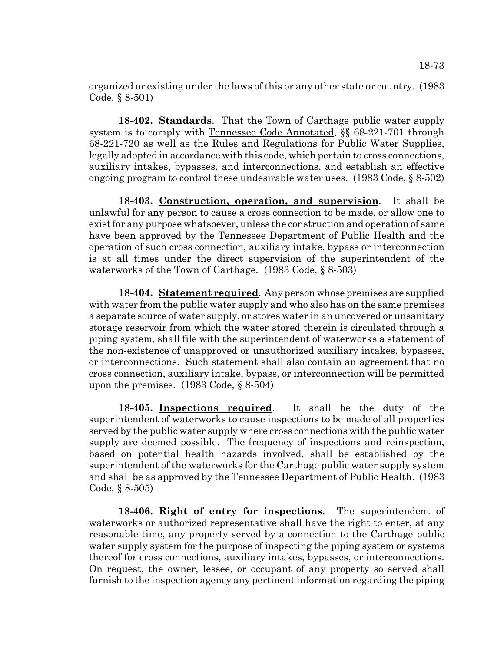organized or existing under the laws of this or any other state or country. (1983 Code, § 8-501)

**18-402. Standards**. That the Town of Carthage public water supply system is to comply with Tennessee Code Annotated, §§ 68-221-701 through 68-221-720 as well as the Rules and Regulations for Public Water Supplies, legally adopted in accordance with this code, which pertain to cross connections, auxiliary intakes, bypasses, and interconnections, and establish an effective ongoing program to control these undesirable water uses. (1983 Code, § 8-502)

**18-403. Construction, operation, and supervision**. It shall be unlawful for any person to cause a cross connection to be made, or allow one to exist for any purpose whatsoever, unless the construction and operation of same have been approved by the Tennessee Department of Public Health and the operation of such cross connection, auxiliary intake, bypass or interconnection is at all times under the direct supervision of the superintendent of the waterworks of the Town of Carthage. (1983 Code, § 8-503)

**18-404. Statement required**. Any person whose premises are supplied with water from the public water supply and who also has on the same premises a separate source of water supply, or stores water in an uncovered or unsanitary storage reservoir from which the water stored therein is circulated through a piping system, shall file with the superintendent of waterworks a statement of the non-existence of unapproved or unauthorized auxiliary intakes, bypasses, or interconnections. Such statement shall also contain an agreement that no cross connection, auxiliary intake, bypass, or interconnection will be permitted upon the premises. (1983 Code, § 8-504)

**18-405. Inspections required**. It shall be the duty of the superintendent of waterworks to cause inspections to be made of all properties served by the public water supply where cross connections with the public water supply are deemed possible. The frequency of inspections and reinspection, based on potential health hazards involved, shall be established by the superintendent of the waterworks for the Carthage public water supply system and shall be as approved by the Tennessee Department of Public Health. (1983 Code, § 8-505)

**18-406. Right of entry for inspections**. The superintendent of waterworks or authorized representative shall have the right to enter, at any reasonable time, any property served by a connection to the Carthage public water supply system for the purpose of inspecting the piping system or systems thereof for cross connections, auxiliary intakes, bypasses, or interconnections. On request, the owner, lessee, or occupant of any property so served shall furnish to the inspection agency any pertinent information regarding the piping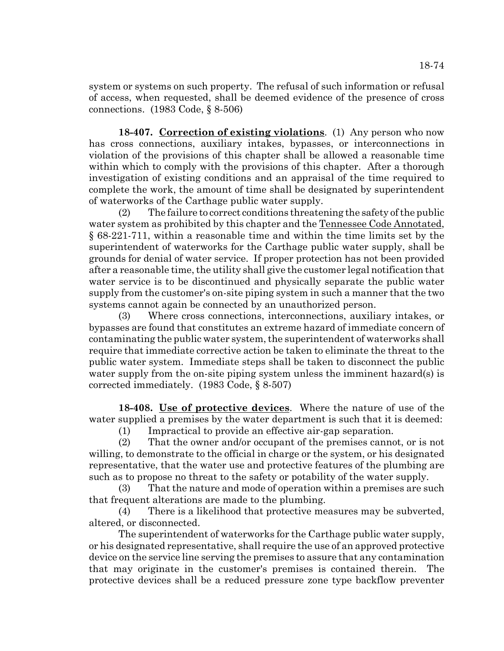system or systems on such property. The refusal of such information or refusal of access, when requested, shall be deemed evidence of the presence of cross connections. (1983 Code, § 8-506)

**18-407. Correction of existing violations**. (1) Any person who now has cross connections, auxiliary intakes, bypasses, or interconnections in violation of the provisions of this chapter shall be allowed a reasonable time within which to comply with the provisions of this chapter. After a thorough investigation of existing conditions and an appraisal of the time required to complete the work, the amount of time shall be designated by superintendent of waterworks of the Carthage public water supply.

(2) The failure to correct conditions threatening the safety of the public water system as prohibited by this chapter and the Tennessee Code Annotated, § 68-221-711, within a reasonable time and within the time limits set by the superintendent of waterworks for the Carthage public water supply, shall be grounds for denial of water service. If proper protection has not been provided after a reasonable time, the utility shall give the customer legal notification that water service is to be discontinued and physically separate the public water supply from the customer's on-site piping system in such a manner that the two systems cannot again be connected by an unauthorized person.

(3) Where cross connections, interconnections, auxiliary intakes, or bypasses are found that constitutes an extreme hazard of immediate concern of contaminating the public water system, the superintendent of waterworks shall require that immediate corrective action be taken to eliminate the threat to the public water system. Immediate steps shall be taken to disconnect the public water supply from the on-site piping system unless the imminent hazard(s) is corrected immediately. (1983 Code, § 8-507)

**18-408. Use of protective devices**. Where the nature of use of the water supplied a premises by the water department is such that it is deemed:

(1) Impractical to provide an effective air-gap separation.

(2) That the owner and/or occupant of the premises cannot, or is not willing, to demonstrate to the official in charge or the system, or his designated representative, that the water use and protective features of the plumbing are such as to propose no threat to the safety or potability of the water supply.

(3) That the nature and mode of operation within a premises are such that frequent alterations are made to the plumbing.

(4) There is a likelihood that protective measures may be subverted, altered, or disconnected.

The superintendent of waterworks for the Carthage public water supply, or his designated representative, shall require the use of an approved protective device on the service line serving the premises to assure that any contamination that may originate in the customer's premises is contained therein. The protective devices shall be a reduced pressure zone type backflow preventer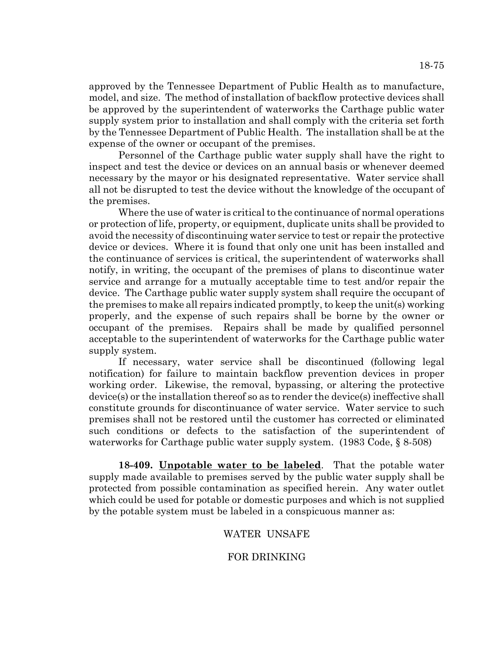approved by the Tennessee Department of Public Health as to manufacture, model, and size. The method of installation of backflow protective devices shall be approved by the superintendent of waterworks the Carthage public water supply system prior to installation and shall comply with the criteria set forth by the Tennessee Department of Public Health. The installation shall be at the expense of the owner or occupant of the premises.

Personnel of the Carthage public water supply shall have the right to inspect and test the device or devices on an annual basis or whenever deemed necessary by the mayor or his designated representative. Water service shall all not be disrupted to test the device without the knowledge of the occupant of the premises.

Where the use of water is critical to the continuance of normal operations or protection of life, property, or equipment, duplicate units shall be provided to avoid the necessity of discontinuing water service to test or repair the protective device or devices. Where it is found that only one unit has been installed and the continuance of services is critical, the superintendent of waterworks shall notify, in writing, the occupant of the premises of plans to discontinue water service and arrange for a mutually acceptable time to test and/or repair the device. The Carthage public water supply system shall require the occupant of the premises to make all repairs indicated promptly, to keep the unit(s) working properly, and the expense of such repairs shall be borne by the owner or occupant of the premises. Repairs shall be made by qualified personnel acceptable to the superintendent of waterworks for the Carthage public water supply system.

If necessary, water service shall be discontinued (following legal notification) for failure to maintain backflow prevention devices in proper working order. Likewise, the removal, bypassing, or altering the protective device(s) or the installation thereof so as to render the device(s) ineffective shall constitute grounds for discontinuance of water service. Water service to such premises shall not be restored until the customer has corrected or eliminated such conditions or defects to the satisfaction of the superintendent of waterworks for Carthage public water supply system. (1983 Code, § 8-508)

**18-409. Unpotable water to be labeled**. That the potable water supply made available to premises served by the public water supply shall be protected from possible contamination as specified herein. Any water outlet which could be used for potable or domestic purposes and which is not supplied by the potable system must be labeled in a conspicuous manner as:

## WATER UNSAFE

## FOR DRINKING